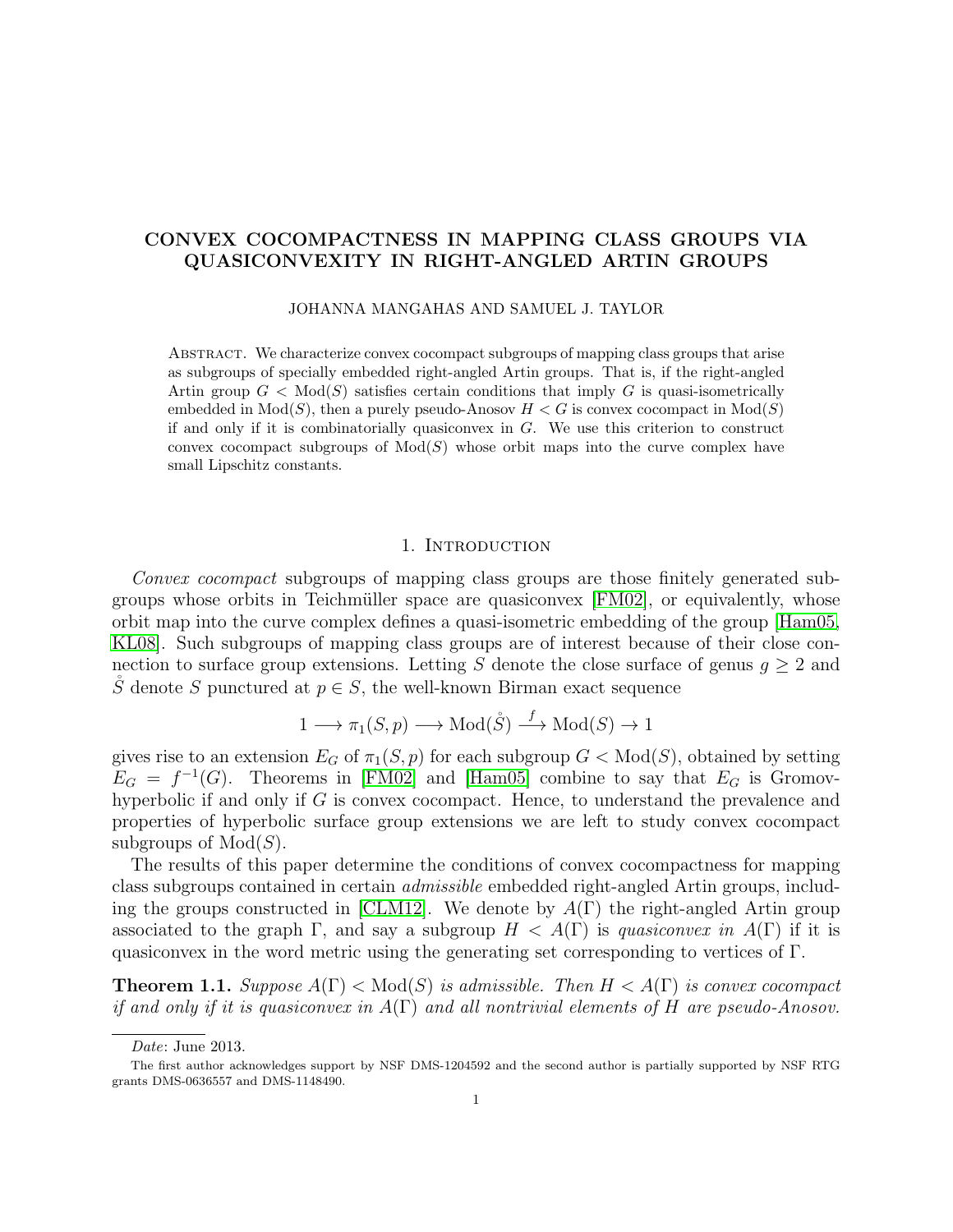# CONVEX COCOMPACTNESS IN MAPPING CLASS GROUPS VIA QUASICONVEXITY IN RIGHT-ANGLED ARTIN GROUPS

JOHANNA MANGAHAS AND SAMUEL J. TAYLOR

ABSTRACT. We characterize convex cocompact subgroups of mapping class groups that arise as subgroups of specially embedded right-angled Artin groups. That is, if the right-angled Artin group  $G < Mod(S)$  satisfies certain conditions that imply G is quasi-isometrically embedded in  $Mod(S)$ , then a purely pseudo-Anosov  $H < G$  is convex cocompact in  $Mod(S)$ if and only if it is combinatorially quasiconvex in G. We use this criterion to construct convex cocompact subgroups of  $Mod(S)$  whose orbit maps into the curve complex have small Lipschitz constants.

## 1. INTRODUCTION

<span id="page-0-1"></span>Convex cocompact subgroups of mapping class groups are those finitely generated subgroups whose orbits in Teichmüller space are quasiconvex  $[FM02]$ , or equivalently, whose orbit map into the curve complex defines a quasi-isometric embedding of the group [\[Ham05,](#page-28-1) [KL08\]](#page-28-2). Such subgroups of mapping class groups are of interest because of their close connection to surface group extensions. Letting S denote the close surface of genus  $g \geq 2$  and S denote S punctured at  $p \in S$ , the well-known Birman exact sequence

$$
1 \longrightarrow \pi_1(S, p) \longrightarrow \text{Mod}(\mathring{S}) \stackrel{f}{\longrightarrow} \text{Mod}(S) \to 1
$$

gives rise to an extension  $E_G$  of  $\pi_1(S, p)$  for each subgroup  $G < Mod(S)$ , obtained by setting  $E_G = f^{-1}(G)$ . Theorems in [\[FM02\]](#page-28-0) and [\[Ham05\]](#page-28-1) combine to say that  $E_G$  is Gromovhyperbolic if and only if G is convex cocompact. Hence, to understand the prevalence and properties of hyperbolic surface group extensions we are left to study convex cocompact subgroups of  $Mod(S)$ .

The results of this paper determine the conditions of convex cocompactness for mapping class subgroups contained in certain admissible embedded right-angled Artin groups, includ-ing the groups constructed in [\[CLM12\]](#page-28-3). We denote by  $A(\Gamma)$  the right-angled Artin group associated to the graph  $\Gamma$ , and say a subgroup  $H < A(\Gamma)$  is quasiconvex in  $A(\Gamma)$  if it is quasiconvex in the word metric using the generating set corresponding to vertices of Γ.

<span id="page-0-0"></span>**Theorem 1.1.** Suppose  $A(\Gamma) < Mod(S)$  is admissible. Then  $H < A(\Gamma)$  is convex cocompact if and only if it is quasiconvex in  $A(\Gamma)$  and all nontrivial elements of H are pseudo-Anosov.

Date: June 2013.

The first author acknowledges support by NSF DMS-1204592 and the second author is partially supported by NSF RTG grants DMS-0636557 and DMS-1148490.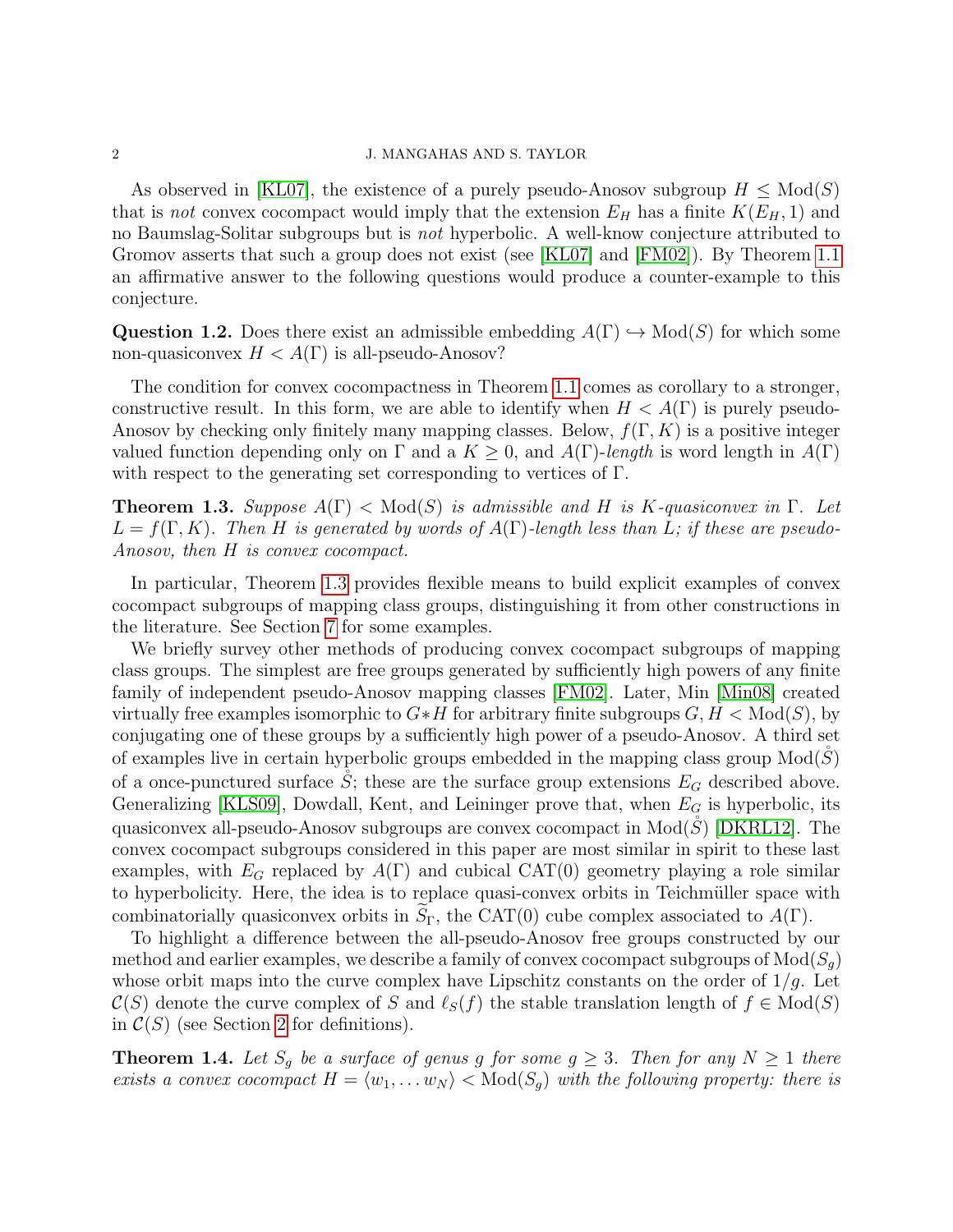As observed in [\[KL07\]](#page-28-4), the existence of a purely pseudo-Anosov subgroup  $H \leq Mod(S)$ that is not convex cocompact would imply that the extension  $E_H$  has a finite  $K(E_H, 1)$  and no Baumslag-Solitar subgroups but is not hyperbolic. A well-know conjecture attributed to Gromov asserts that such a group does not exist (see [\[KL07\]](#page-28-4) and [\[FM02\]](#page-28-0)). By Theorem [1.1](#page-0-0) an affirmative answer to the following questions would produce a counter-example to this conjecture.

Question 1.2. Does there exist an admissible embedding  $A(\Gamma) \hookrightarrow Mod(S)$  for which some non-quasiconvex  $H < A(\Gamma)$  is all-pseudo-Anosov?

The condition for convex cocompactness in Theorem [1.1](#page-0-0) comes as corollary to a stronger, constructive result. In this form, we are able to identify when  $H < A(\Gamma)$  is purely pseudo-Anosov by checking only finitely many mapping classes. Below,  $f(\Gamma, K)$  is a positive integer valued function depending only on  $\Gamma$  and a  $K \geq 0$ , and  $A(\Gamma)$ -length is word length in  $A(\Gamma)$ with respect to the generating set corresponding to vertices of Γ.

<span id="page-1-0"></span>**Theorem 1.3.** Suppose  $A(\Gamma) < Mod(S)$  is admissible and H is K-quasiconvex in  $\Gamma$ . Let  $L = f(\Gamma, K)$ . Then H is generated by words of  $A(\Gamma)$ -length less than L; if these are pseudo-Anosov, then H is convex cocompact.

In particular, Theorem [1.3](#page-1-0) provides flexible means to build explicit examples of convex cocompact subgroups of mapping class groups, distinguishing it from other constructions in the literature. See Section [7](#page-19-0) for some examples.

We briefly survey other methods of producing convex cocompact subgroups of mapping class groups. The simplest are free groups generated by sufficiently high powers of any finite family of independent pseudo-Anosov mapping classes [\[FM02\]](#page-28-0). Later, Min [\[Min08\]](#page-29-0) created virtually free examples isomorphic to  $G * H$  for arbitrary finite subgroups  $G, H < Mod(S)$ , by conjugating one of these groups by a sufficiently high power of a pseudo-Anosov. A third set of examples live in certain hyperbolic groups embedded in the mapping class group  $Mod(S)$ of a once-punctured surface S; these are the surface group extensions  $E_G$  described above. Generalizing [\[KLS09\]](#page-28-5), Dowdall, Kent, and Leininger prove that, when  $E_G$  is hyperbolic, its quasiconvex all-pseudo-Anosov subgroups are convex cocompact in  $Mod(S)$  [\[DKRL12\]](#page-28-6). The convex cocompact subgroups considered in this paper are most similar in spirit to these last examples, with  $E_G$  replaced by  $A(\Gamma)$  and cubical CAT(0) geometry playing a role similar to hyperbolicity. Here, the idea is to replace quasi-convex orbits in Teichmüller space with combinatorially quasiconvex orbits in  $S_{\Gamma}$ , the CAT(0) cube complex associated to  $A(\Gamma)$ .

To highlight a difference between the all-pseudo-Anosov free groups constructed by our method and earlier examples, we describe a family of convex cocompact subgroups of  $Mod(S_q)$ whose orbit maps into the curve complex have Lipschitz constants on the order of  $1/g$ . Let  $\mathcal{C}(S)$  denote the curve complex of S and  $\ell_S(f)$  the stable translation length of  $f \in Mod(S)$ in  $C(S)$  (see Section [2](#page-2-0) for definitions).

<span id="page-1-1"></span>**Theorem 1.4.** Let  $S_g$  be a surface of genus g for some  $g \geq 3$ . Then for any  $N \geq 1$  there exists a convex cocompact  $H = \langle w_1, \ldots w_N \rangle$   $<$  Mod $(S_q)$  with the following property: there is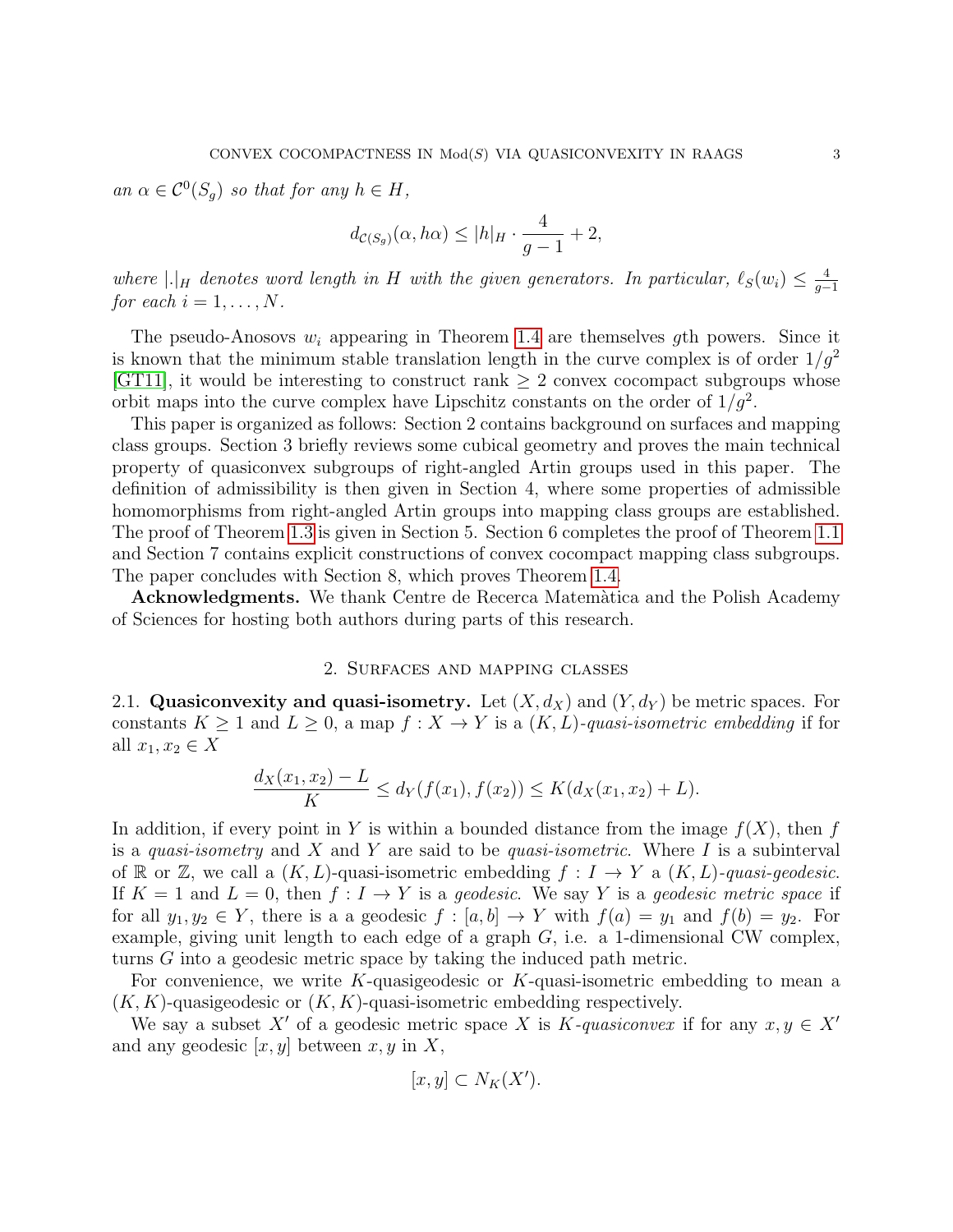an  $\alpha \in C^0(S_g)$  so that for any  $h \in H$ ,

$$
d_{\mathcal{C}(S_g)}(\alpha, h\alpha) \le |h|_H \cdot \frac{4}{g-1} + 2,
$$

where  $|.|_H$  denotes word length in H with the given generators. In particular,  $\ell_S(w_i) \leq \frac{4}{g_i}$  $g-1$ for each  $i = 1, \ldots, N$ .

The pseudo-Anosovs  $w_i$  appearing in Theorem [1.4](#page-1-1) are themselves gth powers. Since it is known that the minimum stable translation length in the curve complex is of order  $1/q^2$ [\[GT11\]](#page-28-7), it would be interesting to construct rank  $\geq 2$  convex cocompact subgroups whose orbit maps into the curve complex have Lipschitz constants on the order of  $1/g^2$ .

This paper is organized as follows: Section 2 contains background on surfaces and mapping class groups. Section 3 briefly reviews some cubical geometry and proves the main technical property of quasiconvex subgroups of right-angled Artin groups used in this paper. The definition of admissibility is then given in Section 4, where some properties of admissible homomorphisms from right-angled Artin groups into mapping class groups are established. The proof of Theorem [1.3](#page-1-0) is given in Section 5. Section 6 completes the proof of Theorem [1.1](#page-0-0) and Section 7 contains explicit constructions of convex cocompact mapping class subgroups. The paper concludes with Section 8, which proves Theorem [1.4.](#page-1-1)

Acknowledgments. We thank Centre de Recerca Matem`atica and the Polish Academy of Sciences for hosting both authors during parts of this research.

## 2. Surfaces and mapping classes

<span id="page-2-0"></span>2.1. Quasiconvexity and quasi-isometry. Let  $(X, d_X)$  and  $(Y, d_Y)$  be metric spaces. For constants  $K \geq 1$  and  $L \geq 0$ , a map  $f: X \to Y$  is a  $(K, L)$ -quasi-isometric embedding if for all  $x_1, x_2 \in X$ 

$$
\frac{d_X(x_1, x_2) - L}{K} \le d_Y(f(x_1), f(x_2)) \le K(d_X(x_1, x_2) + L).
$$

In addition, if every point in Y is within a bounded distance from the image  $f(X)$ , then f is a quasi-isometry and X and Y are said to be quasi-isometric. Where I is a subinterval of R or Z, we call a  $(K, L)$ -quasi-isometric embedding  $f : I \to Y$  a  $(K, L)$ -quasi-geodesic. If  $K = 1$  and  $L = 0$ , then  $f: I \to Y$  is a geodesic. We say Y is a geodesic metric space if for all  $y_1, y_2 \in Y$ , there is a a geodesic  $f : [a, b] \to Y$  with  $f(a) = y_1$  and  $f(b) = y_2$ . For example, giving unit length to each edge of a graph  $G$ , i.e. a 1-dimensional CW complex, turns G into a geodesic metric space by taking the induced path metric.

For convenience, we write K-quasigeodesic or K-quasi-isometric embedding to mean a  $(K, K)$ -quasigeodesic or  $(K, K)$ -quasi-isometric embedding respectively.

We say a subset X' of a geodesic metric space X is K-quasiconvex if for any  $x, y \in X'$ and any geodesic  $[x, y]$  between  $x, y$  in X,

$$
[x, y] \subset N_K(X').
$$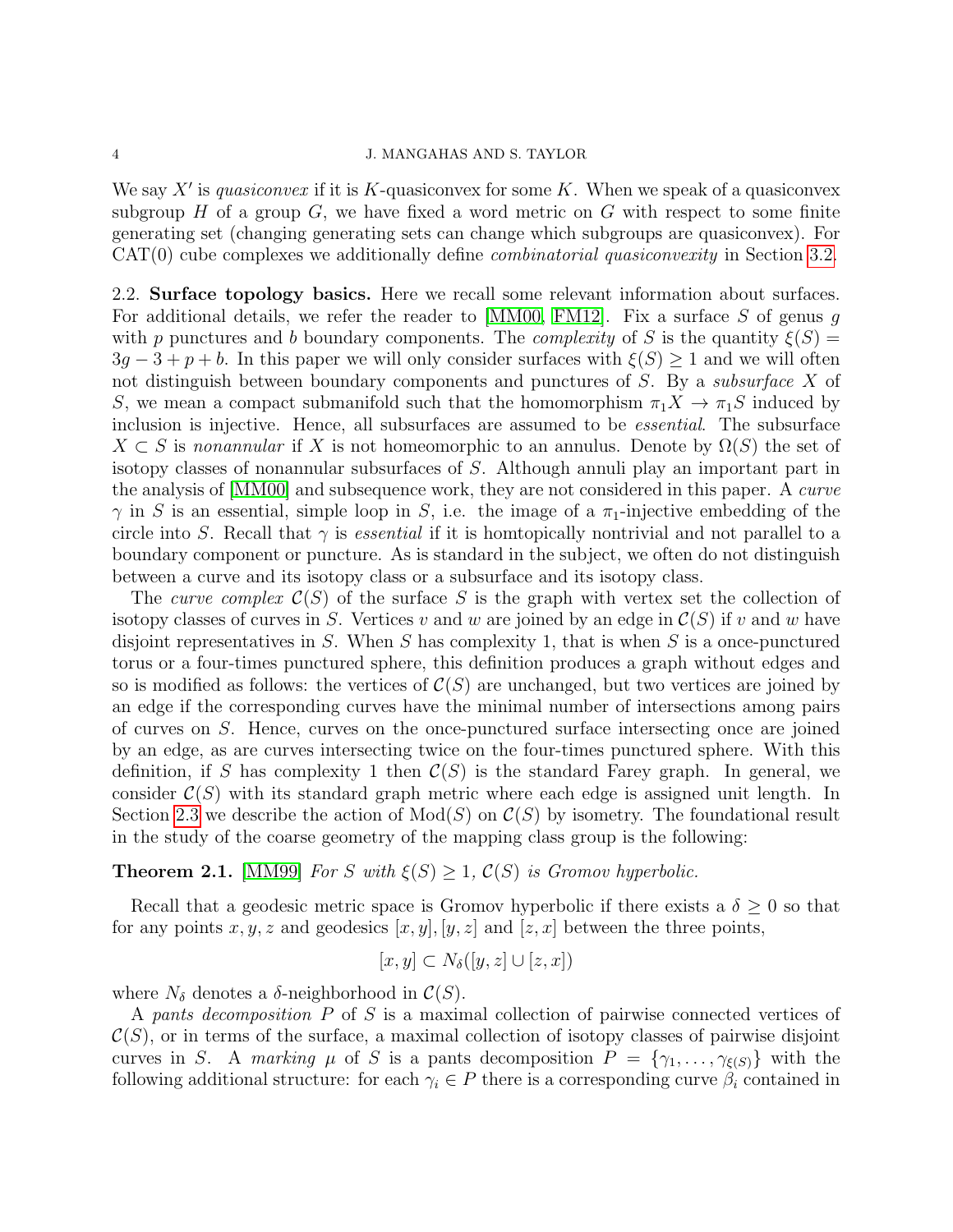We say  $X'$  is quasiconvex if it is K-quasiconvex for some K. When we speak of a quasiconvex subgroup  $H$  of a group  $G$ , we have fixed a word metric on  $G$  with respect to some finite generating set (changing generating sets can change which subgroups are quasiconvex). For  $CAT(0)$  cube complexes we additionally define *combinatorial quasiconvexity* in Section [3.2.](#page-9-0)

2.2. Surface topology basics. Here we recall some relevant information about surfaces. For additional details, we refer the reader to  $[MM00, FM12]$  $[MM00, FM12]$ . Fix a surface S of genus g with p punctures and b boundary components. The *complexity* of S is the quantity  $\xi(S)$  =  $3q-3+p+b$ . In this paper we will only consider surfaces with  $\xi(S) \geq 1$  and we will often not distinguish between boundary components and punctures of S. By a *subsurface* X of S, we mean a compact submanifold such that the homomorphism  $\pi_1 X \to \pi_1 S$  induced by inclusion is injective. Hence, all subsurfaces are assumed to be essential. The subsurface  $X \subset S$  is nonannular if X is not homeomorphic to an annulus. Denote by  $\Omega(S)$  the set of isotopy classes of nonannular subsurfaces of S. Although annuli play an important part in the analysis of [\[MM00\]](#page-29-1) and subsequence work, they are not considered in this paper. A curve  $\gamma$  in S is an essential, simple loop in S, i.e. the image of a  $\pi_1$ -injective embedding of the circle into S. Recall that  $\gamma$  is *essential* if it is homtopically nontrivial and not parallel to a boundary component or puncture. As is standard in the subject, we often do not distinguish between a curve and its isotopy class or a subsurface and its isotopy class.

The curve complex  $\mathcal{C}(S)$  of the surface S is the graph with vertex set the collection of isotopy classes of curves in S. Vertices v and w are joined by an edge in  $\mathcal{C}(S)$  if v and w have disjoint representatives in S. When S has complexity 1, that is when S is a once-punctured torus or a four-times punctured sphere, this definition produces a graph without edges and so is modified as follows: the vertices of  $\mathcal{C}(S)$  are unchanged, but two vertices are joined by an edge if the corresponding curves have the minimal number of intersections among pairs of curves on S. Hence, curves on the once-punctured surface intersecting once are joined by an edge, as are curves intersecting twice on the four-times punctured sphere. With this definition, if S has complexity 1 then  $\mathcal{C}(S)$  is the standard Farey graph. In general, we consider  $\mathcal{C}(S)$  with its standard graph metric where each edge is assigned unit length. In Section [2.3](#page-5-0) we describe the action of  $Mod(S)$  on  $\mathcal{C}(S)$  by isometry. The foundational result in the study of the coarse geometry of the mapping class group is the following:

# **Theorem 2.1.** [\[MM99\]](#page-29-2) For S with  $\xi(S) \geq 1$ ,  $C(S)$  is Gromov hyperbolic.

Recall that a geodesic metric space is Gromov hyperbolic if there exists a  $\delta \geq 0$  so that for any points  $x, y, z$  and geodesics  $[x, y], [y, z]$  and  $[z, x]$  between the three points,

$$
[x, y] \subset N_{\delta}([y, z] \cup [z, x])
$$

where  $N_{\delta}$  denotes a  $\delta$ -neighborhood in  $\mathcal{C}(S)$ .

A pants decomposition P of S is a maximal collection of pairwise connected vertices of  $\mathcal{C}(S)$ , or in terms of the surface, a maximal collection of isotopy classes of pairwise disjoint curves in S. A marking  $\mu$  of S is a pants decomposition  $P = \{\gamma_1, \ldots, \gamma_{\xi(S)}\}$  with the following additional structure: for each  $\gamma_i \in P$  there is a corresponding curve  $\beta_i$  contained in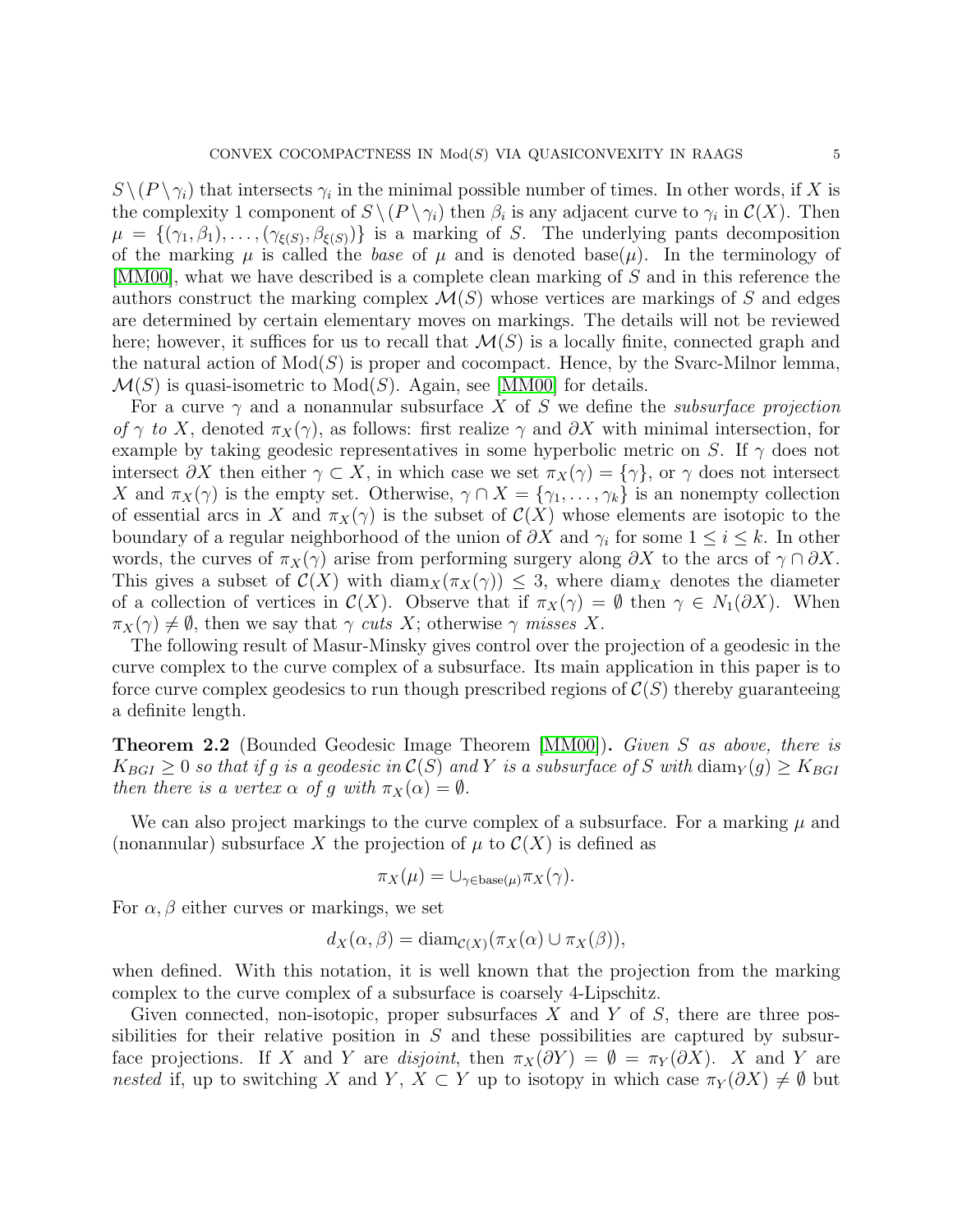$S \setminus (P \setminus \gamma_i)$  that intersects  $\gamma_i$  in the minimal possible number of times. In other words, if X is the complexity 1 component of  $S \setminus (P \setminus \gamma_i)$  then  $\beta_i$  is any adjacent curve to  $\gamma_i$  in  $\mathcal{C}(X)$ . Then  $\mu = \{(\gamma_1, \beta_1), \ldots, (\gamma_{\xi(S)}, \beta_{\xi(S)})\}$  is a marking of S. The underlying pants decomposition of the marking  $\mu$  is called the *base* of  $\mu$  and is denoted base( $\mu$ ). In the terminology of [\[MM00\]](#page-29-1), what we have described is a complete clean marking of S and in this reference the authors construct the marking complex  $\mathcal{M}(S)$  whose vertices are markings of S and edges are determined by certain elementary moves on markings. The details will not be reviewed here; however, it suffices for us to recall that  $\mathcal{M}(S)$  is a locally finite, connected graph and the natural action of  $Mod(S)$  is proper and cocompact. Hence, by the Svarc-Milnor lemma,  $\mathcal{M}(S)$  is quasi-isometric to  $Mod(S)$ . Again, see [\[MM00\]](#page-29-1) for details.

For a curve  $\gamma$  and a nonannular subsurface X of S we define the *subsurface projection* of  $\gamma$  to X, denoted  $\pi_X(\gamma)$ , as follows: first realize  $\gamma$  and  $\partial X$  with minimal intersection, for example by taking geodesic representatives in some hyperbolic metric on S. If  $\gamma$  does not intersect  $\partial X$  then either  $\gamma \subset X$ , in which case we set  $\pi_X(\gamma) = {\gamma}$ , or  $\gamma$  does not intersect X and  $\pi_X(\gamma)$  is the empty set. Otherwise,  $\gamma \cap X = {\gamma_1, \ldots, \gamma_k}$  is an nonempty collection of essential arcs in X and  $\pi_X(\gamma)$  is the subset of  $\mathcal{C}(X)$  whose elements are isotopic to the boundary of a regular neighborhood of the union of  $\partial X$  and  $\gamma_i$  for some  $1 \leq i \leq k$ . In other words, the curves of  $\pi_X(\gamma)$  arise from performing surgery along  $\partial X$  to the arcs of  $\gamma \cap \partial X$ . This gives a subset of  $\mathcal{C}(X)$  with  $\text{diam}_X(\pi_X(\gamma)) \leq 3$ , where  $\text{diam}_X$  denotes the diameter of a collection of vertices in  $\mathcal{C}(X)$ . Observe that if  $\pi_X(\gamma) = \emptyset$  then  $\gamma \in N_1(\partial X)$ . When  $\pi_X(\gamma) \neq \emptyset$ , then we say that  $\gamma$  cuts X; otherwise  $\gamma$  misses X.

The following result of Masur-Minsky gives control over the projection of a geodesic in the curve complex to the curve complex of a subsurface. Its main application in this paper is to force curve complex geodesics to run though prescribed regions of  $\mathcal{C}(S)$  thereby guaranteeing a definite length.

<span id="page-4-0"></span>Theorem 2.2 (Bounded Geodesic Image Theorem [\[MM00\]](#page-29-1)). Given S as above, there is  $K_{BGI} \geq 0$  so that if g is a geodesic in  $\mathcal{C}(S)$  and Y is a subsurface of S with  $\text{diam}_Y(g) \geq K_{BGI}$ then there is a vertex  $\alpha$  of g with  $\pi_X(\alpha) = \emptyset$ .

We can also project markings to the curve complex of a subsurface. For a marking  $\mu$  and (nonannular) subsurface X the projection of  $\mu$  to  $\mathcal{C}(X)$  is defined as

$$
\pi_X(\mu) = \cup_{\gamma \in \text{base}(\mu)} \pi_X(\gamma).
$$

For  $\alpha$ ,  $\beta$  either curves or markings, we set

$$
d_X(\alpha, \beta) = \text{diam}_{\mathcal{C}(X)}(\pi_X(\alpha) \cup \pi_X(\beta)),
$$

when defined. With this notation, it is well known that the projection from the marking complex to the curve complex of a subsurface is coarsely 4-Lipschitz.

Given connected, non-isotopic, proper subsurfaces X and Y of S, there are three possibilities for their relative position in  $S$  and these possibilities are captured by subsurface projections. If X and Y are disjoint, then  $\pi_X(\partial Y) = \emptyset = \pi_Y(\partial X)$ . X and Y are nested if, up to switching X and Y,  $X \subset Y$  up to isotopy in which case  $\pi_Y(\partial X) \neq \emptyset$  but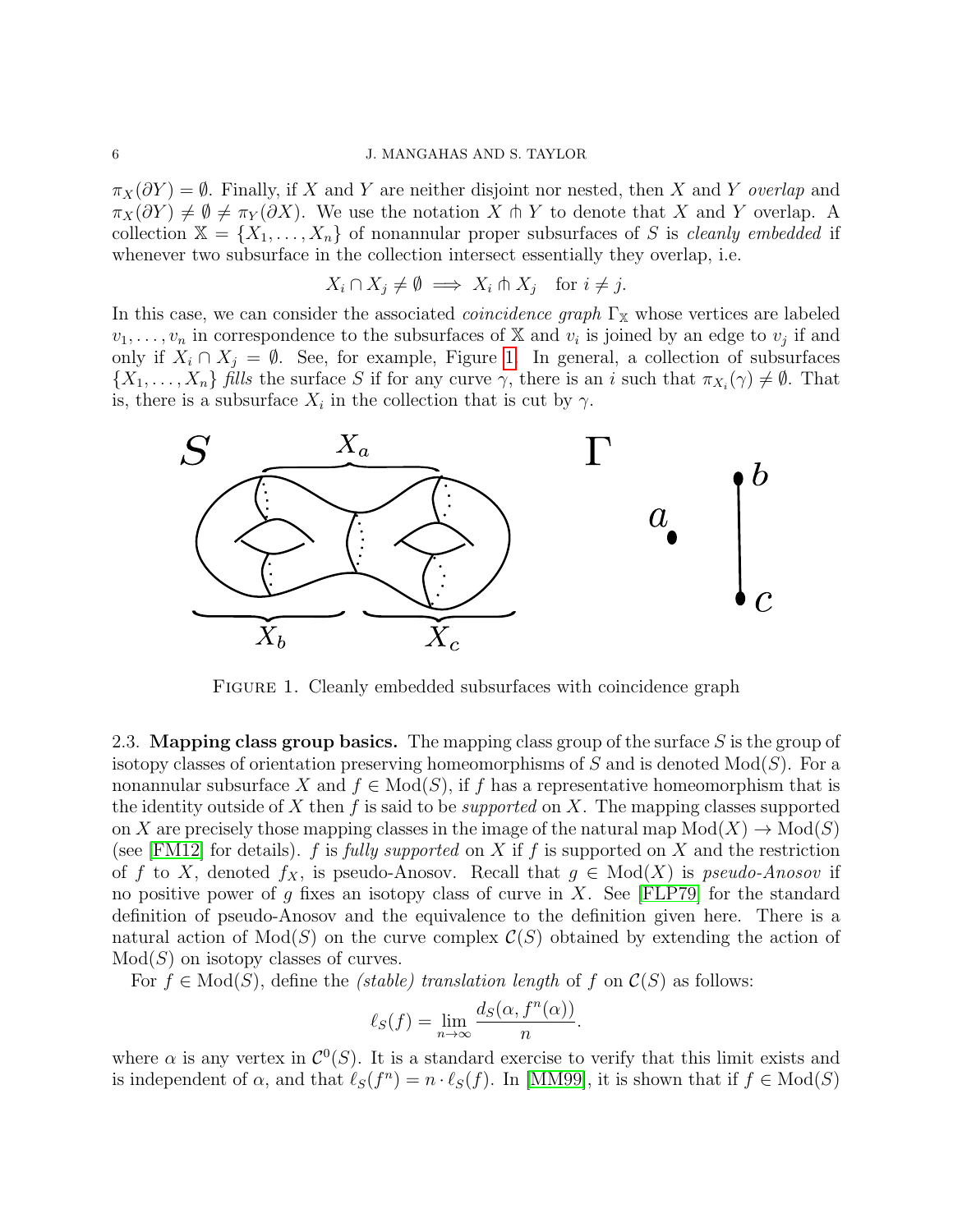$\pi_X(\partial Y) = \emptyset$ . Finally, if X and Y are neither disjoint nor nested, then X and Y overlap and  $\pi_X(\partial Y) \neq \emptyset \neq \pi_Y(\partial X)$ . We use the notation X  $\pitchfork Y$  to denote that X and Y overlap. A collection  $X = \{X_1, \ldots, X_n\}$  of nonannular proper subsurfaces of S is cleanly embedded if whenever two subsurface in the collection intersect essentially they overlap, i.e.

$$
X_i \cap X_j \neq \emptyset \implies X_i \pitchfork X_j \quad \text{for } i \neq j.
$$

In this case, we can consider the associated *coincidence graph*  $\Gamma_{\mathbb{X}}$  whose vertices are labeled  $v_1, \ldots, v_n$  in correspondence to the subsurfaces of X and  $v_i$  is joined by an edge to  $v_j$  if and only if  $X_i \cap X_j = \emptyset$ . See, for example, Figure [1.](#page-5-1) In general, a collection of subsurfaces  $\{X_1,\ldots,X_n\}$  fills the surface S if for any curve  $\gamma$ , there is an i such that  $\pi_{X_i}(\gamma) \neq \emptyset$ . That is, there is a subsurface  $X_i$  in the collection that is cut by  $\gamma$ .



<span id="page-5-1"></span>FIGURE 1. Cleanly embedded subsurfaces with coincidence graph

<span id="page-5-0"></span>2.3. Mapping class group basics. The mapping class group of the surface  $S$  is the group of isotopy classes of orientation preserving homeomorphisms of S and is denoted  $Mod(S)$ . For a nonannular subsurface X and  $f \in Mod(S)$ , if f has a representative homeomorphism that is the identity outside of X then f is said to be *supported* on X. The mapping classes supported on X are precisely those mapping classes in the image of the natural map  $Mod(X) \to Mod(S)$ (see [\[FM12\]](#page-28-8) for details). f is fully supported on X if f is supported on X and the restriction of f to X, denoted  $f_X$ , is pseudo-Anosov. Recall that  $g \in Mod(X)$  is pseudo-Anosov if no positive power of g fixes an isotopy class of curve in  $X$ . See [\[FLP79\]](#page-28-9) for the standard definition of pseudo-Anosov and the equivalence to the definition given here. There is a natural action of  $Mod(S)$  on the curve complex  $\mathcal{C}(S)$  obtained by extending the action of  $Mod(S)$  on isotopy classes of curves.

For  $f \in Mod(S)$ , define the *(stable) translation length* of f on  $\mathcal{C}(S)$  as follows:

$$
\ell_S(f) = \lim_{n \to \infty} \frac{d_S(\alpha, f^n(\alpha))}{n}
$$

.

where  $\alpha$  is any vertex in  $\mathcal{C}^0(S)$ . It is a standard exercise to verify that this limit exists and is independent of  $\alpha$ , and that  $\ell_S(f^n) = n \cdot \ell_S(f)$ . In [\[MM99\]](#page-29-2), it is shown that if  $f \in Mod(S)$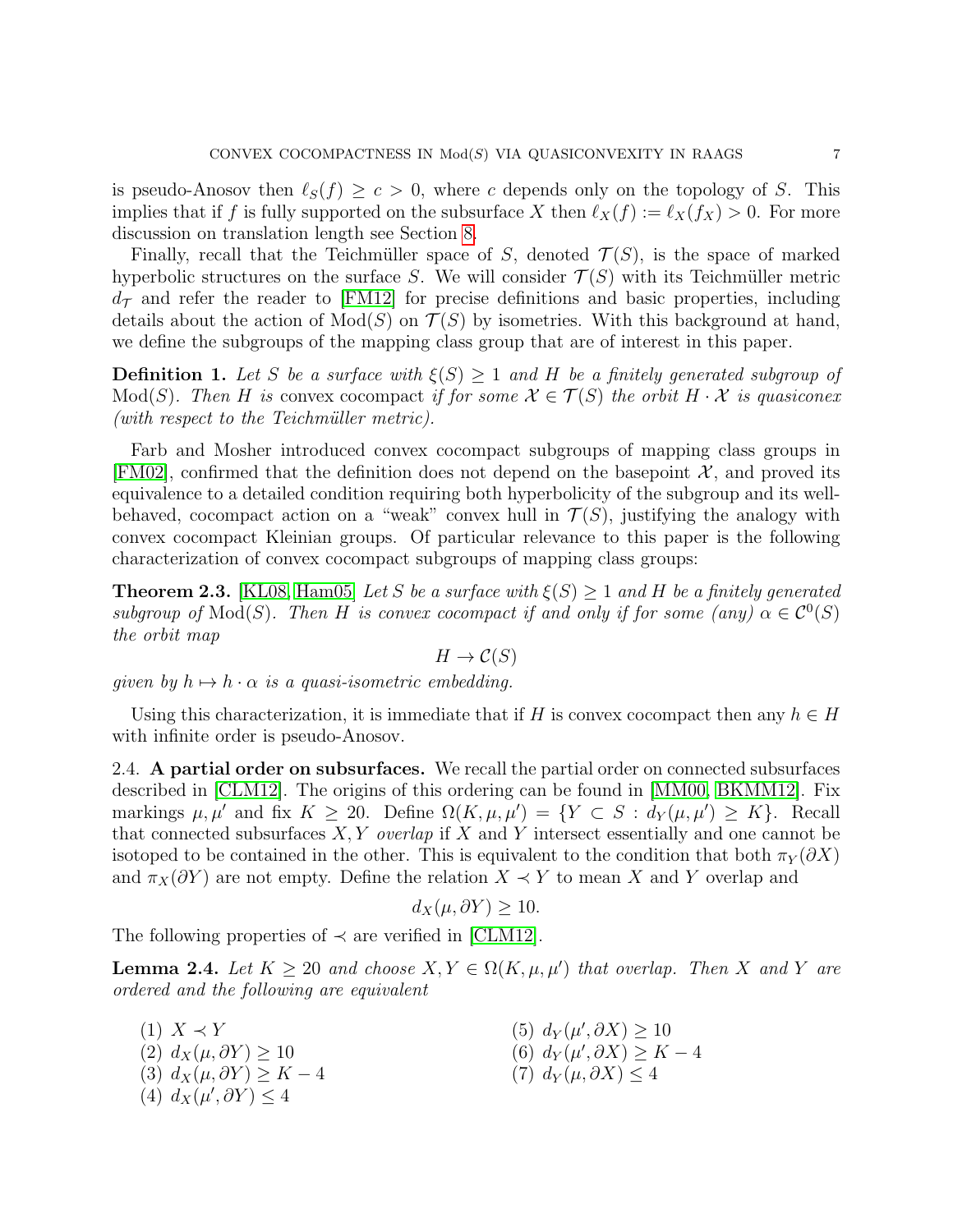is pseudo-Anosov then  $\ell_S(f) \geq c > 0$ , where c depends only on the topology of S. This implies that if f is fully supported on the subsurface X then  $\ell_X(f) := \ell_X(f_X) > 0$ . For more discussion on translation length see Section [8.](#page-21-0)

Finally, recall that the Teichmüller space of S, denoted  $\mathcal{T}(S)$ , is the space of marked hyperbolic structures on the surface S. We will consider  $\mathcal{T}(S)$  with its Teichmüller metric  $d_{\mathcal{T}}$  and refer the reader to [\[FM12\]](#page-28-8) for precise definitions and basic properties, including details about the action of  $Mod(S)$  on  $\mathcal{T}(S)$  by isometries. With this background at hand, we define the subgroups of the mapping class group that are of interest in this paper.

**Definition 1.** Let S be a surface with  $\xi(S) \geq 1$  and H be a finitely generated subgroup of Mod(S). Then H is convex cocompact if for some  $\mathcal{X} \in \mathcal{T}(S)$  the orbit  $H \cdot \mathcal{X}$  is quasiconex  $(with$  respect to the Teichmüller metric).

Farb and Mosher introduced convex cocompact subgroups of mapping class groups in [\[FM02\]](#page-28-0), confirmed that the definition does not depend on the basepoint  $\mathcal{X}$ , and proved its equivalence to a detailed condition requiring both hyperbolicity of the subgroup and its wellbehaved, cocompact action on a "weak" convex hull in  $\mathcal{T}(S)$ , justifying the analogy with convex cocompact Kleinian groups. Of particular relevance to this paper is the following characterization of convex cocompact subgroups of mapping class groups:

**Theorem 2.3.** [\[KL08,](#page-28-2) [Ham05\]](#page-28-1) Let S be a surface with  $\xi(S) \geq 1$  and H be a finitely generated subgroup of  $Mod(S)$ . Then H is convex cocompact if and only if for some (any)  $\alpha \in C^0(S)$ the orbit map

$$
H \to \mathcal{C}(S)
$$

given by  $h \mapsto h \cdot \alpha$  is a quasi-isometric embedding.

Using this characterization, it is immediate that if H is convex cocompact then any  $h \in H$ with infinite order is pseudo-Anosov.

2.4. A partial order on subsurfaces. We recall the partial order on connected subsurfaces described in [\[CLM12\]](#page-28-3). The origins of this ordering can be found in [\[MM00,](#page-29-1) [BKMM12\]](#page-28-10). Fix markings  $\mu, \mu'$  and fix  $K \geq 20$ . Define  $\Omega(K, \mu, \mu') = \{ Y \subset S : d_Y(\mu, \mu') \geq K \}$ . Recall that connected subsurfaces  $X, Y$  *overlap* if X and Y intersect essentially and one cannot be isotoped to be contained in the other. This is equivalent to the condition that both  $\pi_Y(\partial X)$ and  $\pi_X(\partial Y)$  are not empty. Define the relation  $X \prec Y$  to mean X and Y overlap and

$$
d_X(\mu, \partial Y) \ge 10.
$$

The following properties of  $\prec$  are verified in [\[CLM12\]](#page-28-3).

<span id="page-6-0"></span>**Lemma 2.4.** Let  $K \geq 20$  and choose  $X, Y \in \Omega(K, \mu, \mu')$  that overlap. Then X and Y are ordered and the following are equivalent

 $(1)$   $X \prec Y$ (2)  $d_X(\mu, \partial Y) \geq 10$ (3)  $d_X(\mu, \partial Y) \geq K - 4$ (4)  $d_X(\mu', \partial Y) \leq 4$ (5)  $d_Y(\mu', \partial X) \geq 10$ (6)  $d_Y(\mu', \partial X) \geq K - 4$  $(7) d_Y(\mu, \partial X) \leq 4$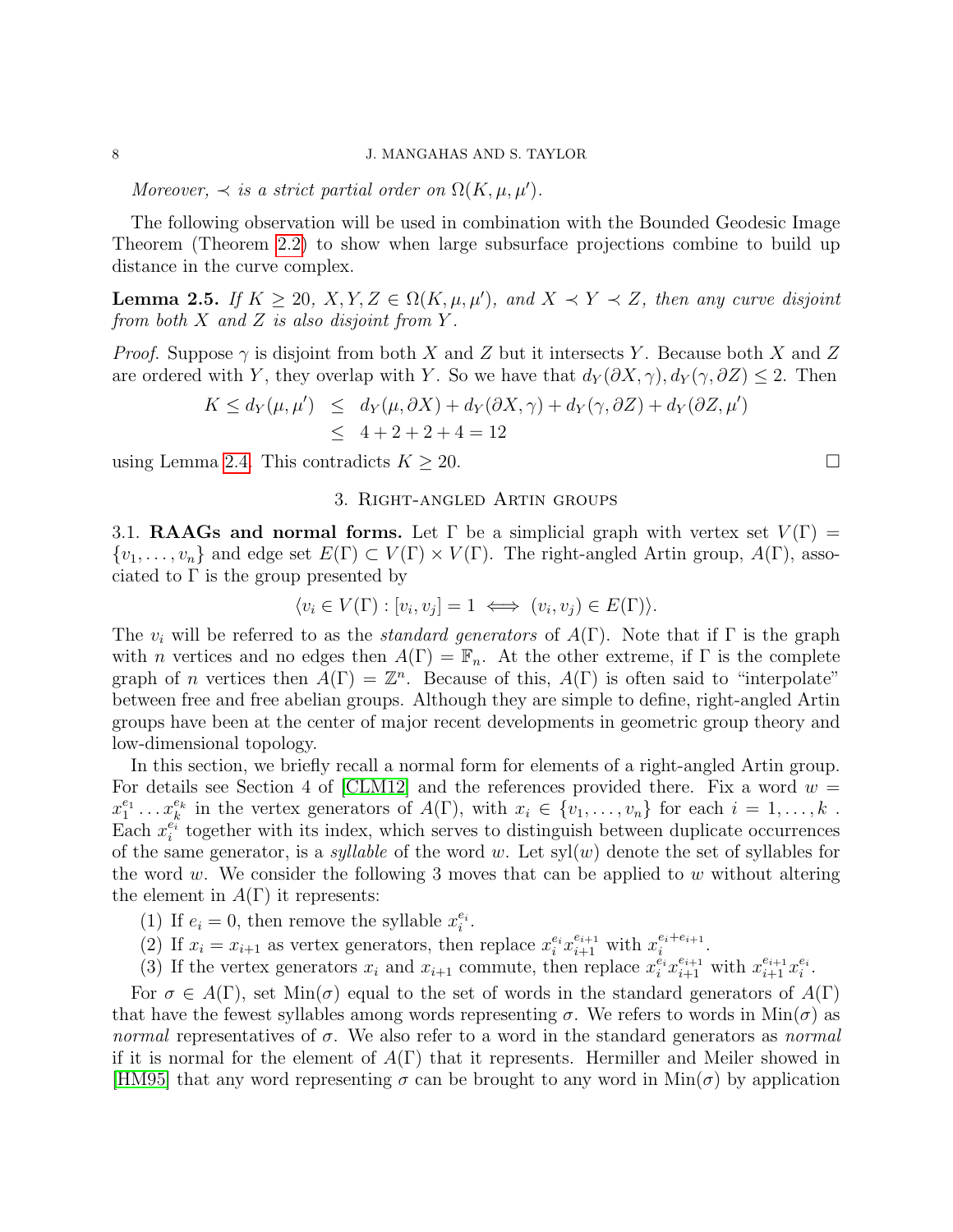Moreover,  $\prec$  is a strict partial order on  $\Omega(K, \mu, \mu')$ .

The following observation will be used in combination with the Bounded Geodesic Image Theorem (Theorem [2.2\)](#page-4-0) to show when large subsurface projections combine to build up distance in the curve complex.

<span id="page-7-0"></span>**Lemma 2.5.** If  $K \geq 20$ ,  $X, Y, Z \in \Omega(K, \mu, \mu')$ , and  $X \prec Y \prec Z$ , then any curve disjoint from both  $X$  and  $Z$  is also disjoint from  $Y$ .

*Proof.* Suppose  $\gamma$  is disjoint from both X and Z but it intersects Y. Because both X and Z are ordered with Y, they overlap with Y. So we have that  $d_Y(\partial X, \gamma), d_Y(\gamma, \partial Z) \leq 2$ . Then

$$
K \le d_Y(\mu, \mu') \le d_Y(\mu, \partial X) + d_Y(\partial X, \gamma) + d_Y(\gamma, \partial Z) + d_Y(\partial Z, \mu')
$$
  
 
$$
\le 4 + 2 + 2 + 4 = 12
$$

using Lemma [2.4.](#page-6-0) This contradicts  $K \geq 20$ .

# 3. Right-angled Artin groups

<span id="page-7-1"></span>3.1. **RAAGs and normal forms.** Let  $\Gamma$  be a simplicial graph with vertex set  $V(\Gamma)$  =  $\{v_1,\ldots,v_n\}$  and edge set  $E(\Gamma) \subset V(\Gamma) \times V(\Gamma)$ . The right-angled Artin group,  $A(\Gamma)$ , associated to  $\Gamma$  is the group presented by

$$
\langle v_i \in V(\Gamma) : [v_i, v_j] = 1 \iff (v_i, v_j) \in E(\Gamma) \rangle.
$$

The  $v_i$  will be referred to as the *standard generators* of  $A(\Gamma)$ . Note that if  $\Gamma$  is the graph with *n* vertices and no edges then  $A(\Gamma) = \mathbb{F}_n$ . At the other extreme, if  $\Gamma$  is the complete graph of *n* vertices then  $\tilde{A}(\Gamma) = \mathbb{Z}^n$ . Because of this,  $A(\Gamma)$  is often said to "interpolate" between free and free abelian groups. Although they are simple to define, right-angled Artin groups have been at the center of major recent developments in geometric group theory and low-dimensional topology.

In this section, we briefly recall a normal form for elements of a right-angled Artin group. For details see Section 4 of [\[CLM12\]](#page-28-3) and the references provided there. Fix a word  $w =$  $x_1^{e_1} \ldots x_k^{e_k}$  in the vertex generators of  $A(\Gamma)$ , with  $x_i \in \{v_1, \ldots, v_n\}$  for each  $i = 1, \ldots, k$ . Each  $x_i^{e_i}$  together with its index, which serves to distinguish between duplicate occurrences of the same generator, is a *syllable* of the word w. Let  $syl(w)$  denote the set of syllables for the word w. We consider the following 3 moves that can be applied to w without altering the element in  $A(\Gamma)$  it represents:

- (1) If  $e_i = 0$ , then remove the syllable  $x_i^{e_i}$ .
- (2) If  $x_i = x_{i+1}$  as vertex generators, then replace  $x_i^{e_i} x_{i+1}^{e_{i+1}}$  with  $x_i^{e_i+e_{i+1}}$  $\frac{e_i+e_{i+1}}{i}$  .
- (3) If the vertex generators  $x_i$  and  $x_{i+1}$  commute, then replace  $x_i^{e_i}x_{i+1}^{e_{i+1}}$  with  $x_{i+1}^{e_{i+1}}x_i^{e_i}$ .

For  $\sigma \in A(\Gamma)$ , set  $\text{Min}(\sigma)$  equal to the set of words in the standard generators of  $A(\Gamma)$ that have the fewest syllables among words representing  $\sigma$ . We refers to words in  $\text{Min}(\sigma)$  as normal representatives of  $\sigma$ . We also refer to a word in the standard generators as normal if it is normal for the element of  $A(\Gamma)$  that it represents. Hermiller and Meiler showed in [\[HM95\]](#page-28-11) that any word representing  $\sigma$  can be brought to any word in Min( $\sigma$ ) by application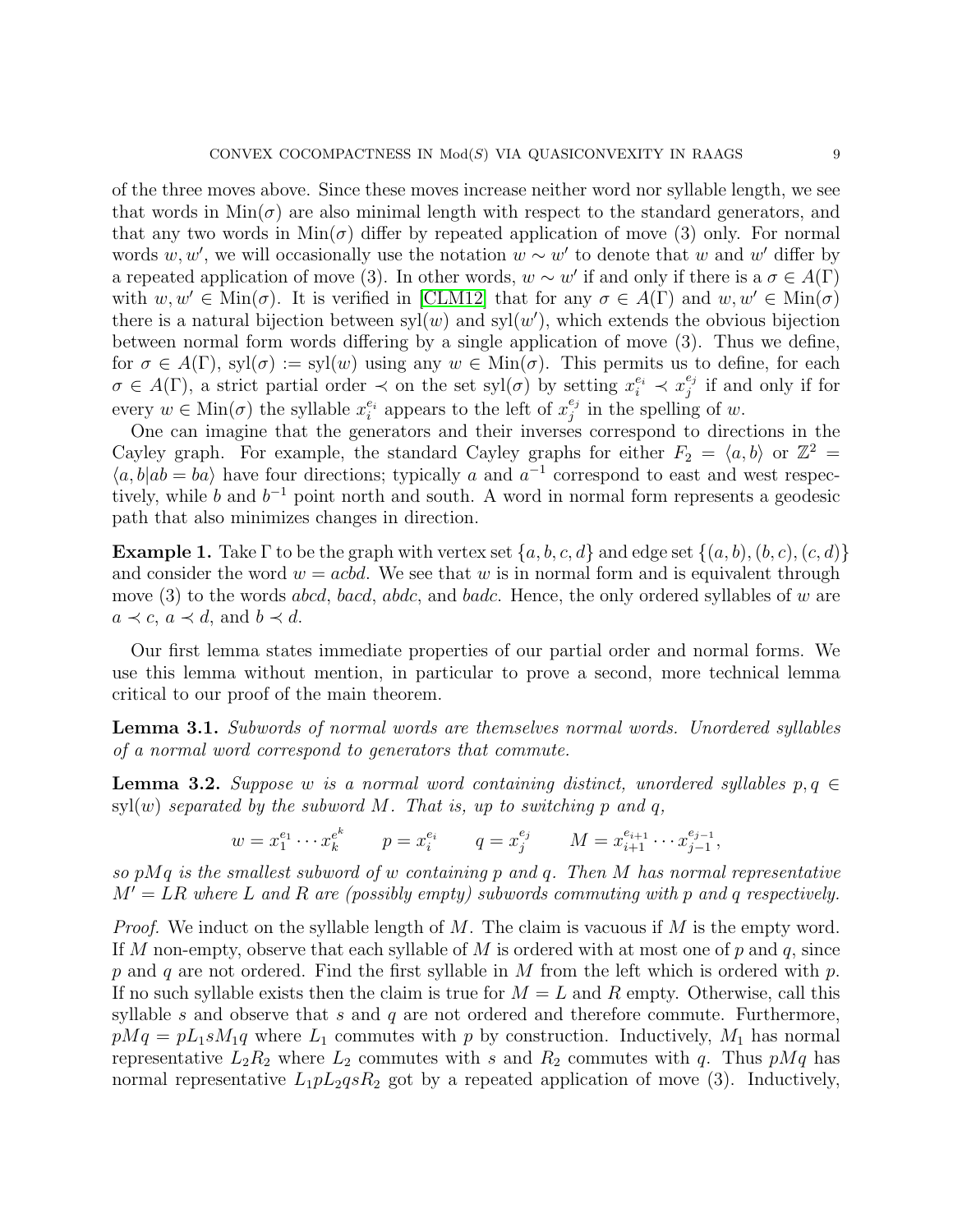of the three moves above. Since these moves increase neither word nor syllable length, we see that words in  $\text{Min}(\sigma)$  are also minimal length with respect to the standard generators, and that any two words in  $Min(\sigma)$  differ by repeated application of move (3) only. For normal words w, w', we will occasionally use the notation  $w \sim w'$  to denote that w and w' differ by a repeated application of move (3). In other words,  $w \sim w'$  if and only if there is a  $\sigma \in A(\Gamma)$ with  $w, w' \in \text{Min}(\sigma)$ . It is verified in [\[CLM12\]](#page-28-3) that for any  $\sigma \in A(\Gamma)$  and  $w, w' \in \text{Min}(\sigma)$ there is a natural bijection between  $syl(w)$  and  $syl(w')$ , which extends the obvious bijection between normal form words differing by a single application of move (3). Thus we define, for  $\sigma \in A(\Gamma)$ , syl $(\sigma) := \text{svl}(w)$  using any  $w \in \text{Min}(\sigma)$ . This permits us to define, for each  $\sigma \in A(\Gamma)$ , a strict partial order  $\prec$  on the set syl( $\sigma$ ) by setting  $x_i^{e_i} \prec x_j^{e_j}$  $j \atop j$  if and only if for every  $w \in \text{Min}(\sigma)$  the syllable  $x_i^{e_i}$  appears to the left of  $x_j^{e_j}$  $j^{e_j}$  in the spelling of w.

One can imagine that the generators and their inverses correspond to directions in the Cayley graph. For example, the standard Cayley graphs for either  $F_2 = \langle a, b \rangle$  or  $\mathbb{Z}^2 =$  $\langle a, b | ab = ba \rangle$  have four directions; typically a and  $a^{-1}$  correspond to east and west respectively, while b and  $b^{-1}$  point north and south. A word in normal form represents a geodesic path that also minimizes changes in direction.

**Example 1.** Take  $\Gamma$  to be the graph with vertex set  $\{a, b, c, d\}$  and edge set  $\{(a, b), (b, c), (c, d)\}$ and consider the word  $w = acbd$ . We see that w is in normal form and is equivalent through move  $(3)$  to the words *abcd*, *bacd*, *abdc*, and *badc*. Hence, the only ordered syllables of w are  $a \prec c, a \prec d$ , and  $b \prec d$ .

Our first lemma states immediate properties of our partial order and normal forms. We use this lemma without mention, in particular to prove a second, more technical lemma critical to our proof of the main theorem.

<span id="page-8-0"></span>Lemma 3.1. Subwords of normal words are themselves normal words. Unordered syllables of a normal word correspond to generators that commute.

<span id="page-8-1"></span>**Lemma 3.2.** Suppose w is a normal word containing distinct, unordered syllables  $p, q \in$  $\text{syl}(w)$  separated by the subword M. That is, up to switching p and q,

$$
w = x_1^{e_1} \cdots x_k^{e_k}
$$
  $p = x_i^{e_i}$   $q = x_j^{e_j}$   $M = x_{i+1}^{e_{i+1}} \cdots x_{j-1}^{e_{j-1}},$ 

so  $pMq$  is the smallest subword of w containing p and q. Then M has normal representative  $M' = LR$  where L and R are (possibly empty) subwords commuting with p and q respectively.

*Proof.* We induct on the syllable length of  $M$ . The claim is vacuous if  $M$  is the empty word. If M non-empty, observe that each syllable of M is ordered with at most one of p and q, since p and q are not ordered. Find the first syllable in M from the left which is ordered with p. If no such syllable exists then the claim is true for  $M = L$  and R empty. Otherwise, call this syllable s and observe that s and  $q$  are not ordered and therefore commute. Furthermore,  $pMq = pL_1sM_1q$  where  $L_1$  commutes with p by construction. Inductively,  $M_1$  has normal representative  $L_2R_2$  where  $L_2$  commutes with s and  $R_2$  commutes with q. Thus  $pMq$  has normal representative  $L_1pL_2qsR_2$  got by a repeated application of move (3). Inductively,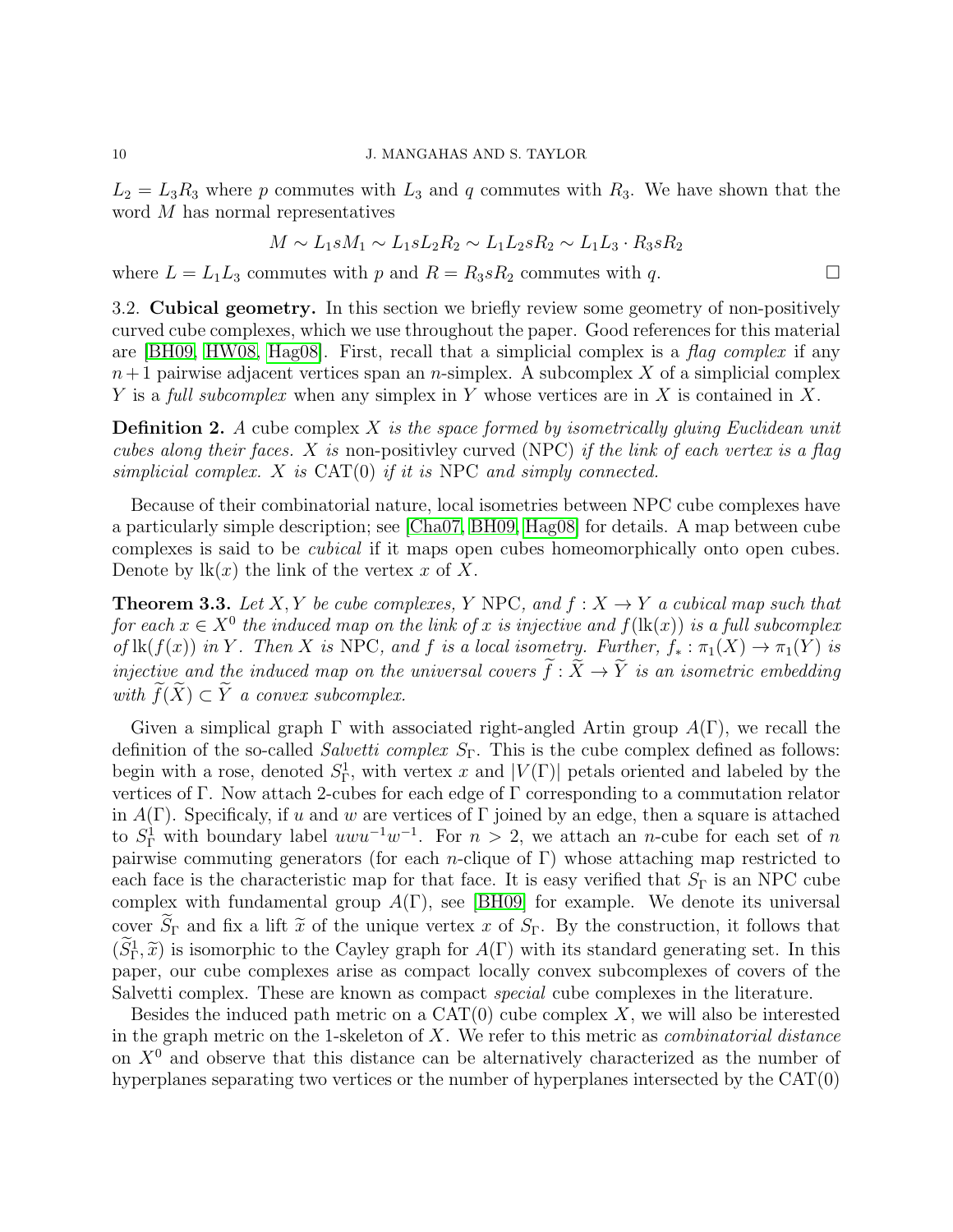$L_2 = L_3 R_3$  where p commutes with  $L_3$  and q commutes with  $R_3$ . We have shown that the word M has normal representatives

$$
M \sim L_1 s M_1 \sim L_1 s L_2 R_2 \sim L_1 L_2 s R_2 \sim L_1 L_3 \cdot R_3 s R_2
$$

where  $L = L_1 L_3$  commutes with p and  $R = R_3 s R_2$  commutes with q.

<span id="page-9-0"></span>3.2. Cubical geometry. In this section we briefly review some geometry of non-positively curved cube complexes, which we use throughout the paper. Good references for this material are [\[BH09,](#page-28-12) [HW08,](#page-28-13) [Hag08\]](#page-28-14). First, recall that a simplicial complex is a flag complex if any  $n+1$  pairwise adjacent vertices span an n-simplex. A subcomplex X of a simplicial complex Y is a full subcomplex when any simplex in Y whose vertices are in X is contained in X.

**Definition 2.** A cube complex X is the space formed by isometrically gluing Euclidean unit cubes along their faces. X is non-positivley curved (NPC) if the link of each vertex is a flag simplicial complex.  $X$  is  $CAT(0)$  if it is NPC and simply connected.

Because of their combinatorial nature, local isometries between NPC cube complexes have a particularly simple description; see [\[Cha07,](#page-28-15) [BH09,](#page-28-12) [Hag08\]](#page-28-14) for details. A map between cube complexes is said to be cubical if it maps open cubes homeomorphically onto open cubes. Denote by  $\mathbf{lk}(x)$  the link of the vertex x of X.

**Theorem 3.3.** Let X, Y be cube complexes, Y NPC, and  $f: X \rightarrow Y$  a cubical map such that for each  $x \in X^0$  the induced map on the link of x is injective and  $f(\text{lk}(x))$  is a full subcomplex of  $\text{lk}(f(x))$  in Y. Then X is NPC, and f is a local isometry. Further,  $f_* : \pi_1(X) \to \pi_1(Y)$  is injective and the induced map on the universal covers  $\tilde{f}: \tilde{X} \to \tilde{Y}$  is an isometric embedding with  $\widetilde{f}(\widetilde{X}) \subset \widetilde{Y}$  a convex subcomplex.

Given a simplical graph  $\Gamma$  with associated right-angled Artin group  $A(\Gamma)$ , we recall the definition of the so-called *Salvetti complex*  $S_{\Gamma}$ . This is the cube complex defined as follows: begin with a rose, denoted  $S_{\Gamma}^1$ , with vertex x and  $|V(\Gamma)|$  petals oriented and labeled by the vertices of Γ. Now attach 2-cubes for each edge of Γ corresponding to a commutation relator in  $A(\Gamma)$ . Specificaly, if u and w are vertices of  $\Gamma$  joined by an edge, then a square is attached to  $S_{\Gamma}^1$  with boundary label  $uwu^{-1}w^{-1}$ . For  $n > 2$ , we attach an *n*-cube for each set of *n* pairwise commuting generators (for each *n*-clique of Γ) whose attaching map restricted to each face is the characteristic map for that face. It is easy verified that  $S_{\Gamma}$  is an NPC cube complex with fundamental group  $A(\Gamma)$ , see [\[BH09\]](#page-28-12) for example. We denote its universal cover  $\widetilde{S}_{\Gamma}$  and fix a lift  $\widetilde{x}$  of the unique vertex x of  $S_{\Gamma}$ . By the construction, it follows that  $(\tilde{S}_{\Gamma}^1, \tilde{x})$  is isomorphic to the Cayley graph for  $A(\Gamma)$  with its standard generating set. In this paper, our cube complexes arise as compact locally convex subcomplexes of covers of the Salvetti complex. These are known as compact special cube complexes in the literature.

Besides the induced path metric on a  $CAT(0)$  cube complex X, we will also be interested in the graph metric on the 1-skeleton of  $X$ . We refer to this metric as *combinatorial distance* on  $X<sup>0</sup>$  and observe that this distance can be alternatively characterized as the number of hyperplanes separating two vertices or the number of hyperplanes intersected by the CAT(0)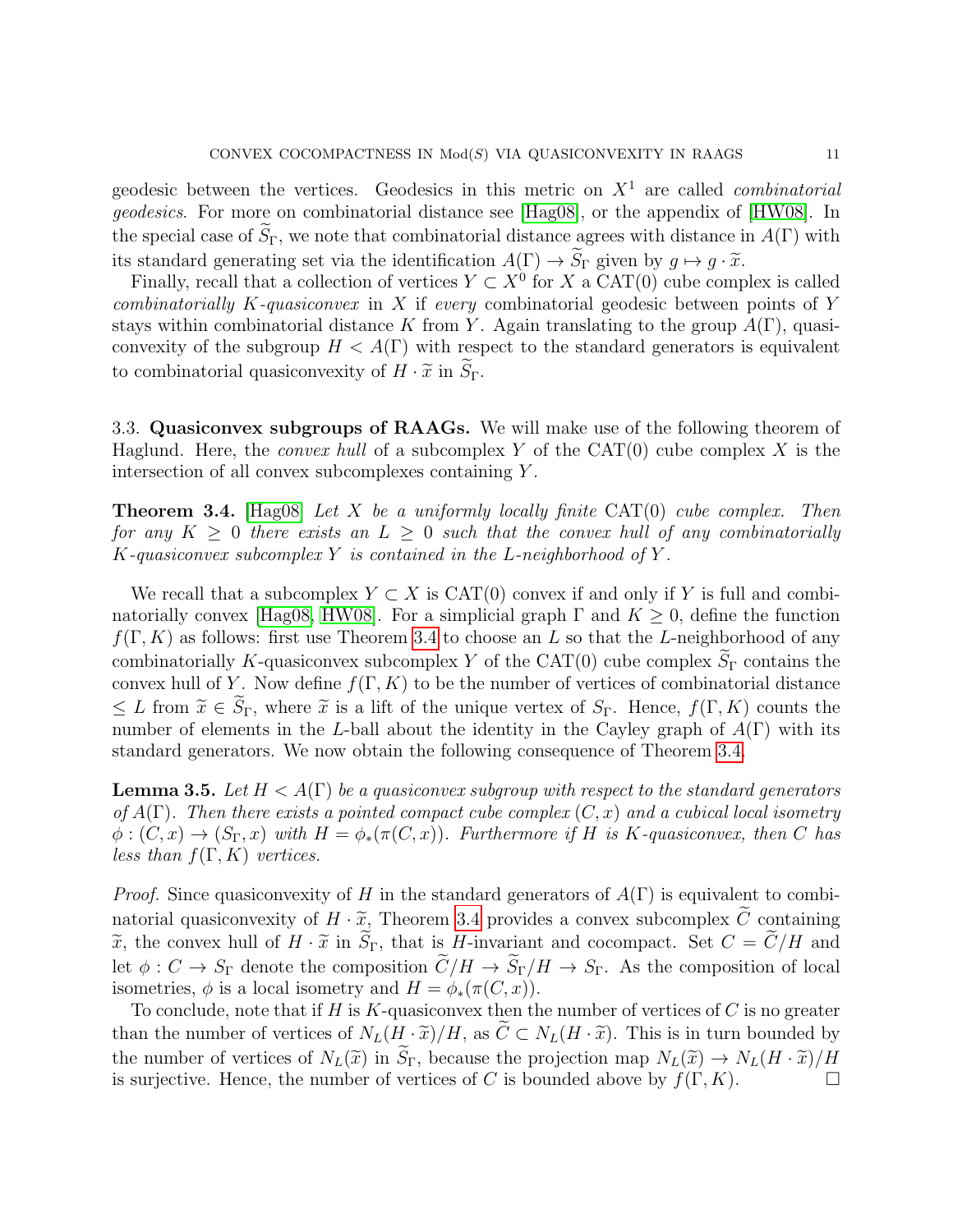geodesic between the vertices. Geodesics in this metric on  $X<sup>1</sup>$  are called *combinatorial* geodesics. For more on combinatorial distance see [\[Hag08\]](#page-28-14), or the appendix of [\[HW08\]](#page-28-13). In the special case of  $\widetilde{S}_{\Gamma}$ , we note that combinatorial distance agrees with distance in  $A(\Gamma)$  with its standard generating set via the identification  $A(\Gamma) \to \widetilde{S}_{\Gamma}$  given by  $q \mapsto q \cdot \widetilde{x}$ .

Finally, recall that a collection of vertices  $Y \subset X^0$  for X a CAT(0) cube complex is called combinatorially K-quasiconvex in X if every combinatorial geodesic between points of Y stays within combinatorial distance K from Y. Again translating to the group  $A(\Gamma)$ , quasiconvexity of the subgroup  $H < A(\Gamma)$  with respect to the standard generators is equivalent to combinatorial quasiconvexity of  $H \cdot \tilde{x}$  in  $\widetilde{S}_{\Gamma}$ .

<span id="page-10-2"></span>3.3. Quasiconvex subgroups of RAAGs. We will make use of the following theorem of Haglund. Here, the *convex hull* of a subcomplex Y of the  $CAT(0)$  cube complex X is the intersection of all convex subcomplexes containing Y .

<span id="page-10-0"></span>**Theorem 3.4.** [\[Hag08\]](#page-28-14) Let X be a uniformly locally finite  $CAT(0)$  cube complex. Then for any  $K \geq 0$  there exists an  $L \geq 0$  such that the convex hull of any combinatorially  $K$ -quasiconvex subcomplex Y is contained in the L-neighborhood of Y.

We recall that a subcomplex  $Y \subset X$  is CAT(0) convex if and only if Y is full and combi-natorially convex [\[Hag08,](#page-28-14) [HW08\]](#page-28-13). For a simplicial graph  $\Gamma$  and  $K \geq 0$ , define the function  $f(\Gamma, K)$  as follows: first use Theorem [3.4](#page-10-0) to choose an L so that the L-neighborhood of any combinatorially K-quasiconvex subcomplex Y of the CAT(0) cube complex  $S_{\Gamma}$  contains the convex hull of Y. Now define  $f(\Gamma, K)$  to be the number of vertices of combinatorial distance  $\leq L$  from  $\widetilde{x} \in \widetilde{S}_{\Gamma}$ , where  $\widetilde{x}$  is a lift of the unique vertex of  $S_{\Gamma}$ . Hence,  $f(\Gamma, K)$  counts the number of elements in the L-ball about the identity in the Cayley graph of  $A(\Gamma)$  with its standard generators. We now obtain the following consequence of Theorem [3.4.](#page-10-0)

<span id="page-10-1"></span>**Lemma 3.5.** Let  $H < A(\Gamma)$  be a quasiconvex subgroup with respect to the standard generators of  $A(\Gamma)$ . Then there exists a pointed compact cube complex  $(C, x)$  and a cubical local isometry  $\phi: (C, x) \to (S_{\Gamma}, x)$  with  $H = \phi_*(\pi(C, x))$ . Furthermore if H is K-quasiconvex, then C has less than  $f(\Gamma, K)$  vertices.

*Proof.* Since quasiconvexity of H in the standard generators of  $A(\Gamma)$  is equivalent to combinatorial quasiconvexity of  $H \cdot \tilde{x}$ , Theorem [3.4](#page-10-0) provides a convex subcomplex  $\tilde{C}$  containing  $\widetilde{x}$ , the convex hull of  $H \cdot \widetilde{x}$  in  $\widetilde{S}_{\Gamma}$ , that is H-invariant and cocompact. Set  $C = \widetilde{C}/H$  and let  $\phi: C \to S_{\Gamma}$  denote the composition  $\widetilde{C}/H \to \widetilde{S}_{\Gamma}/H \to S_{\Gamma}$ . As the composition of local isometries,  $\phi$  is a local isometry and  $H = \phi_*(\pi(C, x)).$ 

To conclude, note that if H is K-quasiconvex then the number of vertices of  $C$  is no greater than the number of vertices of  $N_L(H \cdot \tilde{x})/H$ , as  $\tilde{C} \subset N_L(H \cdot \tilde{x})$ . This is in turn bounded by the number of vertices of  $N_L(\tilde{x})$  in  $\tilde{S}_{\Gamma}$ , because the projection map  $N_L(\tilde{x}) \to N_L(H \cdot \tilde{x})/H$ <br>is surjective. Hence, the number of vertices of C is bounded above by  $f(\Gamma, K)$ . is surjective. Hence, the number of vertices of C is bounded above by  $f(\Gamma, K)$ .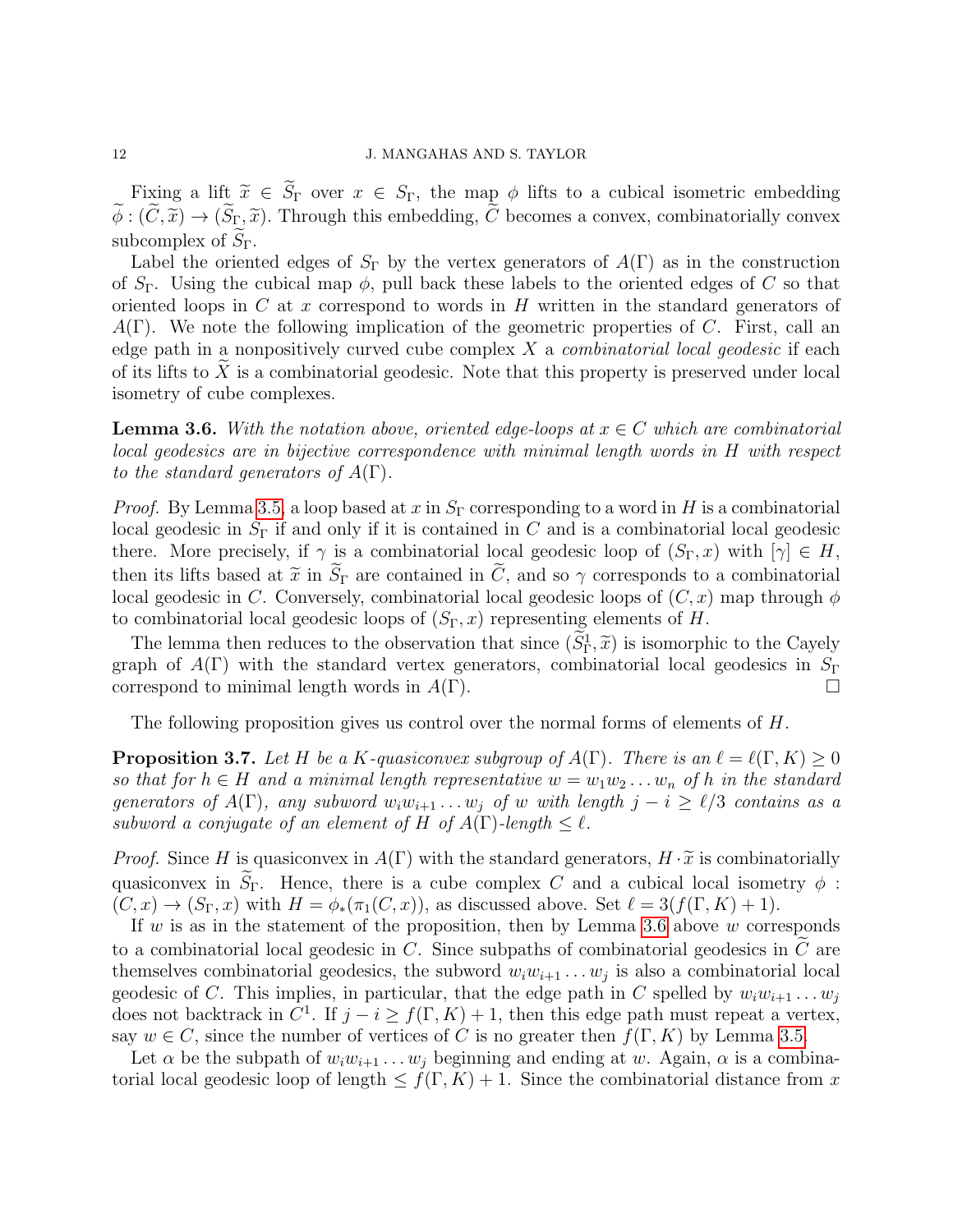Fixing a lift  $\tilde{x} \in \tilde{S}_{\Gamma}$  over  $x \in S_{\Gamma}$ , the map  $\phi$  lifts to a cubical isometric embedding  $\widetilde{\phi}: (\widetilde{C}, \widetilde{x}) \to (\widetilde{S}_{\Gamma}, \widetilde{x})$ . Through this embedding,  $\widetilde{C}$  becomes a convex, combinatorially convex subcomplex of  $S_{\Gamma}$ .

Label the oriented edges of  $S_{\Gamma}$  by the vertex generators of  $A(\Gamma)$  as in the construction of  $S_{\Gamma}$ . Using the cubical map  $\phi$ , pull back these labels to the oriented edges of C so that oriented loops in  $C$  at  $x$  correspond to words in  $H$  written in the standard generators of  $A(\Gamma)$ . We note the following implication of the geometric properties of C. First, call an edge path in a nonpositively curved cube complex  $X$  a *combinatorial local geodesic* if each of its lifts to  $\tilde{X}$  is a combinatorial geodesic. Note that this property is preserved under local isometry of cube complexes.

<span id="page-11-0"></span>**Lemma 3.6.** With the notation above, oriented edge-loops at  $x \in C$  which are combinatorial local geodesics are in bijective correspondence with minimal length words in H with respect to the standard generators of  $A(\Gamma)$ .

*Proof.* By Lemma [3.5,](#page-10-1) a loop based at x in  $S_\Gamma$  corresponding to a word in H is a combinatorial local geodesic in  $S_{\Gamma}$  if and only if it is contained in C and is a combinatorial local geodesic there. More precisely, if  $\gamma$  is a combinatorial local geodesic loop of  $(S_{\Gamma}, x)$  with  $[\gamma] \in H$ , then its lifts based at  $\tilde{x}$  in  $\tilde{S}_{\Gamma}$  are contained in  $\tilde{C}$ , and so  $\gamma$  corresponds to a combinatorial local geodesic in C. Conversely, combinatorial local geodesic loops of  $(C, x)$  map through  $\phi$ to combinatorial local geodesic loops of  $(S_{\Gamma}, x)$  representing elements of H.

The lemma then reduces to the observation that since  $(S_{\Gamma}^1, \tilde{x})$  is isomorphic to the Cayely<br>apple of  $A(\Gamma)$  with the standard vertex generators, combinatorial local goodesies in  $S_{\Gamma}$ graph of  $A(\Gamma)$  with the standard vertex generators, combinatorial local geodesics in  $S_{\Gamma}$ correspond to minimal length words in  $A(\Gamma)$ .

The following proposition gives us control over the normal forms of elements of H.

<span id="page-11-1"></span>**Proposition 3.7.** Let H be a K-quasiconvex subgroup of  $A(\Gamma)$ . There is an  $\ell = \ell(\Gamma, K) \geq 0$ so that for  $h \in H$  and a minimal length representative  $w = w_1w_2 \ldots w_n$  of h in the standard generators of  $A(\Gamma)$ , any subword  $w_iw_{i+1} \ldots w_j$  of w with length  $j - i \geq \ell/3$  contains as a subword a conjugate of an element of H of  $A(\Gamma)$ -length  $\leq \ell$ .

*Proof.* Since H is quasiconvex in  $A(\Gamma)$  with the standard generators,  $H \cdot \tilde{x}$  is combinatorially quasiconvex in  $\widetilde{S}_{\Gamma}$ . Hence, there is a cube complex C and a cubical local isometry  $\phi$ :  $(C, x) \rightarrow (S_{\Gamma}, x)$  with  $H = \phi_*(\pi_1(C, x))$ , as discussed above. Set  $\ell = 3(f(\Gamma, K) + 1)$ .

If w is as in the statement of the proposition, then by Lemma [3.6](#page-11-0) above  $w$  corresponds to a combinatorial local geodesic in  $C$ . Since subpaths of combinatorial geodesics in  $C$  are themselves combinatorial geodesics, the subword  $w_i w_{i+1} \dots w_j$  is also a combinatorial local geodesic of C. This implies, in particular, that the edge path in C spelled by  $w_iw_{i+1} \ldots w_j$ does not backtrack in  $C^1$ . If  $j - i \ge f(\Gamma, K) + 1$ , then this edge path must repeat a vertex, say  $w \in C$ , since the number of vertices of C is no greater then  $f(\Gamma, K)$  by Lemma [3.5.](#page-10-1)

Let  $\alpha$  be the subpath of  $w_iw_{i+1} \ldots w_j$  beginning and ending at w. Again,  $\alpha$  is a combinatorial local geodesic loop of length  $\leq f(\Gamma,K) + 1$ . Since the combinatorial distance from x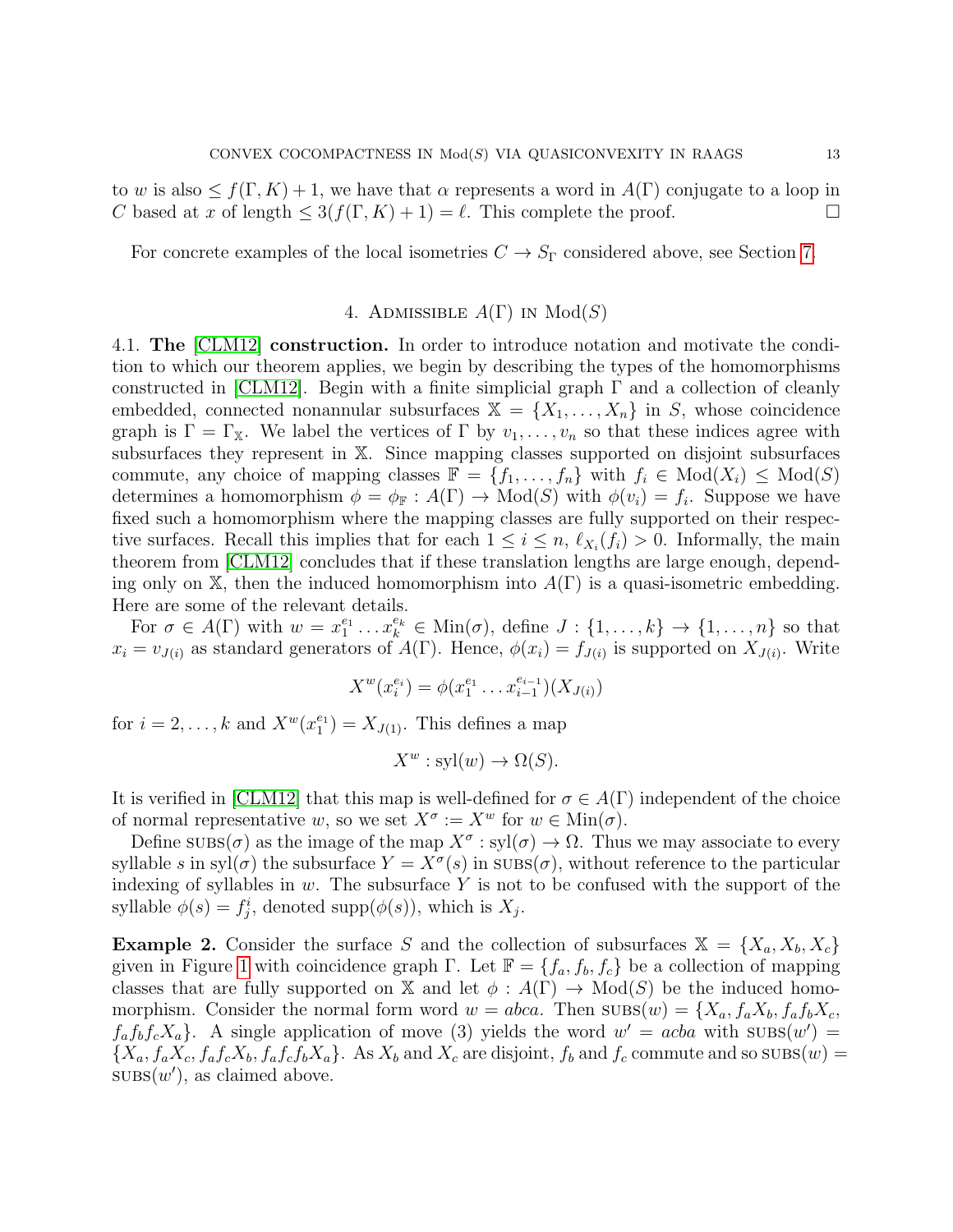to w is also  $\leq f(\Gamma, K) + 1$ , we have that  $\alpha$  represents a word in  $A(\Gamma)$  conjugate to a loop in C based at x of length  $\leq 3(f(\Gamma, K) + 1) = \ell$ . This complete the proof.

For concrete examples of the local isometries  $C \to S_{\Gamma}$  considered above, see Section [7.](#page-19-0)

# 4. ADMISSIBLE  $A(\Gamma)$  in  $Mod(S)$

4.1. The [\[CLM12\]](#page-28-3) construction. In order to introduce notation and motivate the condition to which our theorem applies, we begin by describing the types of the homomorphisms constructed in [\[CLM12\]](#page-28-3). Begin with a finite simplicial graph  $\Gamma$  and a collection of cleanly embedded, connected nonannular subsurfaces  $X = \{X_1, \ldots, X_n\}$  in S, whose coincidence graph is  $\Gamma = \Gamma_{\mathbb{X}}$ . We label the vertices of  $\Gamma$  by  $v_1, \ldots, v_n$  so that these indices agree with subsurfaces they represent in X. Since mapping classes supported on disjoint subsurfaces commute, any choice of mapping classes  $\mathbb{F} = \{f_1, \ldots, f_n\}$  with  $f_i \in Mod(X_i) \le Mod(S)$ determines a homomorphism  $\phi = \phi_{\mathbb{F}} : A(\Gamma) \to \text{Mod}(S)$  with  $\phi(v_i) = f_i$ . Suppose we have fixed such a homomorphism where the mapping classes are fully supported on their respective surfaces. Recall this implies that for each  $1 \leq i \leq n$ ,  $\ell_{X_i}(f_i) > 0$ . Informally, the main theorem from [\[CLM12\]](#page-28-3) concludes that if these translation lengths are large enough, depending only on X, then the induced homomorphism into  $A(\Gamma)$  is a quasi-isometric embedding. Here are some of the relevant details.

For  $\sigma \in A(\Gamma)$  with  $w = x_1^{e_1} \dots x_k^{e_k} \in \text{Min}(\sigma)$ , define  $J: \{1, \dots, k\} \to \{1, \dots, n\}$  so that  $x_i = v_{J(i)}$  as standard generators of  $A(\Gamma)$ . Hence,  $\phi(x_i) = f_{J(i)}$  is supported on  $X_{J(i)}$ . Write

$$
X^w(x_i^{e_i}) = \phi(x_1^{e_1} \dots x_{i-1}^{e_{i-1}})(X_{J(i)})
$$

for  $i = 2, \ldots, k$  and  $X^w(x_1^{e_1}) = X_{J(1)}$ . This defines a map

$$
X^w : \mathrm{syl}(w) \to \Omega(S).
$$

It is verified in [\[CLM12\]](#page-28-3) that this map is well-defined for  $\sigma \in A(\Gamma)$  independent of the choice of normal representative w, so we set  $X^{\sigma} := X^{w}$  for  $w \in \text{Min}(\sigma)$ .

Define  $\text{SUBS}(\sigma)$  as the image of the map  $X^{\sigma}: \text{syl}(\sigma) \to \Omega$ . Thus we may associate to every syllable s in syl $(\sigma)$  the subsurface  $Y = X^{\sigma}(s)$  in  $\text{SUBS}(\sigma)$ , without reference to the particular indexing of syllables in  $w$ . The subsurface Y is not to be confused with the support of the syllable  $\phi(s) = f_j^i$ , denoted supp $(\phi(s))$ , which is  $X_j$ .

**Example 2.** Consider the surface S and the collection of subsurfaces  $X = \{X_a, X_b, X_c\}$ given in Figure [1](#page-5-1) with coincidence graph Γ. Let  $\mathbb{F} = \{f_a, f_b, f_c\}$  be a collection of mapping classes that are fully supported on X and let  $\phi : A(\Gamma) \to Mod(S)$  be the induced homomorphism. Consider the normal form word  $w = abca$ . Then  $\text{SUBS}(w) = \{X_a, f_a X_b, f_a f_b X_c,$  $f_a f_b f_c X_a$ . A single application of move (3) yields the word  $w' = acba$  with  $\text{SUBS}(w') =$  $\{X_a, f_aX_c, f_af_cX_b, f_a f_c f_bX_a\}.$  As  $X_b$  and  $X_c$  are disjoint,  $f_b$  and  $f_c$  commute and so  $\text{SUBS}(w) =$  $\text{SUBS}(w')$ , as claimed above.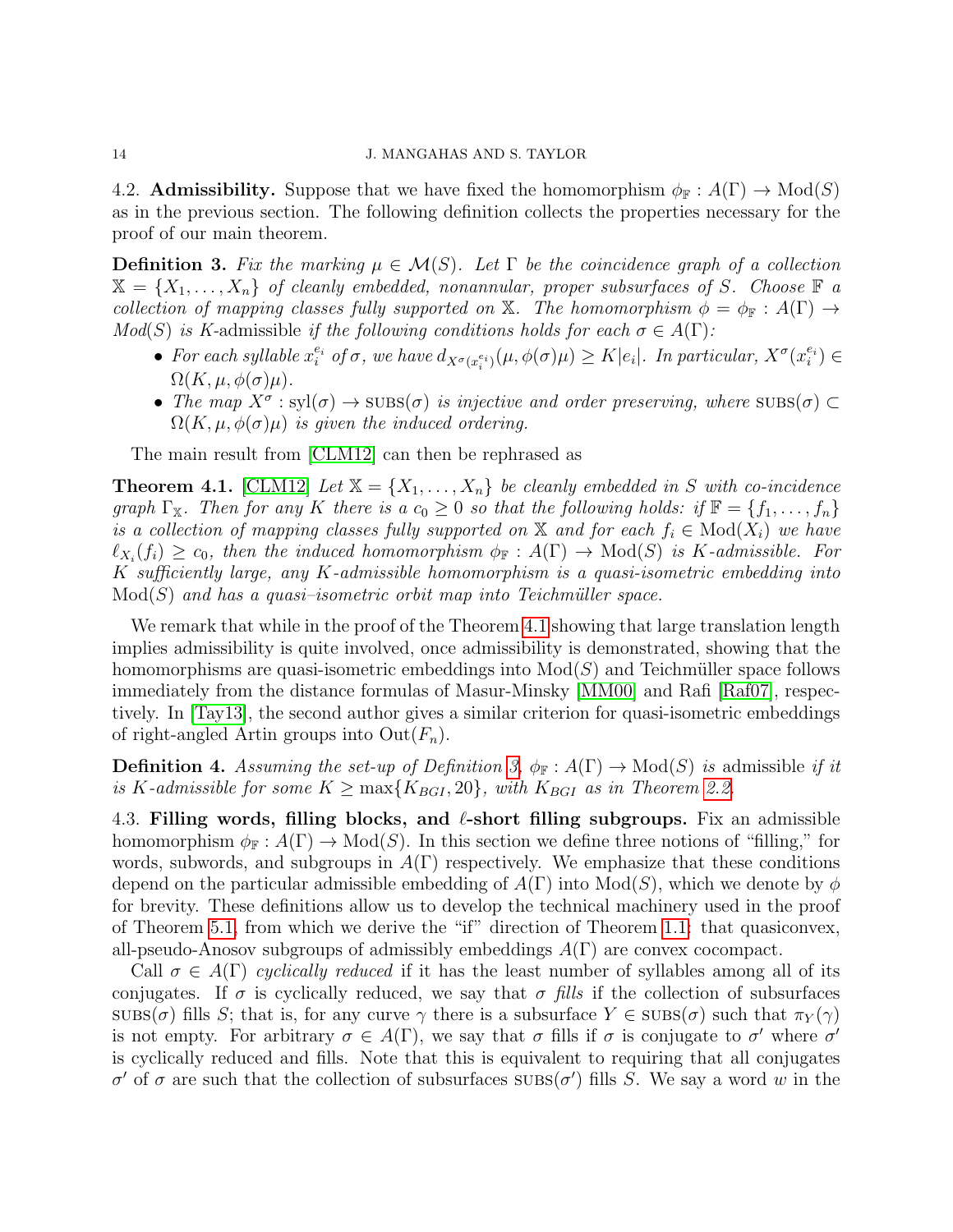4.2. **Admissibility.** Suppose that we have fixed the homomorphism  $\phi_{\mathbb{F}}: A(\Gamma) \to \text{Mod}(S)$ as in the previous section. The following definition collects the properties necessary for the proof of our main theorem.

<span id="page-13-1"></span>**Definition 3.** Fix the marking  $\mu \in \mathcal{M}(S)$ . Let  $\Gamma$  be the coincidence graph of a collection  $\mathbb{X} = \{X_1, \ldots, X_n\}$  of cleanly embedded, nonannular, proper subsurfaces of S. Choose  $\mathbb{F}$  a collection of mapping classes fully supported on X. The homomorphism  $\phi = \phi_{\mathbb{F}} : A(\Gamma) \to$  $Mod(S)$  is K-admissible if the following conditions holds for each  $\sigma \in A(\Gamma)$ :

- For each syllable  $x_i^{e_i}$  of  $\sigma$ , we have  $d_{X^{\sigma}(x_i^{e_i})}(\mu, \phi(\sigma)\mu) \geq K|e_i|$ . In particular,  $X^{\sigma}(x_i^{e_i}) \in$  $\Omega(K, \mu, \phi(\sigma)\mu).$
- The map  $X^{\sigma}$ : syl $(\sigma) \to$  subs $(\sigma)$  is injective and order preserving, where  $\text{SUBS}(\sigma) \subset$  $\Omega(K, \mu, \phi(\sigma)\mu)$  is given the induced ordering.

The main result from [\[CLM12\]](#page-28-3) can then be rephrased as

<span id="page-13-0"></span>**Theorem 4.1.** [\[CLM12\]](#page-28-3) Let  $X = \{X_1, \ldots, X_n\}$  be cleanly embedded in S with co-incidence graph  $\Gamma_{\mathbb{X}}$ . Then for any K there is a  $c_0 \geq 0$  so that the following holds: if  $\mathbb{F} = \{f_1, \ldots, f_n\}$ is a collection of mapping classes fully supported on X and for each  $f_i \in Mod(X_i)$  we have  $\ell_{X_i}(f_i) \geq c_0$ , then the induced homomorphism  $\phi_{\mathbb{F}} : A(\Gamma) \to \text{Mod}(S)$  is K-admissible. For K sufficiently large, any K-admissible homomorphism is a quasi-isometric embedding into  $Mod(S)$  and has a quasi–isometric orbit map into Teichmüller space.

We remark that while in the proof of the Theorem [4.1](#page-13-0) showing that large translation length implies admissibility is quite involved, once admissibility is demonstrated, showing that the homomorphisms are quasi-isometric embeddings into  $Mod(S)$  and Teichmüller space follows immediately from the distance formulas of Masur-Minsky [\[MM00\]](#page-29-1) and Rafi [\[Raf07\]](#page-29-3), respectively. In [\[Tay13\]](#page-29-4), the second author gives a similar criterion for quasi-isometric embeddings of right-angled Artin groups into  $Out(F_n)$ .

**Definition 4.** Assuming the set-up of Definition [3,](#page-13-1)  $\phi_{\mathbb{F}}: A(\Gamma) \to \text{Mod}(S)$  is admissible if it is K-admissible for some  $K \ge \max\{K_{BGI}, 20\}$ , with  $K_{BGI}$  as in Theorem [2.2.](#page-4-0)

4.3. Filling words, filling blocks, and  $\ell$ -short filling subgroups. Fix an admissible homomorphism  $\phi_{\mathbb{F}}: A(\Gamma) \to \text{Mod}(S)$ . In this section we define three notions of "filling," for words, subwords, and subgroups in  $A(\Gamma)$  respectively. We emphasize that these conditions depend on the particular admissible embedding of  $A(\Gamma)$  into  $Mod(S)$ , which we denote by  $\phi$ for brevity. These definitions allow us to develop the technical machinery used in the proof of Theorem [5.1,](#page-16-0) from which we derive the "if" direction of Theorem [1.1:](#page-0-0) that quasiconvex, all-pseudo-Anosov subgroups of admissibly embeddings  $A(\Gamma)$  are convex cocompact.

Call  $\sigma \in A(\Gamma)$  cyclically reduced if it has the least number of syllables among all of its conjugates. If  $\sigma$  is cyclically reduced, we say that  $\sigma$  fills if the collection of subsurfaces subs( $\sigma$ ) fills S; that is, for any curve  $\gamma$  there is a subsurface  $Y \in \text{SUBS}(\sigma)$  such that  $\pi_Y(\gamma)$ is not empty. For arbitrary  $\sigma \in A(\Gamma)$ , we say that  $\sigma$  fills if  $\sigma$  is conjugate to  $\sigma'$  where  $\sigma'$ is cyclically reduced and fills. Note that this is equivalent to requiring that all conjugates σ' of σ are such that the collection of subsurfaces  $\overline{\text{SUBS}}(\sigma')$  fills S. We say a word w in the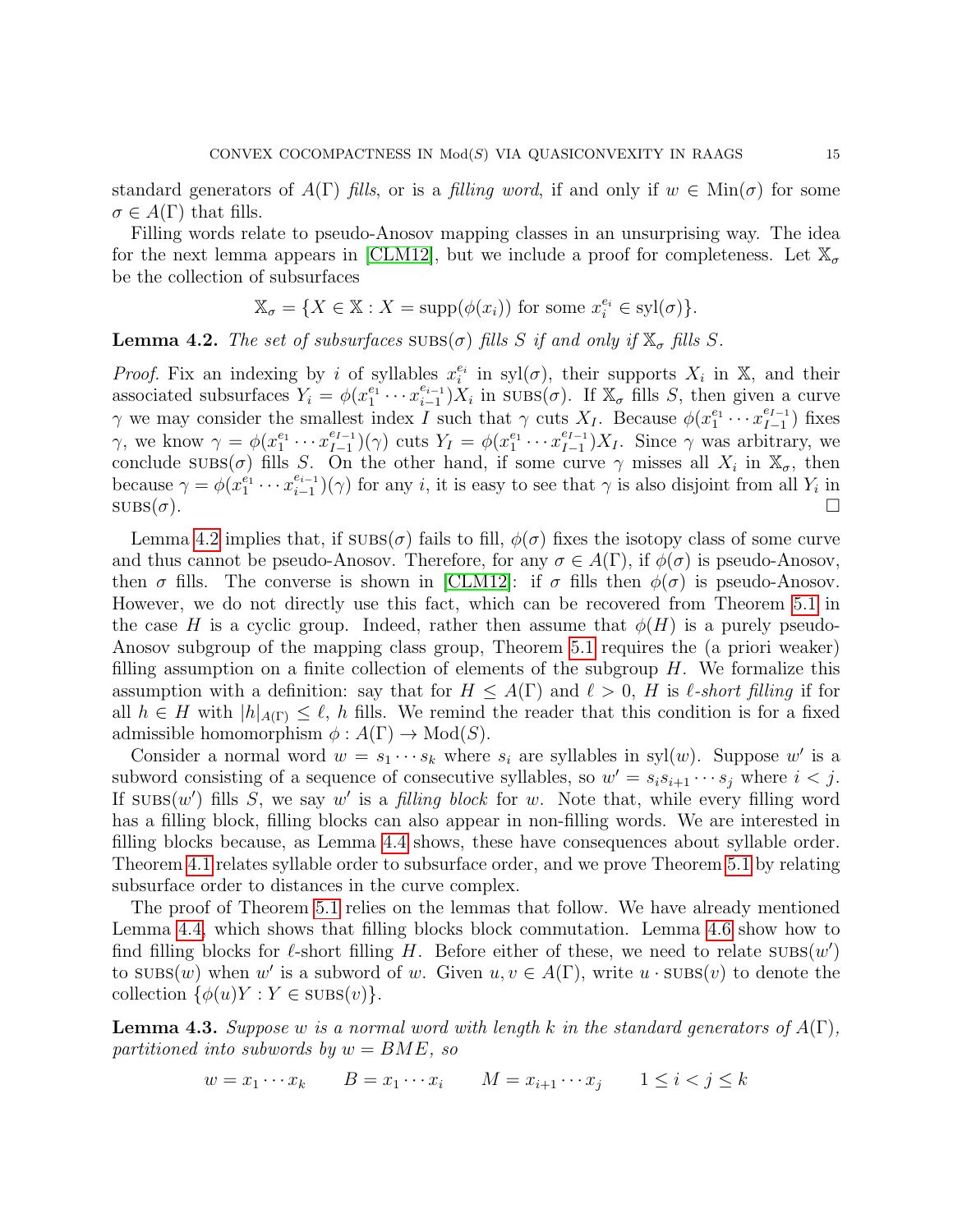standard generators of  $A(\Gamma)$  fills, or is a filling word, if and only if  $w \in \text{Min}(\sigma)$  for some  $\sigma \in A(\Gamma)$  that fills.

Filling words relate to pseudo-Anosov mapping classes in an unsurprising way. The idea for the next lemma appears in [\[CLM12\]](#page-28-3), but we include a proof for completeness. Let  $\mathbb{X}_{\sigma}$ be the collection of subsurfaces

$$
\mathbb{X}_{\sigma} = \{ X \in \mathbb{X} : X = \text{supp}(\phi(x_i)) \text{ for some } x_i^{e_i} \in \text{syl}(\sigma) \}.
$$

<span id="page-14-0"></span>**Lemma 4.2.** The set of subsurfaces  $SUBS(\sigma)$  fills S if and only if  $\mathbb{X}_{\sigma}$  fills S.

*Proof.* Fix an indexing by i of syllables  $x_i^{e_i}$  in  $syl(\sigma)$ , their supports  $X_i$  in  $X$ , and their associated subsurfaces  $Y_i = \phi(x_1^{e_1} \cdots x_{i-1}^{e_{i-1}})$  $\sum_{i=1}^{e_{i-1}} X_i$  in  $\text{SUBS}(\sigma)$ . If  $\mathbb{X}_{\sigma}$  fills S, then given a curve  $\gamma$  we may consider the smallest index I such that  $\gamma$  cuts  $X_I$ . Because  $\phi(x_1^{e_1} \cdots x_{I-1}^{e_{I-1}})$  $_{I-1}^{e_{I-1}}$ ) fixes  $\gamma$ , we know  $\gamma = \phi(x_1^{e_1} \cdots x_{I-1}^{e_{I-1}})$  $\binom{e_{I-1}}{I-1}(\gamma)$  cuts  $Y_I = \phi(x_1^{e_1} \cdots x_{I-1}^{e_{I-1}})$  $\binom{e_{I-1}}{I-1}X_I$ . Since  $\gamma$  was arbitrary, we conclude  $\text{SUBS}(\sigma)$  fills S. On the other hand, if some curve  $\gamma$  misses all  $X_i$  in  $\mathbb{X}_{\sigma}$ , then because  $\gamma = \phi(x_1^{e_1} \cdots x_{i-1}^{e_{i-1}})$  $\binom{e_{i-1}}{i-1}(\gamma)$  for any *i*, it is easy to see that  $\gamma$  is also disjoint from all  $Y_i$  in  $\text{SUBS}(\sigma)$ .

Lemma [4.2](#page-14-0) implies that, if  $\text{SUBS}(\sigma)$  fails to fill,  $\phi(\sigma)$  fixes the isotopy class of some curve and thus cannot be pseudo-Anosov. Therefore, for any  $\sigma \in A(\Gamma)$ , if  $\phi(\sigma)$  is pseudo-Anosov, then  $\sigma$  fills. The converse is shown in [\[CLM12\]](#page-28-3): if  $\sigma$  fills then  $\phi(\sigma)$  is pseudo-Anosov. However, we do not directly use this fact, which can be recovered from Theorem [5.1](#page-16-0) in the case H is a cyclic group. Indeed, rather then assume that  $\phi(H)$  is a purely pseudo-Anosov subgroup of the mapping class group, Theorem [5.1](#page-16-0) requires the (a priori weaker) filling assumption on a finite collection of elements of the subgroup  $H$ . We formalize this assumption with a definition: say that for  $H \leq A(\Gamma)$  and  $\ell > 0$ , H is  $\ell$ -short filling if for all  $h \in H$  with  $|h|_{A(\Gamma)} \leq \ell$ , h fills. We remind the reader that this condition is for a fixed admissible homomorphism  $\phi: A(\Gamma) \to \text{Mod}(S)$ .

Consider a normal word  $w = s_1 \cdots s_k$  where  $s_i$  are syllables in syl $(w)$ . Suppose w' is a subword consisting of a sequence of consecutive syllables, so  $w' = s_i s_{i+1} \cdots s_j$  where  $i < j$ . If  $\text{SUBS}(w')$  fills S, we say w' is a filling block for w. Note that, while every filling word has a filling block, filling blocks can also appear in non-filling words. We are interested in filling blocks because, as Lemma [4.4](#page-15-0) shows, these have consequences about syllable order. Theorem [4.1](#page-13-0) relates syllable order to subsurface order, and we prove Theorem [5.1](#page-16-0) by relating subsurface order to distances in the curve complex.

The proof of Theorem [5.1](#page-16-0) relies on the lemmas that follow. We have already mentioned Lemma [4.4,](#page-15-0) which shows that filling blocks block commutation. Lemma [4.6](#page-15-1) show how to find filling blocks for  $\ell$ -short filling H. Before either of these, we need to relate  $\text{SUBS}(w')$ to  $\text{SUBS}(w)$  when w' is a subword of w. Given  $u, v \in A(\Gamma)$ , write  $u \cdot \text{SUBS}(v)$  to denote the collection  $\{\phi(u)Y : Y \in \text{SUBs}(v)\}.$ 

<span id="page-14-1"></span>**Lemma 4.3.** Suppose w is a normal word with length k in the standard generators of  $A(\Gamma)$ , partitioned into subwords by  $w = BME$ , so

$$
w = x_1 \cdots x_k \qquad B = x_1 \cdots x_i \qquad M = x_{i+1} \cdots x_j \qquad 1 \le i < j \le k
$$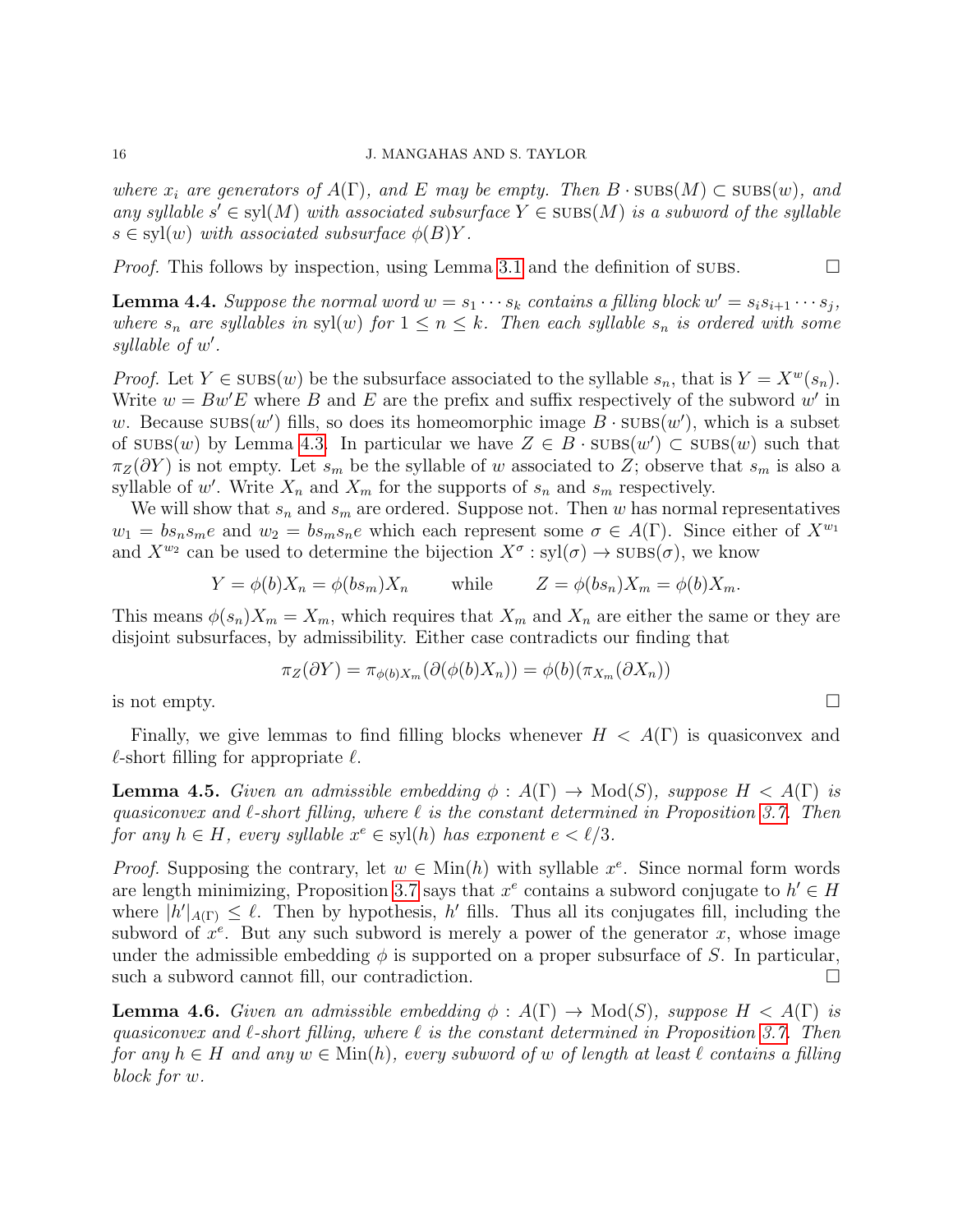where  $x_i$  are generators of  $A(\Gamma)$ , and E may be empty. Then  $B \cdot \text{SUBS}(M) \subset \text{SUBS}(w)$ , and any syllable  $s' \in \text{syl}(M)$  with associated subsurface  $Y \in \text{SUBS}(M)$  is a subword of the syllable  $s \in \text{syl}(w)$  with associated subsurface  $\phi(B)Y$ .

*Proof.* This follows by inspection, using Lemma [3.1](#page-8-0) and the definition of subs.  $\square$ 

<span id="page-15-0"></span>**Lemma 4.4.** Suppose the normal word  $w = s_1 \cdots s_k$  contains a filling block  $w' = s_i s_{i+1} \cdots s_j$ , where  $s_n$  are syllables in syl(w) for  $1 \leq n \leq k$ . Then each syllable  $s_n$  is ordered with some  $syllable$  of  $w'$ .

*Proof.* Let  $Y \in \text{SUBS}(w)$  be the subsurface associated to the syllable  $s_n$ , that is  $Y = X^w(s_n)$ . Write  $w = Bw'E$  where B and E are the prefix and suffix respectively of the subword w' in w. Because  $\text{SUBS}(w')$  fills, so does its homeomorphic image  $B \cdot \text{SUBS}(w')$ , which is a subset of  $\text{SUBS}(w)$  by Lemma [4.3.](#page-14-1) In particular we have  $Z \in \overline{B} \cdot \text{SUBS}(w') \subset \text{SUBS}(w)$  such that  $\pi_Z(\partial Y)$  is not empty. Let  $s_m$  be the syllable of w associated to Z; observe that  $s_m$  is also a syllable of w'. Write  $X_n$  and  $X_m$  for the supports of  $s_n$  and  $s_m$  respectively.

We will show that  $s_n$  and  $s_m$  are ordered. Suppose not. Then w has normal representatives  $w_1 = bs_n s_m e$  and  $w_2 = bs_m s_n e$  which each represent some  $\sigma \in A(\Gamma)$ . Since either of  $X^{w_1}$ and  $X^{w_2}$  can be used to determine the bijection  $X^{\sigma}: \mathrm{syl}(\sigma) \to \mathrm{SUBS}(\sigma)$ , we know

$$
Y = \phi(b)X_n = \phi(b s_m)X_n \quad \text{while} \quad Z = \phi(b s_n)X_m = \phi(b)X_m.
$$

This means  $\phi(s_n)X_m = X_m$ , which requires that  $X_m$  and  $X_n$  are either the same or they are disjoint subsurfaces, by admissibility. Either case contradicts our finding that

$$
\pi_Z(\partial Y) = \pi_{\phi(b)X_m}(\partial(\phi(b)X_n)) = \phi(b)(\pi_{X_m}(\partial X_n))
$$

is not empty.  $\square$ 

Finally, we give lemmas to find filling blocks whenever  $H < A(\Gamma)$  is quasiconvex and  $\ell$ -short filling for appropriate  $\ell$ .

<span id="page-15-2"></span>**Lemma 4.5.** Given an admissible embedding  $\phi : A(\Gamma) \to \text{Mod}(S)$ , suppose  $H < A(\Gamma)$  is quasiconvex and  $\ell$ -short filling, where  $\ell$  is the constant determined in Proposition [3.7.](#page-11-1) Then for any  $h \in H$ , every syllable  $x^e \in \text{syl}(h)$  has exponent  $e < l/3$ .

*Proof.* Supposing the contrary, let  $w \in \text{Min}(h)$  with syllable  $x^e$ . Since normal form words are length minimizing, Proposition [3.7](#page-11-1) says that  $x^e$  contains a subword conjugate to  $h' \in H$ where  $|h'|_{A(\Gamma)} \leq \ell$ . Then by hypothesis, h' fills. Thus all its conjugates fill, including the subword of  $x^e$ . But any such subword is merely a power of the generator x, whose image under the admissible embedding  $\phi$  is supported on a proper subsurface of S. In particular, such a subword cannot fill, our contradiction.

<span id="page-15-1"></span>**Lemma 4.6.** Given an admissible embedding  $\phi : A(\Gamma) \to \text{Mod}(S)$ , suppose  $H < A(\Gamma)$  is quasiconvex and  $\ell$ -short filling, where  $\ell$  is the constant determined in Proposition [3.7.](#page-11-1) Then for any  $h \in H$  and any  $w \in \text{Min}(h)$ , every subword of w of length at least  $\ell$  contains a filling block for w.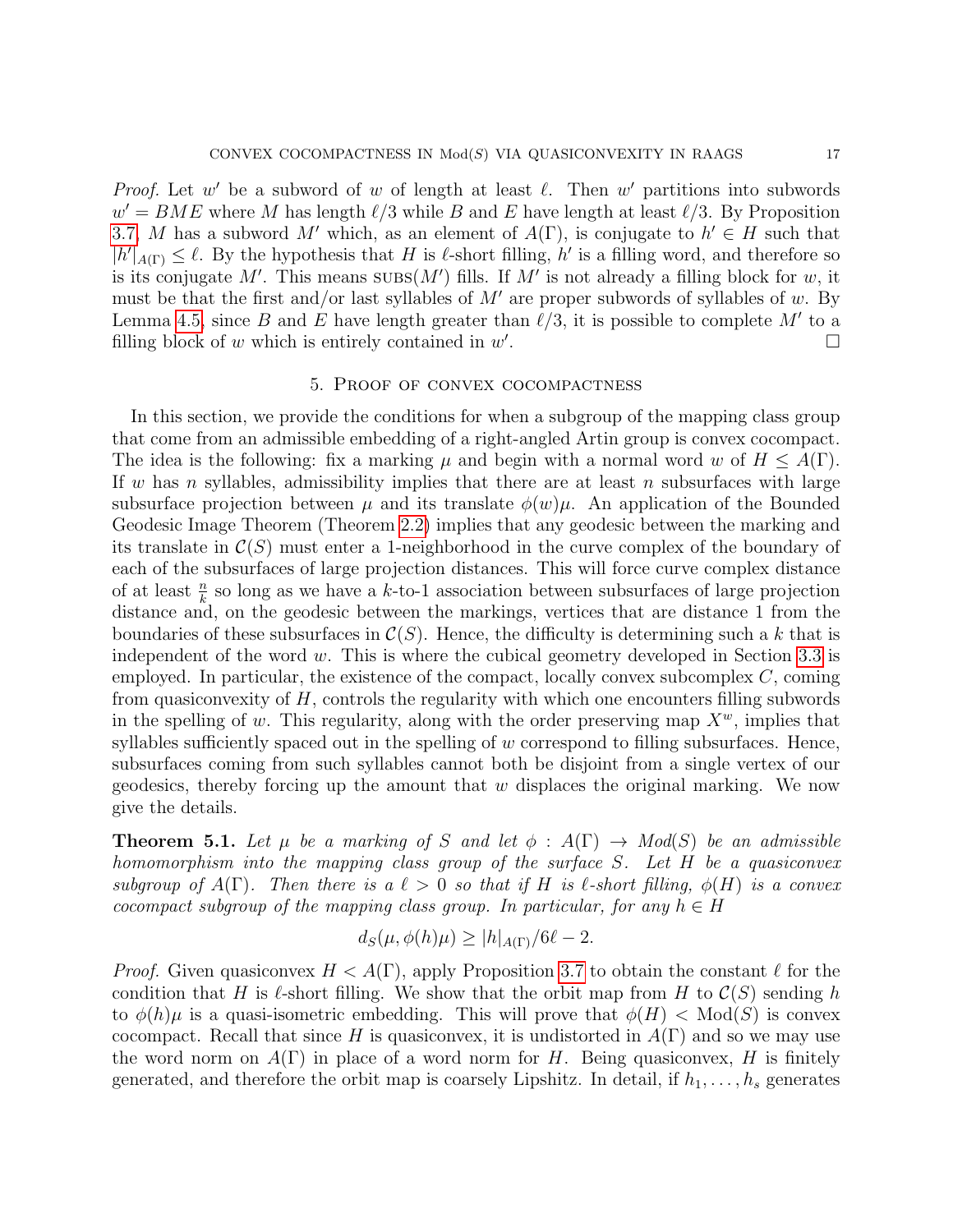*Proof.* Let w' be a subword of w of length at least  $\ell$ . Then w' partitions into subwords  $w' = BME$  where M has length  $\ell/3$  while B and E have length at least  $\ell/3$ . By Proposition [3.7,](#page-11-1) M has a subword M' which, as an element of  $A(\Gamma)$ , is conjugate to  $h' \in H$  such that  $|h'|_{A(\Gamma)} \leq \ell$ . By the hypothesis that H is  $\ell$ -short filling, h' is a filling word, and therefore so is its conjugate M'. This means  $\text{SUBS}(M')$  fills. If M' is not already a filling block for w, it must be that the first and/or last syllables of  $M'$  are proper subwords of syllables of w. By Lemma [4.5,](#page-15-2) since B and E have length greater than  $\ell/3$ , it is possible to complete M' to a filling block of  $w$  which is entirely contained in  $w'$ .

# 5. Proof of convex cocompactness

In this section, we provide the conditions for when a subgroup of the mapping class group that come from an admissible embedding of a right-angled Artin group is convex cocompact. The idea is the following: fix a marking  $\mu$  and begin with a normal word w of  $H \leq A(\Gamma)$ . If w has n syllables, admissibility implies that there are at least n subsurfaces with large subsurface projection between  $\mu$  and its translate  $\phi(w)\mu$ . An application of the Bounded Geodesic Image Theorem (Theorem [2.2\)](#page-4-0) implies that any geodesic between the marking and its translate in  $\mathcal{C}(S)$  must enter a 1-neighborhood in the curve complex of the boundary of each of the subsurfaces of large projection distances. This will force curve complex distance of at least  $\frac{n}{k}$  so long as we have a k-to-1 association between subsurfaces of large projection distance and, on the geodesic between the markings, vertices that are distance 1 from the boundaries of these subsurfaces in  $\mathcal{C}(S)$ . Hence, the difficulty is determining such a k that is independent of the word w. This is where the cubical geometry developed in Section [3.3](#page-10-2) is employed. In particular, the existence of the compact, locally convex subcomplex  $C$ , coming from quasiconvexity of  $H$ , controls the regularity with which one encounters filling subwords in the spelling of w. This regularity, along with the order preserving map  $X^w$ , implies that syllables sufficiently spaced out in the spelling of  $w$  correspond to filling subsurfaces. Hence, subsurfaces coming from such syllables cannot both be disjoint from a single vertex of our geodesics, thereby forcing up the amount that  $w$  displaces the original marking. We now give the details.

<span id="page-16-0"></span>**Theorem 5.1.** Let  $\mu$  be a marking of S and let  $\phi : A(\Gamma) \to Mod(S)$  be an admissible homomorphism into the mapping class group of the surface S. Let H be a quasiconvex subgroup of  $A(\Gamma)$ . Then there is a  $\ell > 0$  so that if H is  $\ell$ -short filling,  $\phi(H)$  is a convex cocompact subgroup of the mapping class group. In particular, for any  $h \in H$ 

$$
d_S(\mu, \phi(h)\mu) \ge |h|_{A(\Gamma)}/6\ell - 2.
$$

*Proof.* Given quasiconvex  $H < A(\Gamma)$ , apply Proposition [3.7](#page-11-1) to obtain the constant  $\ell$  for the condition that H is  $\ell$ -short filling. We show that the orbit map from H to  $\mathcal{C}(S)$  sending h to  $\phi(h)\mu$  is a quasi-isometric embedding. This will prove that  $\phi(H) < Mod(S)$  is convex cocompact. Recall that since H is quasiconvex, it is undistorted in  $A(\Gamma)$  and so we may use the word norm on  $A(\Gamma)$  in place of a word norm for H. Being quasiconvex, H is finitely generated, and therefore the orbit map is coarsely Lipshitz. In detail, if  $h_1, \ldots, h_s$  generates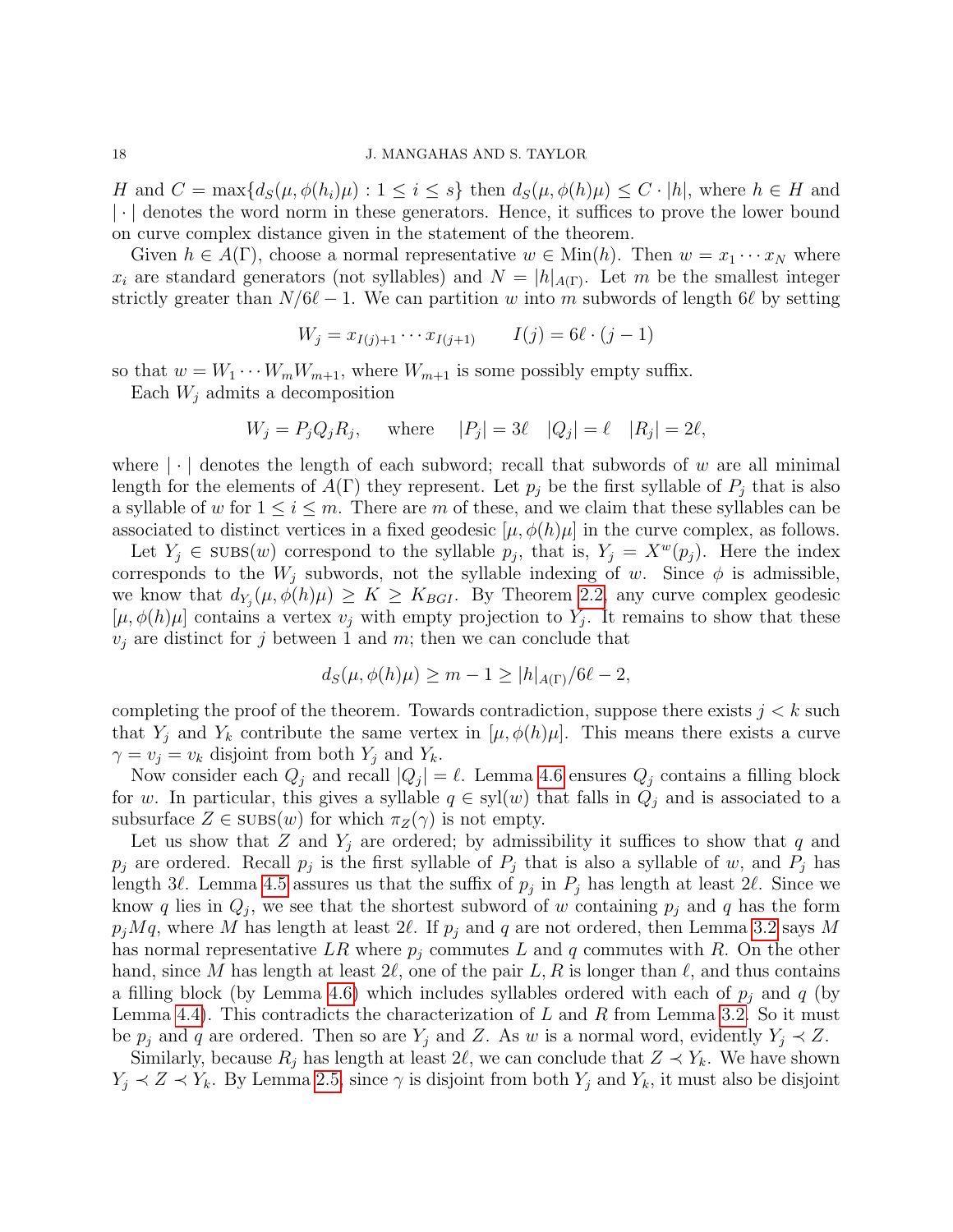H and  $C = \max\{d_S(\mu, \phi(h_i)\mu) : 1 \leq i \leq s\}$  then  $d_S(\mu, \phi(h)\mu) \leq C \cdot |h|$ , where  $h \in H$  and | · | denotes the word norm in these generators. Hence, it suffices to prove the lower bound on curve complex distance given in the statement of the theorem.

Given  $h \in A(\Gamma)$ , choose a normal representative  $w \in \text{Min}(h)$ . Then  $w = x_1 \cdots x_N$  where  $x_i$  are standard generators (not syllables) and  $N = |h|_{A(\Gamma)}$ . Let m be the smallest integer strictly greater than  $N/6\ell - 1$ . We can partition w into m subwords of length 6 $\ell$  by setting

$$
W_j = x_{I(j)+1} \cdots x_{I(j+1)} \qquad I(j) = 6\ell \cdot (j-1)
$$

so that  $w = W_1 \cdots W_m W_{m+1}$ , where  $W_{m+1}$  is some possibly empty suffix.

Each  $W_i$  admits a decomposition

$$
W_j = P_j Q_j R_j, \quad \text{where} \quad |P_j| = 3\ell \quad |Q_j| = \ell \quad |R_j| = 2\ell,
$$

where  $|\cdot|$  denotes the length of each subword; recall that subwords of w are all minimal length for the elements of  $A(\Gamma)$  they represent. Let  $p_i$  be the first syllable of  $P_i$  that is also a syllable of w for  $1 \leq i \leq m$ . There are m of these, and we claim that these syllables can be associated to distinct vertices in a fixed geodesic  $[\mu, \phi(h)\mu]$  in the curve complex, as follows.

Let  $Y_j \in \text{SUBS}(w)$  correspond to the syllable  $p_j$ , that is,  $Y_j = X^w(p_j)$ . Here the index corresponds to the  $W_j$  subwords, not the syllable indexing of w. Since  $\phi$  is admissible, we know that  $d_{Y_j}(\mu, \phi(h)\mu) \geq K \geq K_{BGI}$ . By Theorem [2.2,](#page-4-0) any curve complex geodesic  $[\mu, \phi(h)\mu]$  contains a vertex  $v_j$  with empty projection to  $Y_j$ . It remains to show that these  $v_j$  are distinct for j between 1 and m; then we can conclude that

$$
d_S(\mu, \phi(h)\mu) \ge m - 1 \ge |h|_{A(\Gamma)}/6\ell - 2,
$$

completing the proof of the theorem. Towards contradiction, suppose there exists  $j < k$  such that  $Y_j$  and  $Y_k$  contribute the same vertex in  $[\mu, \phi(h)\mu]$ . This means there exists a curve  $\gamma = v_j = v_k$  disjoint from both  $Y_j$  and  $Y_k$ .

Now consider each  $Q_j$  and recall  $|Q_j| = \ell$ . Lemma [4.6](#page-15-1) ensures  $Q_j$  contains a filling block for w. In particular, this gives a syllable  $q \in syl(w)$  that falls in  $Q_i$  and is associated to a subsurface  $Z \in \text{SUBs}(w)$  for which  $\pi_Z(\gamma)$  is not empty.

Let us show that Z and  $Y_j$  are ordered; by admissibility it suffices to show that q and  $p_j$  are ordered. Recall  $p_j$  is the first syllable of  $P_j$  that is also a syllable of w, and  $P_j$  has length 3 $\ell$ . Lemma [4.5](#page-15-2) assures us that the suffix of  $p_j$  in  $P_j$  has length at least 2 $\ell$ . Since we know q lies in  $Q_j$ , we see that the shortest subword of w containing  $p_j$  and q has the form  $p_jMq$ , where M has length at least  $2\ell$ . If  $p_j$  and q are not ordered, then Lemma [3.2](#page-8-1) says M has normal representative LR where  $p_i$  commutes L and q commutes with R. On the other hand, since M has length at least  $2\ell$ , one of the pair L, R is longer than  $\ell$ , and thus contains a filling block (by Lemma [4.6\)](#page-15-1) which includes syllables ordered with each of  $p_i$  and q (by Lemma [4.4\)](#page-15-0). This contradicts the characterization of  $L$  and  $R$  from Lemma [3.2.](#page-8-1) So it must be  $p_j$  and q are ordered. Then so are  $Y_j$  and Z. As w is a normal word, evidently  $Y_j \prec Z$ .

Similarly, because  $R_j$  has length at least  $2\ell$ , we can conclude that  $Z \prec Y_k$ . We have shown  $Y_j \prec Z \prec Y_k$ . By Lemma [2.5,](#page-7-0) since  $\gamma$  is disjoint from both  $Y_j$  and  $Y_k$ , it must also be disjoint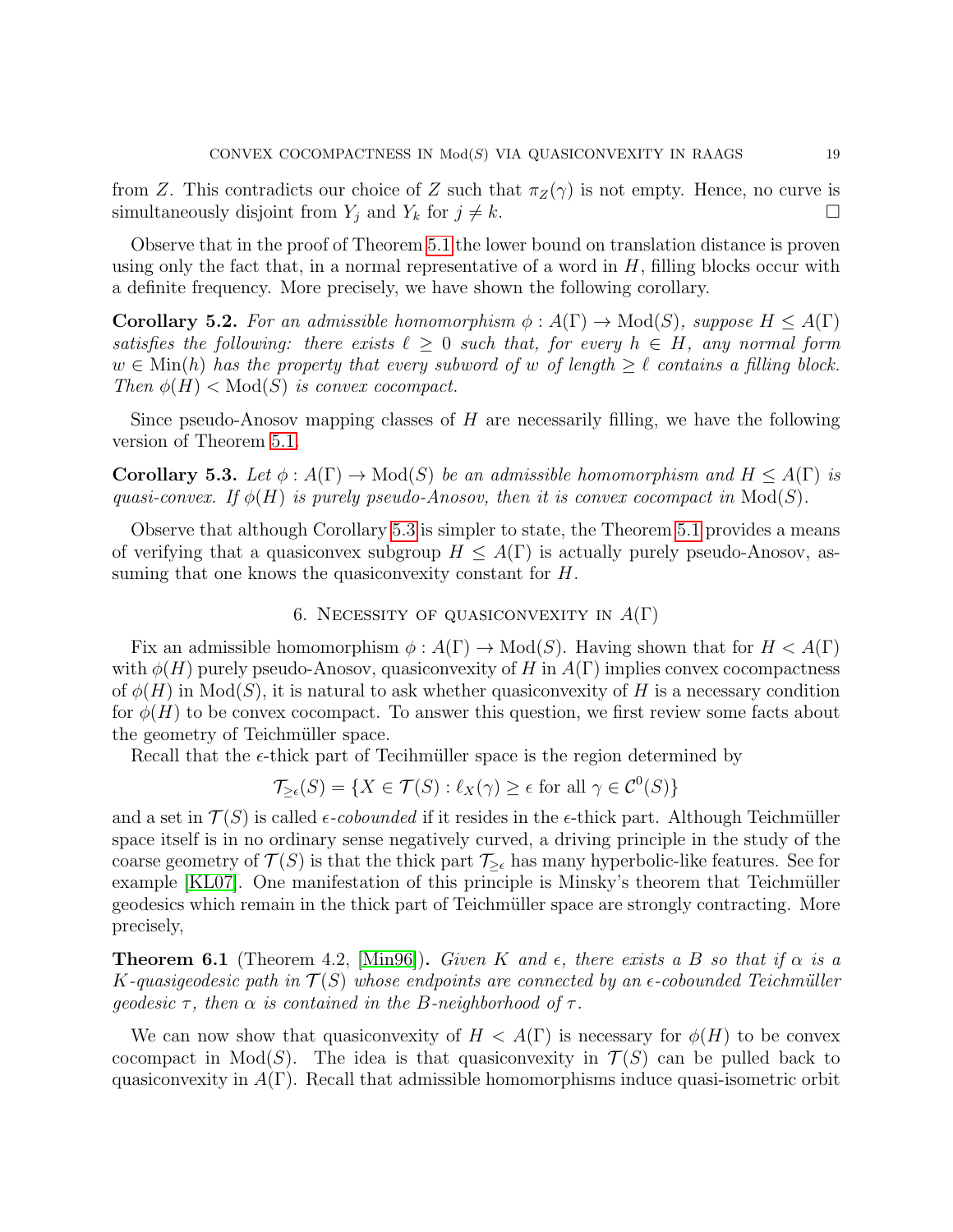from Z. This contradicts our choice of Z such that  $\pi_Z(\gamma)$  is not empty. Hence, no curve is simultaneously disjoint from  $Y_j$  and  $Y_k$  for  $j \neq k$ .

Observe that in the proof of Theorem [5.1](#page-16-0) the lower bound on translation distance is proven using only the fact that, in a normal representative of a word in  $H$ , filling blocks occur with a definite frequency. More precisely, we have shown the following corollary.

<span id="page-18-2"></span>**Corollary 5.2.** For an admissible homomorphism  $\phi : A(\Gamma) \to Mod(S)$ , suppose  $H \leq A(\Gamma)$ satisfies the following: there exists  $\ell \geq 0$  such that, for every  $h \in H$ , any normal form  $w \in \text{Min}(h)$  has the property that every subword of w of length  $\geq \ell$  contains a filling block. Then  $\phi(H) < Mod(S)$  is convex cocompact.

Since pseudo-Anosov mapping classes of  $H$  are necessarily filling, we have the following version of Theorem [5.1.](#page-16-0)

<span id="page-18-0"></span>**Corollary 5.3.** Let  $\phi: A(\Gamma) \to Mod(S)$  be an admissible homomorphism and  $H \leq A(\Gamma)$  is quasi-convex. If  $\phi(H)$  is purely pseudo-Anosov, then it is convex cocompact in  $Mod(S)$ .

Observe that although Corollary [5.3](#page-18-0) is simpler to state, the Theorem [5.1](#page-16-0) provides a means of verifying that a quasiconvex subgroup  $H \leq A(\Gamma)$  is actually purely pseudo-Anosov, assuming that one knows the quasiconvexity constant for H.

## 6. NECESSITY OF QUASICONVEXITY IN  $A(\Gamma)$

Fix an admissible homomorphism  $\phi: A(\Gamma) \to \text{Mod}(S)$ . Having shown that for  $H < A(\Gamma)$ with  $\phi(H)$  purely pseudo-Anosov, quasiconvexity of H in  $A(\Gamma)$  implies convex cocompactness of  $\phi(H)$  in  $Mod(S)$ , it is natural to ask whether quasiconvexity of H is a necessary condition for  $\phi(H)$  to be convex cocompact. To answer this question, we first review some facts about the geometry of Teichmüller space.

Recall that the  $\epsilon$ -thick part of Tecihmüller space is the region determined by

$$
\mathcal{T}_{\geq \epsilon}(S) = \{ X \in \mathcal{T}(S) : \ell_X(\gamma) \geq \epsilon \text{ for all } \gamma \in \mathcal{C}^0(S) \}
$$

and a set in  $\mathcal{T}(S)$  is called  $\epsilon$ -cobounded if it resides in the  $\epsilon$ -thick part. Although Teichmüller space itself is in no ordinary sense negatively curved, a driving principle in the study of the coarse geometry of  $\mathcal{T}(S)$  is that the thick part  $\mathcal{T}_{\geq \epsilon}$  has many hyperbolic-like features. See for example  $KLO7$ . One manifestation of this principle is Minsky's theorem that Teichmüller geodesics which remain in the thick part of Teichm¨uller space are strongly contracting. More precisely,

<span id="page-18-1"></span>**Theorem 6.1** (Theorem 4.2, [\[Min96\]](#page-29-5)). Given K and  $\epsilon$ , there exists a B so that if  $\alpha$  is a K-quasigeodesic path in  $\mathcal{T}(S)$  whose endpoints are connected by an  $\epsilon$ -cobounded Teichmüller geodesic  $\tau$ , then  $\alpha$  is contained in the B-neighborhood of  $\tau$ .

We can now show that quasiconvexity of  $H < A(\Gamma)$  is necessary for  $\phi(H)$  to be convex cocompact in  $Mod(S)$ . The idea is that quasiconvexity in  $\mathcal{T}(S)$  can be pulled back to quasiconvexity in  $A(\Gamma)$ . Recall that admissible homomorphisms induce quasi-isometric orbit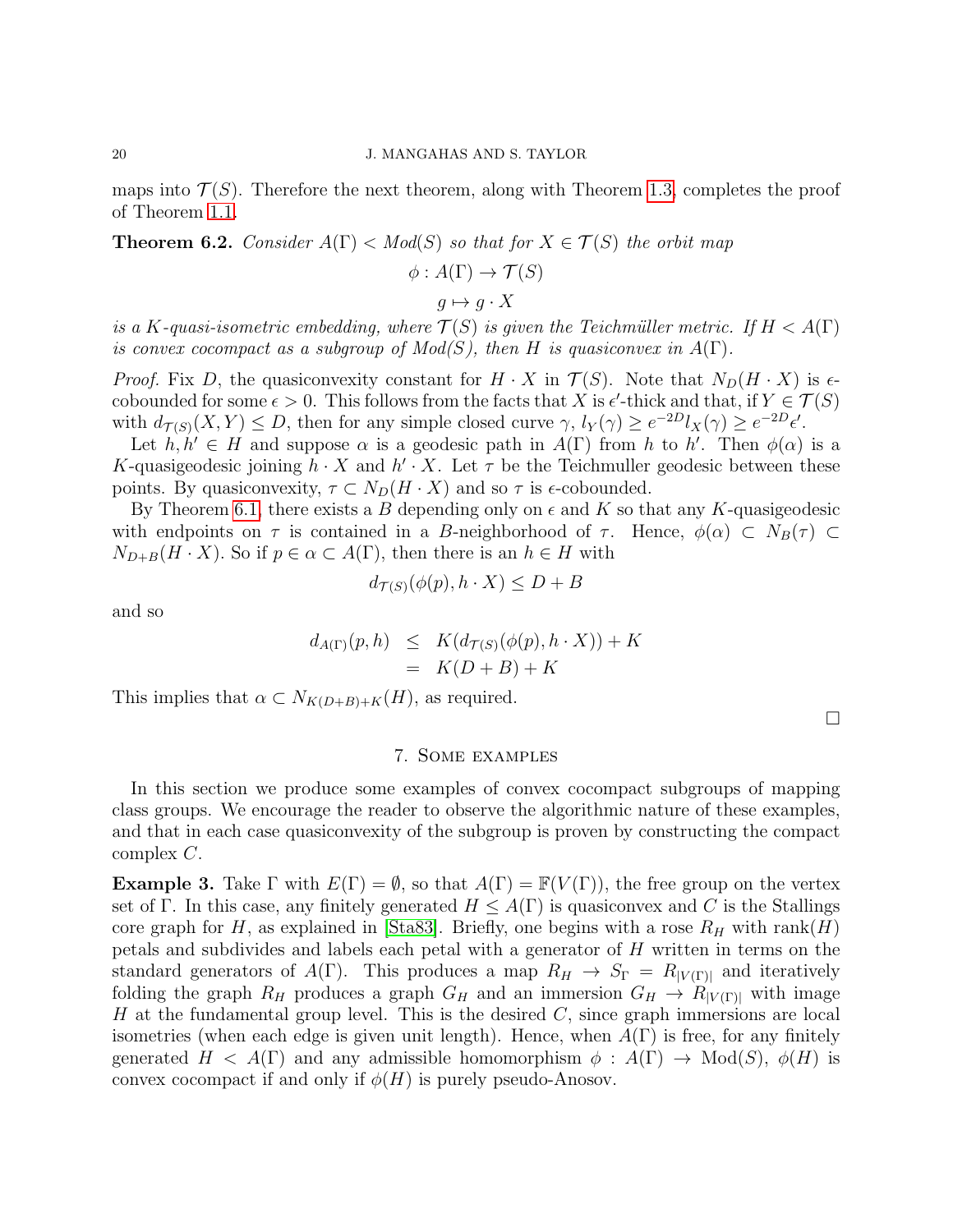maps into  $\mathcal{T}(S)$ . Therefore the next theorem, along with Theorem [1.3,](#page-1-0) completes the proof of Theorem [1.1.](#page-0-0)

**Theorem 6.2.** Consider  $A(\Gamma) < Mod(S)$  so that for  $X \in \mathcal{T}(S)$  the orbit map

$$
\phi: A(\Gamma) \to \mathcal{T}(S)
$$

$$
g \mapsto g \cdot X
$$

is a K-quasi-isometric embedding, where  $\mathcal{T}(S)$  is given the Teichmüller metric. If  $H < A(\Gamma)$ is convex cocompact as a subgroup of  $Mod(S)$ , then H is quasiconvex in  $A(\Gamma)$ .

*Proof.* Fix D, the quasiconvexity constant for  $H \cdot X$  in  $\mathcal{T}(S)$ . Note that  $N_D(H \cdot X)$  is  $\epsilon$ cobounded for some  $\epsilon > 0$ . This follows from the facts that X is  $\epsilon'$ -thick and that, if  $Y \in \mathcal{T}(S)$ with  $d_{\mathcal{T}(S)}(X,Y) \leq D$ , then for any simple closed curve  $\gamma$ ,  $l_Y(\gamma) \geq e^{-2D}l_X(\gamma) \geq e^{-2D}l'_X$ .

Let  $h, h' \in H$  and suppose  $\alpha$  is a geodesic path in  $A(\Gamma)$  from h to h'. Then  $\phi(\alpha)$  is a K-quasigeodesic joining  $h \cdot X$  and  $h' \cdot X$ . Let  $\tau$  be the Teichmuller geodesic between these points. By quasiconvexity,  $\tau \subset N_D(H \cdot X)$  and so  $\tau$  is  $\epsilon$ -cobounded.

By Theorem [6.1,](#page-18-1) there exists a B depending only on  $\epsilon$  and K so that any K-quasigeodesic with endpoints on  $\tau$  is contained in a B-neighborhood of  $\tau$ . Hence,  $\phi(\alpha) \subset N_B(\tau) \subset$  $N_{D+B}(H \cdot X)$ . So if  $p \in \alpha \subset A(\Gamma)$ , then there is an  $h \in H$  with

$$
d_{\mathcal{T}(S)}(\phi(p), h \cdot X) \le D + B
$$

and so

$$
d_{A(\Gamma)}(p,h) \leq K(d_{\mathcal{T}(S)}(\phi(p), h \cdot X)) + K
$$
  
=  $K(D+B) + K$ 

This implies that  $\alpha \subset N_{K(D+B)+K}(H)$ , as required.

 $\Box$ 

## 7. Some examples

<span id="page-19-0"></span>In this section we produce some examples of convex cocompact subgroups of mapping class groups. We encourage the reader to observe the algorithmic nature of these examples, and that in each case quasiconvexity of the subgroup is proven by constructing the compact complex C.

**Example 3.** Take  $\Gamma$  with  $E(\Gamma) = \emptyset$ , so that  $A(\Gamma) = \mathbb{F}(V(\Gamma))$ , the free group on the vertex set of Γ. In this case, any finitely generated  $H \leq A(\Gamma)$  is quasiconvex and C is the Stallings core graph for H, as explained in [\[Sta83\]](#page-29-6). Briefly, one begins with a rose  $R_H$  with rank(H) petals and subdivides and labels each petal with a generator of H written in terms on the standard generators of  $A(\Gamma)$ . This produces a map  $R_H \to S_\Gamma = R_{|V(\Gamma)|}$  and iteratively folding the graph  $R_H$  produces a graph  $G_H$  and an immersion  $G_H \to R_{|V(\Gamma)|}$  with image H at the fundamental group level. This is the desired  $C$ , since graph immersions are local isometries (when each edge is given unit length). Hence, when  $A(\Gamma)$  is free, for any finitely generated  $H < A(\Gamma)$  and any admissible homomorphism  $\phi : A(\Gamma) \to \text{Mod}(S)$ ,  $\phi(H)$  is convex cocompact if and only if  $\phi(H)$  is purely pseudo-Anosov.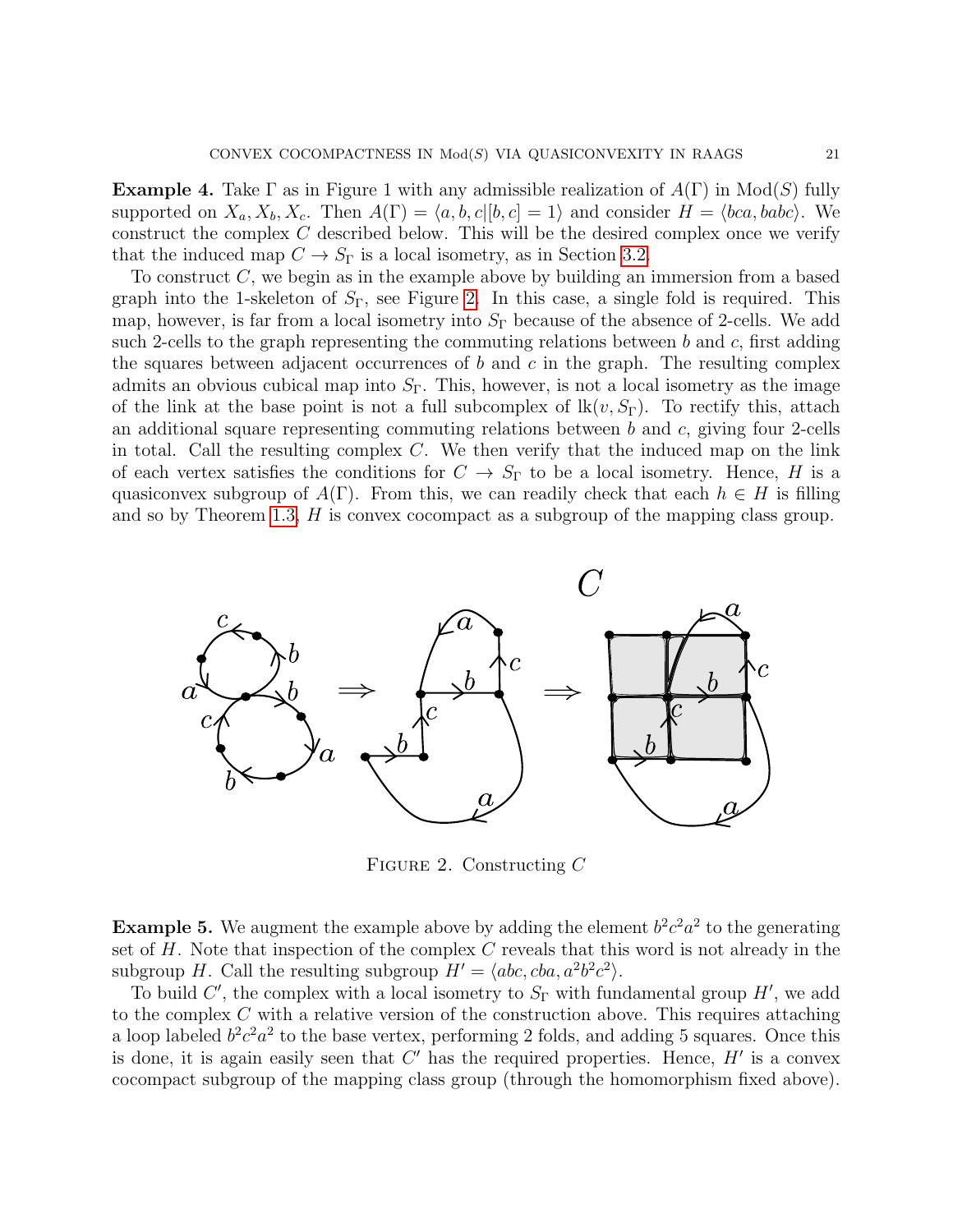**Example 4.** Take  $\Gamma$  as in Figure 1 with any admissible realization of  $A(\Gamma)$  in  $Mod(S)$  fully supported on  $X_a, X_b, X_c$ . Then  $A(\Gamma) = \langle a, b, c | [b, c] = 1 \rangle$  and consider  $H = \langle bca, babc \rangle$ . We construct the complex  $C$  described below. This will be the desired complex once we verify that the induced map  $C \to S_{\Gamma}$  is a local isometry, as in Section [3.2.](#page-9-0)

To construct  $C$ , we begin as in the example above by building an immersion from a based graph into the 1-skeleton of  $S_{\Gamma}$ , see Figure [2.](#page-20-0) In this case, a single fold is required. This map, however, is far from a local isometry into  $S_{\Gamma}$  because of the absence of 2-cells. We add such 2-cells to the graph representing the commuting relations between b and c, first adding the squares between adjacent occurrences of b and c in the graph. The resulting complex admits an obvious cubical map into  $S_{\Gamma}$ . This, however, is not a local isometry as the image of the link at the base point is not a full subcomplex of  $lk(v, S_{\Gamma})$ . To rectify this, attach an additional square representing commuting relations between b and c, giving four 2-cells in total. Call the resulting complex  $C$ . We then verify that the induced map on the link of each vertex satisfies the conditions for  $C \to S_{\Gamma}$  to be a local isometry. Hence, H is a quasiconvex subgroup of  $A(\Gamma)$ . From this, we can readily check that each  $h \in H$  is filling and so by Theorem [1.3,](#page-1-0) H is convex cocompact as a subgroup of the mapping class group.



<span id="page-20-0"></span>FIGURE 2. Constructing  $C$ 

**Example 5.** We augment the example above by adding the element  $b^2c^2a^2$  to the generating set of  $H$ . Note that inspection of the complex  $C$  reveals that this word is not already in the subgroup H. Call the resulting subgroup  $H' = \langle abc, cba, a^2b^2c^2 \rangle$ .

To build C', the complex with a local isometry to  $S_{\Gamma}$  with fundamental group H', we add to the complex C with a relative version of the construction above. This requires attaching a loop labeled  $b^2c^2a^2$  to the base vertex, performing 2 folds, and adding 5 squares. Once this is done, it is again easily seen that  $C'$  has the required properties. Hence,  $H'$  is a convex cocompact subgroup of the mapping class group (through the homomorphism fixed above).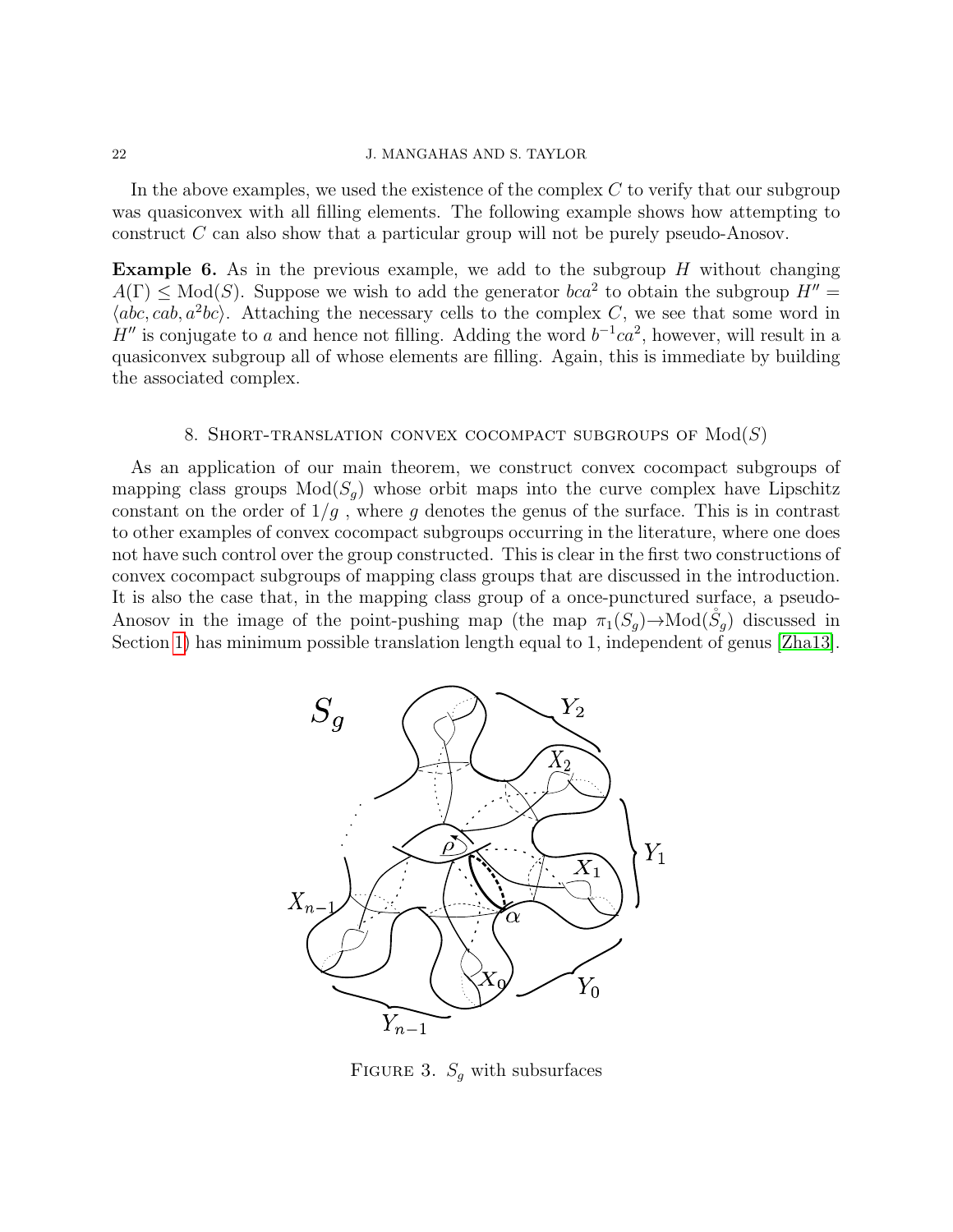In the above examples, we used the existence of the complex  $C$  to verify that our subgroup was quasiconvex with all filling elements. The following example shows how attempting to construct C can also show that a particular group will not be purely pseudo-Anosov.

**Example 6.** As in the previous example, we add to the subgroup  $H$  without changing  $A(\Gamma) \leq Mod(S)$ . Suppose we wish to add the generator  $bca^2$  to obtain the subgroup  $H'' =$  $\langle abc, cab, a^2bc \rangle$ . Attaching the necessary cells to the complex C, we see that some word in H'' is conjugate to a and hence not filling. Adding the word  $b^{-1}ca^2$ , however, will result in a quasiconvex subgroup all of whose elements are filling. Again, this is immediate by building the associated complex.

# 8. SHORT-TRANSLATION CONVEX COCOMPACT SUBGROUPS OF  $Mod(S)$

<span id="page-21-0"></span>As an application of our main theorem, we construct convex cocompact subgroups of mapping class groups  $Mod(S_q)$  whose orbit maps into the curve complex have Lipschitz constant on the order of  $1/g$ , where g denotes the genus of the surface. This is in contrast to other examples of convex cocompact subgroups occurring in the literature, where one does not have such control over the group constructed. This is clear in the first two constructions of convex cocompact subgroups of mapping class groups that are discussed in the introduction. It is also the case that, in the mapping class group of a once-punctured surface, a pseudo-Anosov in the image of the point-pushing map (the map  $\pi_1(S_q) \to \text{Mod}(S_q)$  discussed in Section [1\)](#page-0-1) has minimum possible translation length equal to 1, independent of genus [\[Zha13\]](#page-29-7).



<span id="page-21-1"></span>FIGURE 3.  $S_q$  with subsurfaces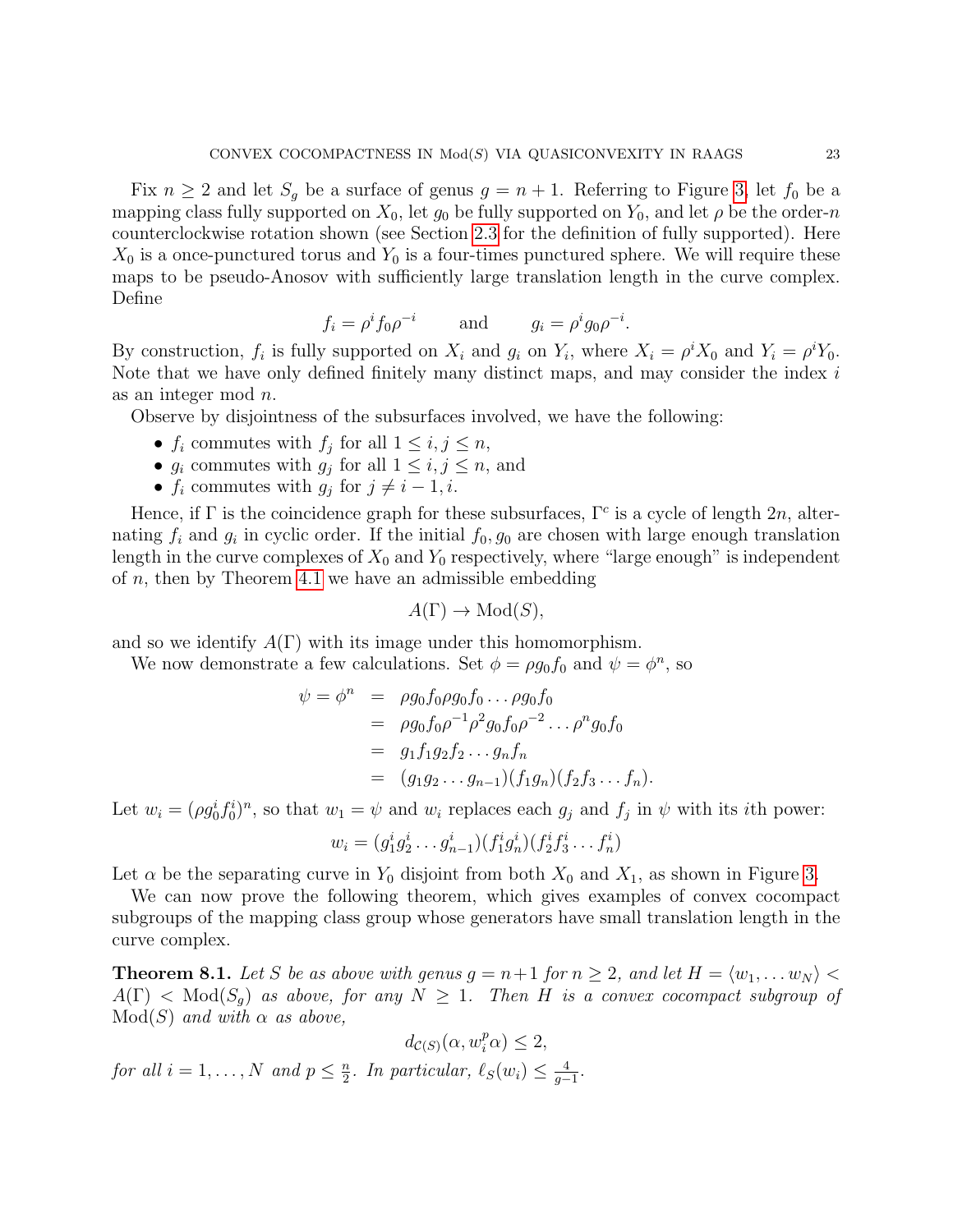Fix  $n \geq 2$  and let  $S_q$  be a surface of genus  $q = n + 1$ . Referring to Figure [3,](#page-21-1) let  $f_0$  be a mapping class fully supported on  $X_0$ , let  $g_0$  be fully supported on  $Y_0$ , and let  $\rho$  be the order-n counterclockwise rotation shown (see Section [2.3](#page-5-0) for the definition of fully supported). Here  $X_0$  is a once-punctured torus and  $Y_0$  is a four-times punctured sphere. We will require these maps to be pseudo-Anosov with sufficiently large translation length in the curve complex. Define

$$
f_i = \rho^i f_0 \rho^{-i} \qquad \text{and} \qquad g_i = \rho^i g_0 \rho^{-i}.
$$

By construction,  $f_i$  is fully supported on  $X_i$  and  $g_i$  on  $Y_i$ , where  $X_i = \rho^i X_0$  and  $Y_i = \rho^i Y_0$ . Note that we have only defined finitely many distinct maps, and may consider the index i as an integer mod n.

Observe by disjointness of the subsurfaces involved, we have the following:

- $f_i$  commutes with  $f_j$  for all  $1 \leq i, j \leq n$ ,
- $g_i$  commutes with  $g_j$  for all  $1 \leq i, j \leq n$ , and
- $f_i$  commutes with  $g_j$  for  $j \neq i 1, i$ .

Hence, if  $\Gamma$  is the coincidence graph for these subsurfaces,  $\Gamma^c$  is a cycle of length  $2n$ , alternating  $f_i$  and  $g_i$  in cyclic order. If the initial  $f_0, g_0$  are chosen with large enough translation length in the curve complexes of  $X_0$  and  $Y_0$  respectively, where "large enough" is independent of  $n$ , then by Theorem [4.1](#page-13-0) we have an admissible embedding

$$
A(\Gamma) \to \text{Mod}(S),
$$

and so we identify  $A(\Gamma)$  with its image under this homomorphism.

We now demonstrate a few calculations. Set  $\phi = \rho g_0 f_0$  and  $\psi = \phi^n$ , so

$$
\psi = \phi^n = \rho g_0 f_0 \rho g_0 f_0 \dots \rho g_0 f_0 \n= \rho g_0 f_0 \rho^{-1} \rho^2 g_0 f_0 \rho^{-2} \dots \rho^n g_0 f_0 \n= g_1 f_1 g_2 f_2 \dots g_n f_n \n= (g_1 g_2 \dots g_{n-1})(f_1 g_n)(f_2 f_3 \dots f_n).
$$

Let  $w_i = (\rho g_0^i f_0^i)^n$ , so that  $w_1 = \psi$  and  $w_i$  replaces each  $g_j$  and  $f_j$  in  $\psi$  with its *i*th power:

$$
w_i = (g_1^i g_2^i \dots g_{n-1}^i)(f_1^i g_n^i)(f_2^i f_3^i \dots f_n^i)
$$

Let  $\alpha$  be the separating curve in  $Y_0$  disjoint from both  $X_0$  and  $X_1$ , as shown in Figure [3.](#page-21-1)

We can now prove the following theorem, which gives examples of convex cocompact subgroups of the mapping class group whose generators have small translation length in the curve complex.

**Theorem 8.1.** Let S be as above with genus  $g = n+1$  for  $n \geq 2$ , and let  $H = \langle w_1, \ldots w_N \rangle$  $A(\Gamma) < Mod(S_q)$  as above, for any  $N \geq 1$ . Then H is a convex cocompact subgroup of  $Mod(S)$  and with  $\alpha$  as above,

$$
d_{\mathcal{C}(S)}(\alpha, w_i^p \alpha) \le 2,
$$
  
for all  $i = 1, ..., N$  and  $p \le \frac{n}{2}$ . In particular,  $\ell_S(w_i) \le \frac{4}{g-1}$ .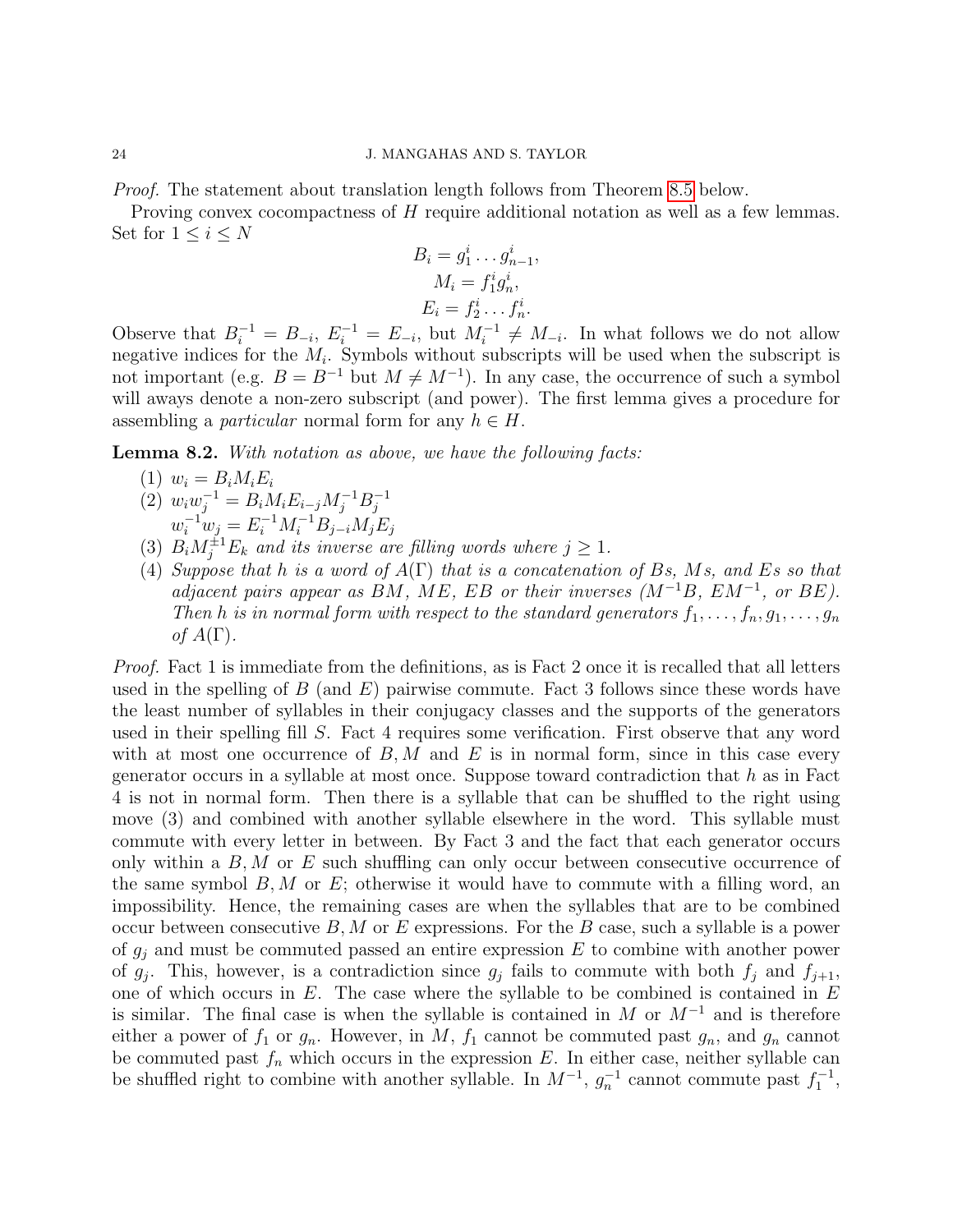Proof. The statement about translation length follows from Theorem [8.5](#page-25-0) below.

Proving convex cocompactness of H require additional notation as well as a few lemmas. Set for  $1 \leq i \leq N$ 

$$
B_i = g_1^i \dots g_{n-1}^i,
$$
  
\n
$$
M_i = f_1^i g_n^i,
$$
  
\n
$$
E_i = f_2^i \dots f_n^i.
$$

Observe that  $B_i^{-1} = B_{-i}, E_i^{-1} = E_{-i}$ , but  $M_i^{-1} \neq M_{-i}$ . In what follows we do not allow negative indices for the  $M_i$ . Symbols without subscripts will be used when the subscript is not important (e.g.  $B = B^{-1}$  but  $M \neq M^{-1}$ ). In any case, the occurrence of such a symbol will aways denote a non-zero subscript (and power). The first lemma gives a procedure for assembling a *particular* normal form for any  $h \in H$ .

Lemma 8.2. With notation as above, we have the following facts:

- (1)  $w_i = B_i M_i E_i$
- (2)  $w_i w_j^{-1} = B_i M_i E_{i-j} M_j^{-1} B_j^{-1}$ j  $w_i^{-1}w_j = E_i^{-1}M_i^{-1}B_{j-i}M_jE_j$
- (3)  $B_i M_j^{\pm 1} E_k$  and its inverse are filling words where  $j \geq 1$ .
- (4) Suppose that h is a word of  $A(\Gamma)$  that is a concatenation of Bs, Ms, and Es so that adjacent pairs appear as BM, ME, EB or their inverses  $(M^{-1}B, EM^{-1}, or BE)$ . Then h is in normal form with respect to the standard generators  $f_1, \ldots, f_n, g_1, \ldots, g_n$ of  $A(\Gamma)$ .

Proof. Fact 1 is immediate from the definitions, as is Fact 2 once it is recalled that all letters used in the spelling of  $B$  (and  $E$ ) pairwise commute. Fact 3 follows since these words have the least number of syllables in their conjugacy classes and the supports of the generators used in their spelling fill S. Fact 4 requires some verification. First observe that any word with at most one occurrence of  $B, M$  and E is in normal form, since in this case every generator occurs in a syllable at most once. Suppose toward contradiction that  $h$  as in Fact 4 is not in normal form. Then there is a syllable that can be shuffled to the right using move (3) and combined with another syllable elsewhere in the word. This syllable must commute with every letter in between. By Fact 3 and the fact that each generator occurs only within a  $B, M$  or E such shuffling can only occur between consecutive occurrence of the same symbol  $B, M$  or  $E$ ; otherwise it would have to commute with a filling word, an impossibility. Hence, the remaining cases are when the syllables that are to be combined occur between consecutive  $B, M$  or E expressions. For the B case, such a syllable is a power of  $g_j$  and must be commuted passed an entire expression  $E$  to combine with another power of  $g_j$ . This, however, is a contradiction since  $g_j$  fails to commute with both  $f_j$  and  $f_{j+1}$ , one of which occurs in  $E$ . The case where the syllable to be combined is contained in  $E$ is similar. The final case is when the syllable is contained in M or  $M^{-1}$  and is therefore either a power of  $f_1$  or  $g_n$ . However, in  $M$ ,  $f_1$  cannot be commuted past  $g_n$ , and  $g_n$  cannot be commuted past  $f_n$  which occurs in the expression E. In either case, neither syllable can be shuffled right to combine with another syllable. In  $M^{-1}$ ,  $g_n^{-1}$  cannot commute past  $f_1^{-1}$ ,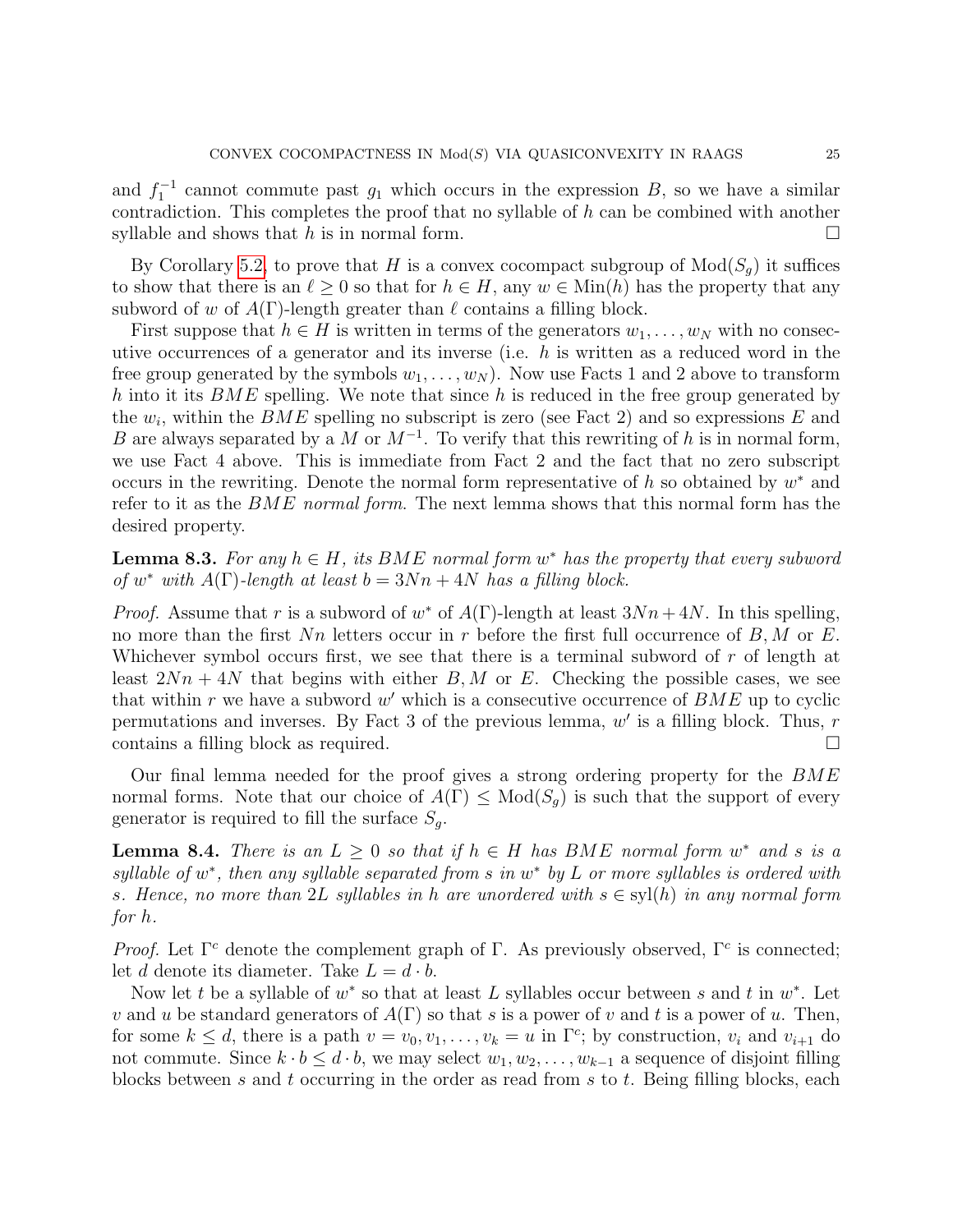and  $f_1^{-1}$  cannot commute past  $g_1$  which occurs in the expression B, so we have a similar contradiction. This completes the proof that no syllable of  $h$  can be combined with another syllable and shows that h is in normal form.

By Corollary [5.2,](#page-18-2) to prove that H is a convex cocompact subgroup of  $Mod(S_q)$  it suffices to show that there is an  $\ell \geq 0$  so that for  $h \in H$ , any  $w \in \text{Min}(h)$  has the property that any subword of w of  $A(\Gamma)$ -length greater than  $\ell$  contains a filling block.

First suppose that  $h \in H$  is written in terms of the generators  $w_1, \ldots, w_N$  with no consecutive occurrences of a generator and its inverse (i.e.  $h$  is written as a reduced word in the free group generated by the symbols  $w_1, \ldots, w_N$ . Now use Facts 1 and 2 above to transform h into it its  $BME$  spelling. We note that since h is reduced in the free group generated by the  $w_i$ , within the  $BME$  spelling no subscript is zero (see Fact 2) and so expressions E and B are always separated by a M or  $M^{-1}$ . To verify that this rewriting of h is in normal form, we use Fact 4 above. This is immediate from Fact 2 and the fact that no zero subscript occurs in the rewriting. Denote the normal form representative of  $h$  so obtained by  $w^*$  and refer to it as the BME normal form. The next lemma shows that this normal form has the desired property.

<span id="page-24-0"></span>**Lemma 8.3.** For any  $h \in H$ , its BME normal form  $w^*$  has the property that every subword of w<sup>\*</sup> with  $A(\Gamma)$ -length at least  $b = 3Nn + 4N$  has a filling block.

*Proof.* Assume that r is a subword of  $w^*$  of  $A(\Gamma)$ -length at least  $3Nn + 4N$ . In this spelling, no more than the first  $Nn$  letters occur in r before the first full occurrence of  $B, M$  or E. Whichever symbol occurs first, we see that there is a terminal subword of  $r$  of length at least  $2Nn + 4N$  that begins with either B, M or E. Checking the possible cases, we see that within r we have a subword  $w'$  which is a consecutive occurrence of  $BME$  up to cyclic permutations and inverses. By Fact 3 of the previous lemma,  $w'$  is a filling block. Thus, r contains a filling block as required.

Our final lemma needed for the proof gives a strong ordering property for the BME normal forms. Note that our choice of  $A(\Gamma) \leq Mod(S_q)$  is such that the support of every generator is required to fill the surface  $S_g$ .

<span id="page-24-1"></span>**Lemma 8.4.** There is an  $L \geq 0$  so that if  $h \in H$  has BME normal form  $w^*$  and s is a syllable of  $w^*$ , then any syllable separated from s in  $w^*$  by L or more syllables is ordered with s. Hence, no more than 2L syllables in h are unordered with  $s \in syl(h)$  in any normal form for h.

Proof. Let  $\Gamma^c$  denote the complement graph of  $\Gamma$ . As previously observed,  $\Gamma^c$  is connected; let d denote its diameter. Take  $L = d \cdot b$ .

Now let t be a syllable of  $w^*$  so that at least L syllables occur between s and t in  $w^*$ . Let v and u be standard generators of  $A(\Gamma)$  so that s is a power of v and t is a power of u. Then, for some  $k \leq d$ , there is a path  $v = v_0, v_1, \ldots, v_k = u$  in  $\Gamma^c$ ; by construction,  $v_i$  and  $v_{i+1}$  do not commute. Since  $k \cdot b \leq d \cdot b$ , we may select  $w_1, w_2, \ldots, w_{k-1}$  a sequence of disjoint filling blocks between s and t occurring in the order as read from s to t. Being filling blocks, each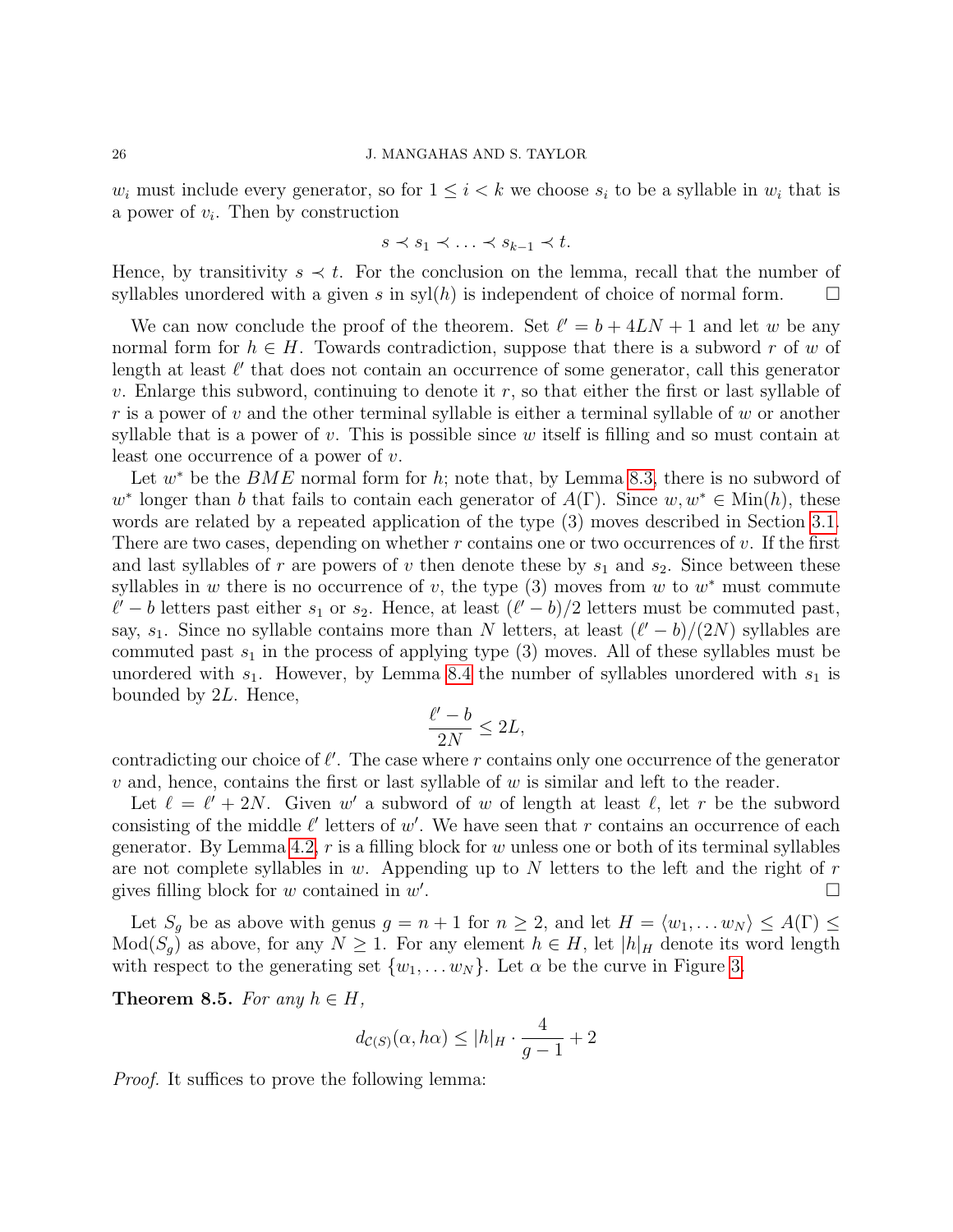$w_i$  must include every generator, so for  $1 \leq i \leq k$  we choose  $s_i$  to be a syllable in  $w_i$  that is a power of  $v_i$ . Then by construction

$$
s \prec s_1 \prec \ldots \prec s_{k-1} \prec t.
$$

Hence, by transitivity  $s \prec t$ . For the conclusion on the lemma, recall that the number of syllables unordered with a given s in  $\mathrm{syl}(h)$  is independent of choice of normal form.

We can now conclude the proof of the theorem. Set  $\ell' = b + 4LN + 1$  and let w be any normal form for  $h \in H$ . Towards contradiction, suppose that there is a subword r of w of length at least  $\ell'$  that does not contain an occurrence of some generator, call this generator v. Enlarge this subword, continuing to denote it  $r$ , so that either the first or last syllable of r is a power of v and the other terminal syllable is either a terminal syllable of w or another syllable that is a power of  $v$ . This is possible since  $w$  itself is filling and so must contain at least one occurrence of a power of v.

Let  $w^*$  be the  $BME$  normal form for h; note that, by Lemma [8.3,](#page-24-0) there is no subword of  $w^*$  longer than b that fails to contain each generator of  $A(\Gamma)$ . Since  $w, w^* \in \text{Min}(h)$ , these words are related by a repeated application of the type (3) moves described in Section [3.1.](#page-7-1) There are two cases, depending on whether  $r$  contains one or two occurrences of  $v$ . If the first and last syllables of r are powers of v then denote these by  $s_1$  and  $s_2$ . Since between these syllables in w there is no occurrence of v, the type  $(3)$  moves from w to  $w^*$  must commute  $\ell' - b$  letters past either  $s_1$  or  $s_2$ . Hence, at least  $(\ell' - b)/2$  letters must be commuted past, say,  $s_1$ . Since no syllable contains more than N letters, at least  $(\ell' - b)/(2N)$  syllables are commuted past  $s_1$  in the process of applying type (3) moves. All of these syllables must be unordered with  $s_1$ . However, by Lemma [8.4](#page-24-1) the number of syllables unordered with  $s_1$  is bounded by 2L. Hence,

$$
\frac{\ell'-b}{2N} \le 2L,
$$

contradicting our choice of  $\ell'$ . The case where r contains only one occurrence of the generator  $v$  and, hence, contains the first or last syllable of  $w$  is similar and left to the reader.

Let  $\ell = \ell' + 2N$ . Given w' a subword of w of length at least  $\ell$ , let r be the subword consisting of the middle  $\ell'$  letters of w'. We have seen that r contains an occurrence of each generator. By Lemma [4.2,](#page-14-0)  $r$  is a filling block for  $w$  unless one or both of its terminal syllables are not complete syllables in w. Appending up to  $N$  letters to the left and the right of  $r$ gives filling block for  $w$  contained in  $w'$ .

Let  $S_g$  be as above with genus  $g = n + 1$  for  $n \ge 2$ , and let  $H = \langle w_1, \dots w_N \rangle \le A(\Gamma) \le$  $Mod(S_q)$  as above, for any  $N \geq 1$ . For any element  $h \in H$ , let  $|h|_H$  denote its word length with respect to the generating set  $\{w_1, \ldots w_N\}$ . Let  $\alpha$  be the curve in Figure [3.](#page-21-1)

<span id="page-25-0"></span>Theorem 8.5. For any  $h \in H$ ,

$$
d_{\mathcal{C}(S)}(\alpha, h\alpha) \le |h|_H \cdot \frac{4}{g-1} + 2
$$

*Proof.* It suffices to prove the following lemma: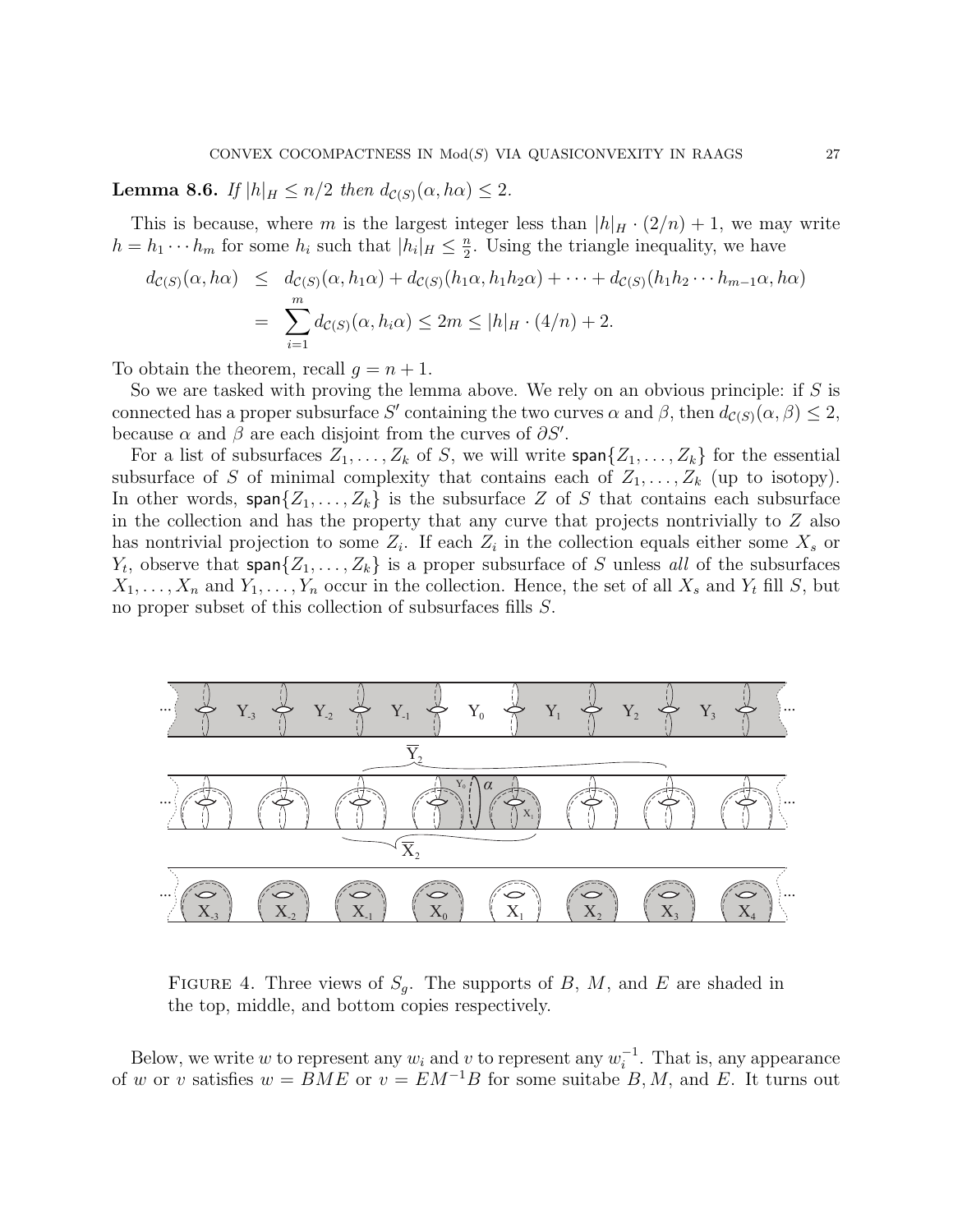<span id="page-26-0"></span>**Lemma 8.6.** If  $|h|_H \leq n/2$  then  $d_{\mathcal{C}(S)}(\alpha, h\alpha) \leq 2$ .

This is because, where m is the largest integer less than  $|h|_H \cdot (2/n) + 1$ , we may write  $h = h_1 \cdots h_m$  for some  $h_i$  such that  $|h_i|_H \leq \frac{n}{2}$  $\frac{n}{2}$ . Using the triangle inequality, we have

$$
d_{\mathcal{C}(S)}(\alpha, h\alpha) \leq d_{\mathcal{C}(S)}(\alpha, h_1\alpha) + d_{\mathcal{C}(S)}(h_1\alpha, h_1h_2\alpha) + \dots + d_{\mathcal{C}(S)}(h_1h_2 \cdots h_{m-1}\alpha, h\alpha)
$$
  
= 
$$
\sum_{i=1}^m d_{\mathcal{C}(S)}(\alpha, h_i\alpha) \leq 2m \leq |h|_H \cdot (4/n) + 2.
$$

To obtain the theorem, recall  $q = n + 1$ .

So we are tasked with proving the lemma above. We rely on an obvious principle: if  $S$  is connected has a proper subsurface S' containing the two curves  $\alpha$  and  $\beta$ , then  $d_{\mathcal{C}(S)}(\alpha,\beta) \leq 2$ , because  $\alpha$  and  $\beta$  are each disjoint from the curves of  $\partial S'$ .

For a list of subsurfaces  $Z_1, \ldots, Z_k$  of S, we will write  $\text{span}\{Z_1, \ldots, Z_k\}$  for the essential subsurface of S of minimal complexity that contains each of  $Z_1, \ldots, Z_k$  (up to isotopy). In other words, span $\{Z_1, \ldots, Z_k\}$  is the subsurface Z of S that contains each subsurface in the collection and has the property that any curve that projects nontrivially to  $Z$  also has nontrivial projection to some  $Z_i$ . If each  $Z_i$  in the collection equals either some  $X_s$  or  $Y_t$ , observe that span $\{Z_1, \ldots, Z_k\}$  is a proper subsurface of S unless all of the subsurfaces  $X_1, \ldots, X_n$  and  $Y_1, \ldots, Y_n$  occur in the collection. Hence, the set of all  $X_s$  and  $Y_t$  fill S, but no proper subset of this collection of subsurfaces fills S.



<span id="page-26-1"></span>FIGURE 4. Three views of  $S_g$ . The supports of B, M, and E are shaded in the top, middle, and bottom copies respectively.

Below, we write w to represent any  $w_i$  and v to represent any  $w_i^{-1}$  $i^{-1}$ . That is, any appearance of w or v satisfies  $w = BME$  or  $v = EM^{-1}B$  for some suitabe B, M, and E. It turns out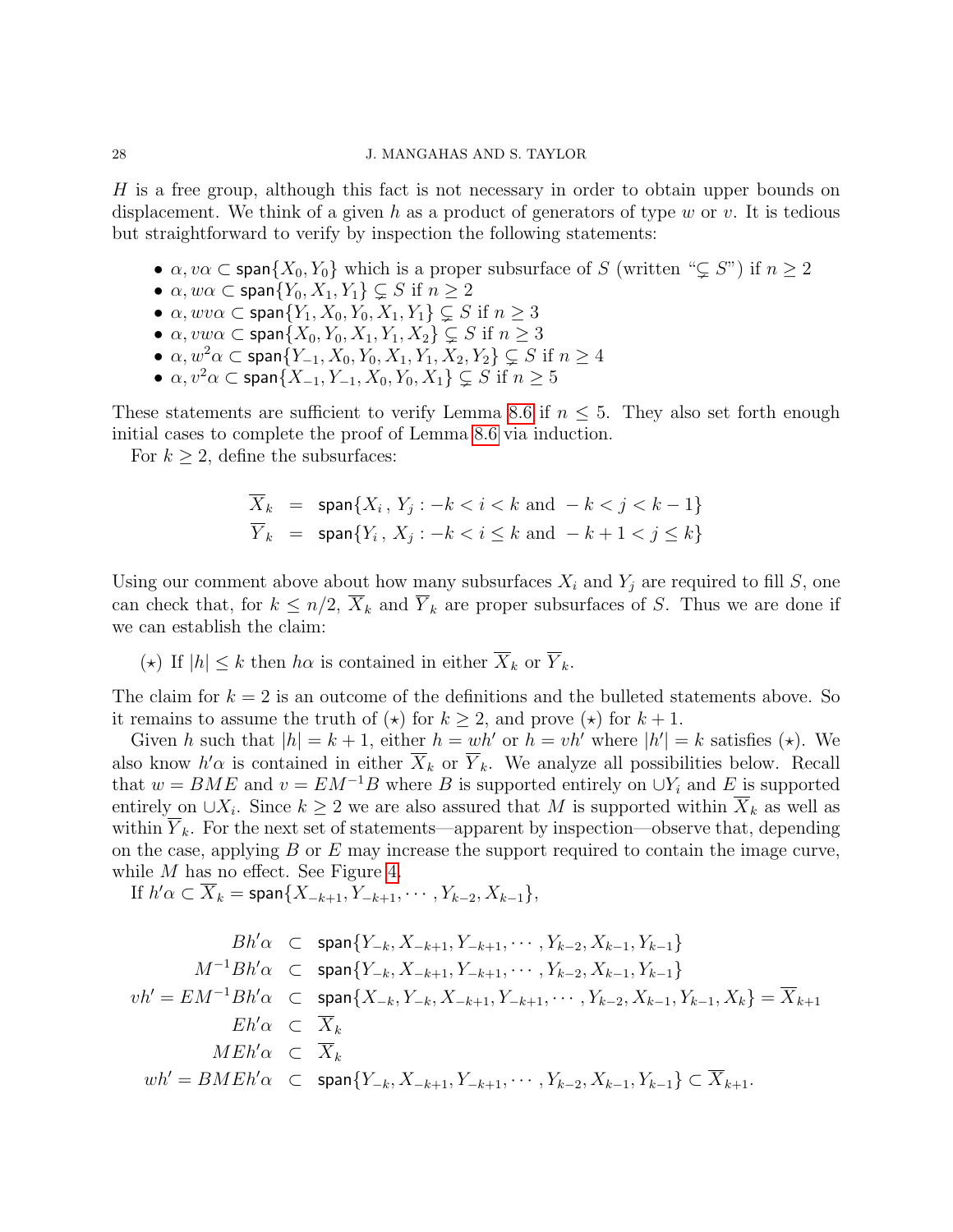H is a free group, although this fact is not necessary in order to obtain upper bounds on displacement. We think of a given h as a product of generators of type w or v. It is tedious but straightforward to verify by inspection the following statements:

- $\alpha, \nu\alpha \subset \text{span}\{X_0, Y_0\}$  which is a proper subsurface of S (written " $\subsetneq S$ ") if  $n \geq 2$
- $\alpha, w\alpha \subset \text{span}\{Y_0, X_1, Y_1\} \subseteq S$  if  $n \geq 2$
- $\alpha, wv\alpha \subset \text{span}\{Y_1, X_0, Y_0, X_1, Y_1\} \subsetneq S$  if  $n \geq 3$
- $\alpha, v w \alpha \subset \text{span}\{X_0, Y_0, X_1, Y_1, X_2\} \subsetneq S$  if  $n \geq 3$
- $\alpha, w^2\alpha \subset \text{span}\{Y_{-1}, X_0, Y_0, X_1, Y_1, X_2, Y_2\} \subsetneq S$  if  $n \geq 4$
- $\alpha, v^2 \alpha \subset \text{span}\{X_{-1}, Y_{-1}, X_0, Y_0, X_1\} \subsetneq S$  if  $n \geq 5$

These statements are sufficient to verify Lemma [8.6](#page-26-0) if  $n \leq 5$ . They also set forth enough initial cases to complete the proof of Lemma [8.6](#page-26-0) via induction.

For  $k \geq 2$ , define the subsurfaces:

$$
\overline{X}_k = \text{span}\{X_i, Y_j : -k < i < k \text{ and } -k < j < k - 1\}
$$
\n
$$
\overline{Y}_k = \text{span}\{Y_i, X_j : -k < i \le k \text{ and } -k + 1 < j \le k\}
$$

Using our comment above about how many subsurfaces  $X_i$  and  $Y_j$  are required to fill S, one can check that, for  $k \leq n/2$ ,  $\overline{X}_k$  and  $\overline{Y}_k$  are proper subsurfaces of S. Thus we are done if we can establish the claim:

(\*) If  $|h| \leq k$  then  $h\alpha$  is contained in either  $\overline{X}_k$  or  $\overline{Y}_k$ .

The claim for  $k = 2$  is an outcome of the definitions and the bulleted statements above. So it remains to assume the truth of  $(\star)$  for  $k \geq 2$ , and prove  $(\star)$  for  $k + 1$ .

Given h such that  $|h| = k + 1$ , either  $h = wh'$  or  $h = vh'$  where  $|h'| = k$  satisfies (\*). We also know  $h'$  $\alpha$  is contained in either  $\overline{X}_k$  or  $\overline{Y}_k$ . We analyze all possibilities below. Recall that  $w = BME$  and  $v = EM^{-1}B$  where B is supported entirely on  $\bigcup Y_i$  and E is supported entirely on  $\cup X_i$ . Since  $k \geq 2$  we are also assured that M is supported within  $\overline{X}_k$  as well as within  $\overline{Y}_k$ . For the next set of statements—apparent by inspection—observe that, depending on the case, applying  $B$  or  $E$  may increase the support required to contain the image curve, while M has no effect. See Figure [4.](#page-26-1)

If  $h' \alpha \subset \overline{X}_k = \text{span}\{X_{-k+1}, Y_{-k+1}, \cdots, Y_{k-2}, X_{k-1}\},$ 

$$
Bh'\alpha \t Span{Y_{-k}, X_{-k+1}, Y_{-k+1}, \cdots, Y_{k-2}, X_{k-1}, Y_{k-1}\}
$$
  
\n
$$
M^{-1}Bh'\alpha \t Span{Y_{-k}, X_{-k+1}, Y_{-k+1}, \cdots, Y_{k-2}, X_{k-1}, Y_{k-1}\}
$$
  
\n
$$
vh' = EM^{-1}Bh'\alpha \t Span{X_{-k}, Y_{-k}, X_{-k+1}, Y_{-k+1}, \cdots, Y_{k-2}, X_{k-1}, Y_{k-1}, X_k} = \overline{X}_{k+1}
$$
  
\n
$$
Eh'\alpha \t \overline{X}_k
$$
  
\n
$$
MEh'\alpha \t Span{Y_{-k}, X_{-k+1}, Y_{-k+1}, \cdots, Y_{k-2}, X_{k-1}, Y_{k-1}} \t \overline{X}_{k+1}.
$$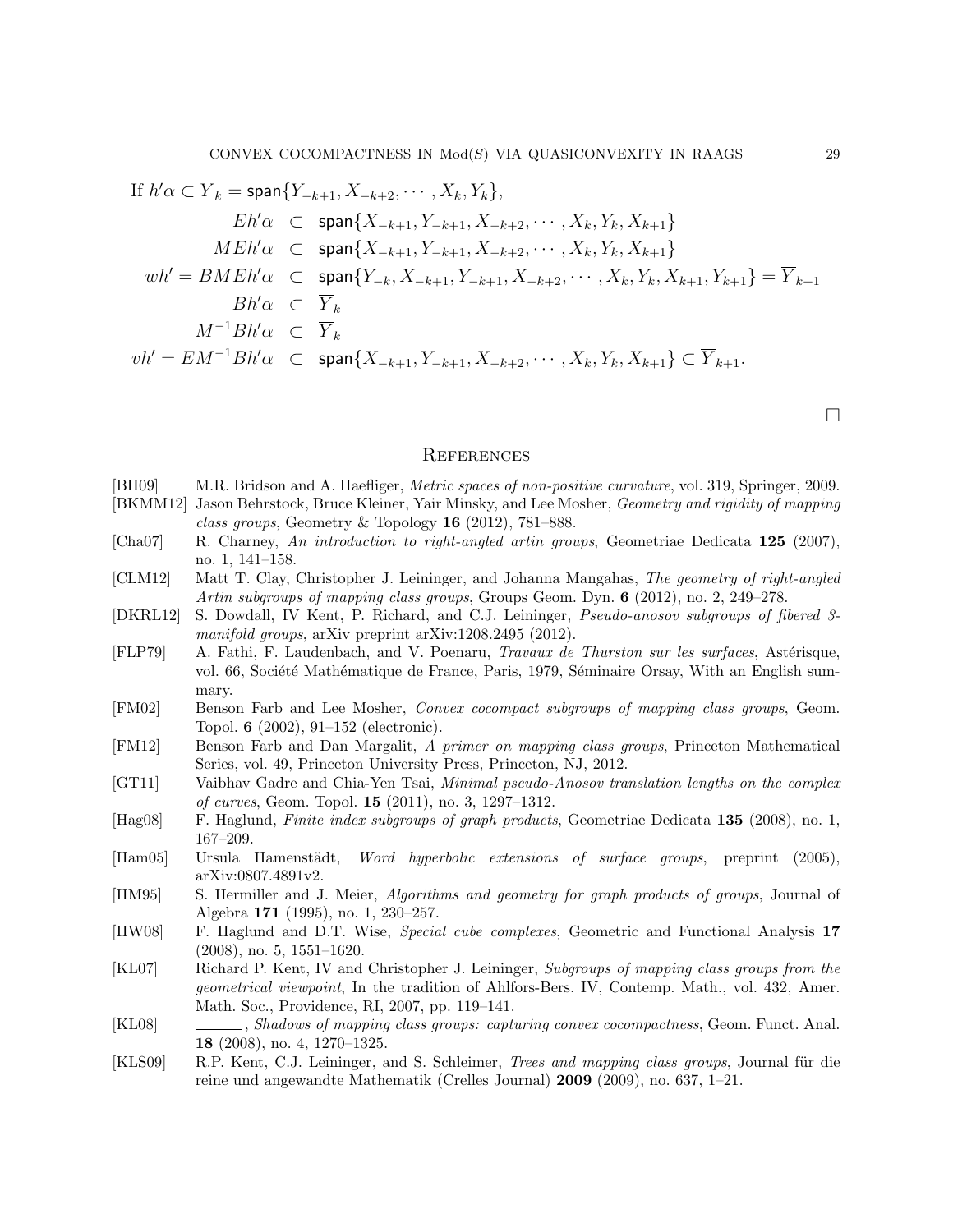If 
$$
h'\alpha \subset \overline{Y}_k = \text{span}\{Y_{-k+1}, X_{-k+2}, \dots, X_k, Y_k\},
$$
  
\n $Eh'\alpha \subset \text{span}\{X_{-k+1}, Y_{-k+1}, X_{-k+2}, \dots, X_k, Y_k, X_{k+1}\}$   
\n $MEh'\alpha \subset \text{span}\{X_{-k+1}, Y_{-k+1}, X_{-k+2}, \dots, X_k, Y_k, X_{k+1}\}$   
\n $wh' = BMEh'\alpha \subset \text{span}\{Y_{-k}, X_{-k+1}, Y_{-k+1}, X_{-k+2}, \dots, X_k, Y_k, X_{k+1}, Y_{k+1}\} = \overline{Y}_{k+1}$   
\n $Bh'\alpha \subset \overline{Y}_k$   
\n $M^{-1}Bh'\alpha \subset \overline{Y}_k$   
\n $vh' = EM^{-1}Bh'\alpha \subset \text{span}\{X_{-k+1}, Y_{-k+1}, X_{-k+2}, \dots, X_k, Y_k, X_{k+1}\} \subset \overline{Y}_{k+1}.$ 

 $\Box$ 

#### **REFERENCES**

- <span id="page-28-12"></span>[BH09] M.R. Bridson and A. Haefliger, *Metric spaces of non-positive curvature*, vol. 319, Springer, 2009.
- <span id="page-28-10"></span>[BKMM12] Jason Behrstock, Bruce Kleiner, Yair Minsky, and Lee Mosher, Geometry and rigidity of mapping class groups, Geometry & Topology  $16$  (2012), 781–888.
- <span id="page-28-15"></span>[Cha07] R. Charney, An introduction to right-angled artin groups, Geometriae Dedicata 125 (2007), no. 1, 141–158.
- <span id="page-28-3"></span>[CLM12] Matt T. Clay, Christopher J. Leininger, and Johanna Mangahas, The geometry of right-angled Artin subgroups of mapping class groups, Groups Geom. Dyn. 6 (2012), no. 2, 249–278.
- <span id="page-28-6"></span>[DKRL12] S. Dowdall, IV Kent, P. Richard, and C.J. Leininger, Pseudo-anosov subgroups of fibered 3 manifold groups, arXiv preprint arXiv:1208.2495 (2012).
- <span id="page-28-9"></span>[FLP79] A. Fathi, F. Laudenbach, and V. Poenaru, Travaux de Thurston sur les surfaces, Astérisque, vol. 66, Société Mathématique de France, Paris, 1979, Séminaire Orsay, With an English summary.
- <span id="page-28-0"></span>[FM02] Benson Farb and Lee Mosher, Convex cocompact subgroups of mapping class groups, Geom. Topol. 6 (2002), 91–152 (electronic).
- <span id="page-28-8"></span>[FM12] Benson Farb and Dan Margalit, A primer on mapping class groups, Princeton Mathematical Series, vol. 49, Princeton University Press, Princeton, NJ, 2012.
- <span id="page-28-7"></span>[GT11] Vaibhav Gadre and Chia-Yen Tsai, Minimal pseudo-Anosov translation lengths on the complex of curves, Geom. Topol. 15 (2011), no. 3, 1297–1312.
- <span id="page-28-14"></span>[Hag08] F. Haglund, Finite index subgroups of graph products, Geometriae Dedicata 135 (2008), no. 1, 167–209.
- <span id="page-28-1"></span>[Ham05] Ursula Hamenstädt, *Word hyperbolic extensions of surface groups*, preprint (2005), arXiv:0807.4891v2.
- <span id="page-28-11"></span>[HM95] S. Hermiller and J. Meier, Algorithms and geometry for graph products of groups, Journal of Algebra 171 (1995), no. 1, 230–257.
- <span id="page-28-13"></span>[HW08] F. Haglund and D.T. Wise, Special cube complexes, Geometric and Functional Analysis 17 (2008), no. 5, 1551–1620.
- <span id="page-28-4"></span>[KL07] Richard P. Kent, IV and Christopher J. Leininger, Subgroups of mapping class groups from the geometrical viewpoint, In the tradition of Ahlfors-Bers. IV, Contemp. Math., vol. 432, Amer. Math. Soc., Providence, RI, 2007, pp. 119–141.
- <span id="page-28-2"></span>[KL08] , Shadows of mapping class groups: capturing convex cocompactness, Geom. Funct. Anal. 18 (2008), no. 4, 1270–1325.
- <span id="page-28-5"></span>[KLS09] R.P. Kent, C.J. Leininger, and S. Schleimer, *Trees and mapping class groups*, Journal für die reine und angewandte Mathematik (Crelles Journal) 2009 (2009), no. 637, 1–21.